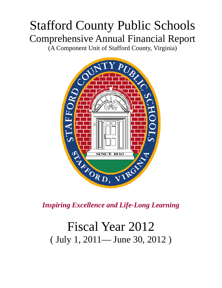# Stafford County Public Schools Comprehensive Annual Financial Report (A Component Unit of Stafford County, Virginia)



*Inspiring Excellence and Life-Long Learning* 

# Fiscal Year 2012 ( July 1, 2011— June 30, 2012 )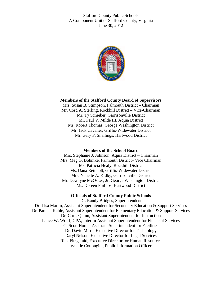Stafford County Public Schools A Component Unit of Stafford County, Virginia June 30, 2012



### **Members of the Stafford County Board of Supervisors**

Mrs. Susan B. Stimpson, Falmouth District – Chairman Mr. Cord A. Sterling, Rockhill District – Vice-Chairman Mr. Ty Schieber, Garrisonville District Mr. Paul V. Milde III, Aquia District Mr. Robert Thomas, George Washington District Mr. Jack Cavalier, Griffis-Widewater District Mr. Gary F. Snellings, Hartwood District

### **Members of the School Board**

Mrs. Stephanie J. Johnson, Aquia District – Chairman Mrs. Meg G. Bohmke, Falmouth District– Vice Chairman Ms. Patricia Healy, Rockhill District Ms. Dana Reinbolt, Griffis-Widewater District Mrs. Nanette A. Kidby, Garrisonville District Mr. Dewayne McOsker, Jr. George Washington District Ms. Doreen Phillips, Hartwood District

### **Officials of Stafford County Public Schools**

Dr. Randy Bridges, Superintendent Dr. Lisa Martin, Assistant Superintendent for Secondary Education & Support Services Dr. Pamela Kahle, Assistant Superintendent for Elementary Education & Support Services Dr. Chris Quinn, Assistant Superintendent for Instruction Lance W. Wolff, CPA, Interim Assistant Superintendent for Financial Services G. Scott Horan, Assistant Superintendent for Facilities Dr. David Mirra, Executive Director for Technology Daryl Nelson, Executive Director for Legal Services Rick Fitzgerald, Executive Director for Human Resources Valerie Cottongim, Public Information Officer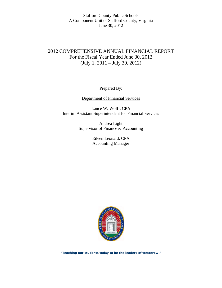Stafford County Public Schools A Component Unit of Stafford County, Virginia June 30, 2012

### 2012 COMPREHENSIVE ANNUAL FINANCIAL REPORT For the Fiscal Year Ended June 30, 2012 (July 1, 2011 – July 30, 2012)

Prepared By:

Department of Financial Services

Lance W. Wolff, CPA Interim Assistant Superintendent for Financial Services

> Andrea Light Supervisor of Finance & Accounting

> > Eileen Leonard, CPA Accounting Manager



*"Teaching our students today to be the leaders of tomorrow."*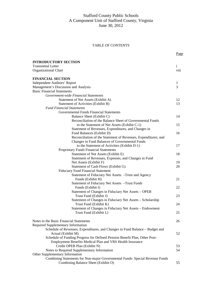### TABLE OF CONTENTS

Page

| <b>INTRODUCTORY SECTION</b>                                                                                        |              |
|--------------------------------------------------------------------------------------------------------------------|--------------|
| <b>Transmittal Letter</b>                                                                                          | $\mathbf{i}$ |
| <b>Organizational Chart</b>                                                                                        | viii         |
| <b>FINANCIAL SECTION</b>                                                                                           |              |
| <b>Independent Auditors' Report</b>                                                                                | 1            |
| Management's Discussion and Analysis                                                                               | 3            |
| <b>Basic Financial Statements</b>                                                                                  |              |
| Government-wide Financial Statements                                                                               |              |
| Statement of Net Assets (Exhibit A)                                                                                | 12           |
| Statement of Activities (Exhibit B)                                                                                | 13           |
| <b>Fund Financial Statements</b>                                                                                   |              |
| Governmental Funds Financial Statements                                                                            |              |
| Balance Sheet (Exhibit C)                                                                                          | 14           |
| Reconciliation of the Balance Sheet of Governmental Funds                                                          |              |
|                                                                                                                    |              |
| to the Statement of Net Assets (Exhibit C-1)                                                                       | 15           |
| Statement of Revenues, Expenditures, and Changes in                                                                |              |
| Fund Balances (Exhibit D)                                                                                          | 16           |
| Reconciliation of the Statement of Revenues, Expenditures, and                                                     |              |
| Changes in Fund Balances of Governmental Funds                                                                     |              |
| to the Statement of Activities (Exhibit D-1)                                                                       | 17           |
| Proprietary Funds Financial Statements                                                                             |              |
| Statement of Net Assets (Exhibit E)                                                                                | 18           |
| Statement of Revenues, Expenses, and Changes in Fund                                                               |              |
| Net Assets (Exhibit F)                                                                                             | 19           |
| Statement of Cash Flows (Exhibit G)                                                                                | 20           |
| <b>Fiduciary Fund Financial Statement</b>                                                                          |              |
| Statement of Fiduciary Net Assets -Trust and Agency<br>Funds (Exhibit H)                                           | 21           |
| Statement of Fiduciary Net Assets -Trust Funds                                                                     |              |
| Funds (Exhibit I)                                                                                                  | 22           |
| Statement of Changes in Fiduciary Net Assets - OPEB                                                                |              |
| Trust Fund (Exhibit J)                                                                                             | 23           |
| Statement of Changes in Fiduciary Net Assets - Scholarship                                                         |              |
| Trust Fund (Exhibit K)                                                                                             | 24           |
| Statement of Changes in Fiduciary Net Assets - Endowment                                                           |              |
| Trust Fund (Exhibit L)                                                                                             | 25           |
| Notes to the Basic Financial Statements                                                                            |              |
|                                                                                                                    | 26           |
| Required Supplementary Information<br>Schedule of Revenues, Expenditures, and Changes in Fund Balance - Budget and |              |
| Actual (Exhibit M)                                                                                                 | 52           |
| Schedule of Funding Progress for Defined Pension Benefit Plan, Other Post-                                         |              |
| Employment Benefits Medical Plan and VRS Health Insurance                                                          |              |
|                                                                                                                    |              |
| Credit OPEB Plan (Exhibit N)<br>Notes to Required Supplementary Information                                        | 53<br>54     |
| Other Supplementary Information                                                                                    |              |
| Combining Statements for Non-major Governmental Funds: Special Revenue Funds                                       |              |
| Combining Balance Sheet (Exhibit O)                                                                                | 55           |
|                                                                                                                    |              |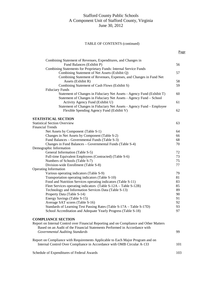### Stafford County Public Schools A Component Unit of Stafford County, Virginia June 30, 2012

### TABLE OF CONTENTS (continued)

| Combining Statement of Revenues, Expenditures, and Changes in                                                                                                         |          |
|-----------------------------------------------------------------------------------------------------------------------------------------------------------------------|----------|
| Fund Balances (Exhibit P)                                                                                                                                             | 56       |
| Combining Statements for Proprietary Funds: Internal Service Funds                                                                                                    |          |
| Combining Statement of Net Assets (Exhibit Q)                                                                                                                         | 57       |
| Combining Statement of Revenues, Expenses, and Changes in Fund Net                                                                                                    |          |
| Assets (Exhibit R)                                                                                                                                                    | 58       |
| Combining Statement of Cash Flows (Exhibit S)                                                                                                                         | 59       |
| <b>Fiduciary Funds</b>                                                                                                                                                |          |
| Statement of Changes in Fiduciary Net Assets - Agency Fund (Exhibit T)<br>Statement of Changes in Fiduciary Net Assets - Agency Fund - School                         | 60       |
| Activity Agency Fund (Exhibit U)                                                                                                                                      | 61       |
| Statement of Changes in Fiduciary Net Assets - Agency Fund - Employee<br>Flexible Spending Agency Fund (Exhibit V)                                                    | 62       |
| STATISTICAL SECTION                                                                                                                                                   |          |
| <b>Statistical Section Overview</b>                                                                                                                                   | 63       |
| <b>Financial Trends</b>                                                                                                                                               |          |
| Net Assets by Component (Table S-1)                                                                                                                                   | 64       |
| Changes in Net Assets by Component (Table S-2)                                                                                                                        | 66       |
| Fund Balances - Governmental Funds (Table S-3)                                                                                                                        | 68       |
| Changes in Fund Balances - Governmental Funds (Table S-4)                                                                                                             | 70       |
| Demographic Information                                                                                                                                               |          |
| General Information (Table S-5)                                                                                                                                       | 72       |
| Full-time Equivalent Employees (Contracted) (Table S-6)                                                                                                               | 73       |
| Numbers of Schools (Table S-7)                                                                                                                                        | 75       |
| Division-wide Enrollment (Table S-8)                                                                                                                                  | 77       |
| <b>Operating Information</b>                                                                                                                                          |          |
| Various operating indicators (Table S-9)                                                                                                                              | 79       |
| Transportation operating indicators (Table S-10)                                                                                                                      | 81       |
| Food and Nutrition Services operating indicators (Table S-11)                                                                                                         | 83       |
| Fleet Services operating indicators (Table S-12A – Table S-12B)                                                                                                       | 85       |
| Technology and Information Services Data (Table S-13)                                                                                                                 | 89       |
| Property Data (Table S-14)                                                                                                                                            | 90       |
| Energy Savings (Table S-15)                                                                                                                                           | 91<br>92 |
| Average SAT scores (Table S-16)                                                                                                                                       | 93       |
| Standards of Learning Test Passing Rates (Table S-17A - Table S-17D)<br>School Accreditation and Adequate Yearly Progress (Table S-18)                                | 97       |
| <b>COMPLIANCE SECTION</b>                                                                                                                                             |          |
| Report on Internal Control over Financial Reporting and on Compliance and Other Matters<br>Based on an Audit of the Financial Statements Performed in Accordance with |          |
| Governmental Auditing Standards                                                                                                                                       | 99       |
| Report on Compliance with Requirements Applicable to Each Major Program and on                                                                                        |          |
| Internal Control Over Compliance in Accordance with OMB Circular A-133                                                                                                | 101      |
| Schedule of Expenditures of Federal Awards                                                                                                                            | 103      |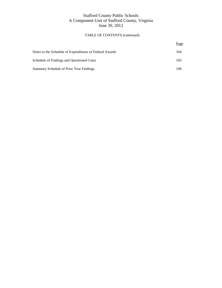### Stafford County Public Schools A Component Unit of Stafford County, Virginia June 30, 2012

### TABLE OF CONTENTS (continued)

|                                                         | Page |
|---------------------------------------------------------|------|
| Notes to the Schedule of Expenditures of Federal Awards | 104  |
| Schedule of Findings and Ouestioned Costs               | 105  |
| Summary Schedule of Prior Year Findings                 | 106  |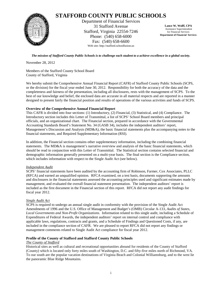**STAFFORD COUNTY PUBLIC SCHOOLS**

Department of Financial Services 31 Stafford Avenue Stafford, Virginia 22554-7246 Phone: (540) 658-6000 Fax: (540) 658-6600 Web site: http://stafford.schoolfusion.us

**Lance W, Wolff, CPA** Assistance Superintendent for Financial Services **Department of Financial Services**

*The mission of Stafford County Public Schools is to challenge each student to a achieve excellence in a global society.*

November 28, 2012

Members of the Stafford County School Board County of Stafford, Virginia

We hereby submit the Comprehensive Annual Financial Report (CAFR) of Stafford County Public Schools (SCPS, or the division) for the fiscal year ended June 30, 2012. Responsibility for both the accuracy of the data and the completeness and fairness of the presentation, including all disclosures, rests with the management of SCPS. To the best of our knowledge and belief, the enclosed data are accurate in all material respects and are reported in a manner designed to present fairly the financial position and results of operations of the various activities and funds of SCPS.

### **Overview of the Comprehensive Annual Financial Report**

This CAFR is divided into four sections: (1) Introductory, (2) Financial, (3) Statistical, and (4) Compliance. The Introductory section includes this Letter of Transmittal, a list of SCPS' School Board members and principal officials, and an organizational chart. The Financial section, prepared in accordance with the Governmental Accounting Standards Board's Statement No. 34 (GASB 34), includes the independent auditors' report, Management's Discussion and Analysis (MD&A), the basic financial statements plus the accompanying notes to the financial statements, and Required Supplementary Information (RSI).

In addition, the Financial section contains other supplementary information, including the combining financial statements. The MD&A is management's narrative overview and analysis of the basic financial statements, which should be read in conjunction with this Letter of Transmittal. The Statistical section contains selected financial and demographic information generally presented on a multi-year basis. The final section is the Compliance section, which includes information with respect to the Single Audit Act (see below).

### *Independent Audit*

SCPS' financial statements have been audited by the accounting firm of Robinson, Farmer, Cox Associates, PLLC (RFCA) and earned an unqualified opinion. RFCA examined, on a test basis, documents supporting the amounts and disclosures in the financial statements assessed the accounting principles used and significant estimates made by management, and evaluated the overall financial statement presentation. The independent auditors' report is included as the first document in the Financial section of this report. RFCA did not report any audit findings for fiscal year 2012.

### *Single Audit Act*

SCPS is required to undergo an annual single audit in conformity with the provision of the Single Audit Act Amendments of 1996 and the U.S. Office of Management and Budget's (OMB) Circular A-133, *Audits of States, Local Governments and Non-Profit Organizations*. Information related to this single audit, including a Schedule of Expenditures of Federal Awards, the independent auditors' report on internal control and compliance with applicable laws, regulations, contracts and grants, and a Schedule of Findings and Questioned Costs, if any, are included in the compliance section of CAFR. We are pleased to report RFCA did not report any findings or management comments related to Single Audit Act compliance for fiscal year 2012.

### **Profile of the County of Stafford and Stafford County Public Schools**

### *The County of Stafford*

Historical sites as well as cultural and recreational opportunities abound for residents of the County of Stafford (County) which is located only forty miles south of Washington, D.C. and fifty-five miles north of Richmond, VA. To our south are the popular vacation destinations of Virginia Beach and Colonial Williamsburg, and to the west lie the panoramic Blue Ridge Mountains.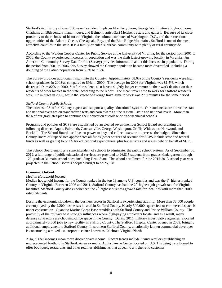Stafford's rich history of over 330 years is evident in places like Ferry Farm, George Washington's boyhood home, Chatham, an 18th century manor house, and Belmont, artist Gari Melcher's estate and gallery. Because of its close proximity to the richness of historical Virginia, the cultural attributes of Washington, D.C., and the recreational opportunities of the Atlantic Ocean, Chesapeake Bay, and the Blue Ridge Mountains, Stafford is one of the most attractive counties in the state. It is a family-oriented suburban community with plenty of rural countryside.

According to the Weldon Cooper Center for Public Service at the University of Virginia, for the period from 2001 to 2008, the County experienced increases in population and was the sixth fastest-growing locality in Virginia. An American Community Survey Data Profile (Survey) provides information about this increase in population. During the period from 2001 to 2006, this Survey showed the County population became more diversified, including a doubling of the Latino population from 3.6% to 7.6%.

The Survey provides additional insight into the County. Approximately 88.6% of the County's residents were high school graduates in 2008 as compared to 89% in 2000. The average for 2008 for Virginia was 81.5%, which decreased from 82% in 2000. Stafford residents also have a slightly longer commute to their work destination than residents of other locales in the state, according to the report. The mean travel time to work for Stafford residents was 37.7 minutes in 2008, while the statewide average travel time to work was 27.0 minutes for the same period.

### *Stafford County Public Schools*

The citizens of Stafford County expect and support a quality educational system. Our students score above the state and national averages on standardized tests and earn awards at the regional, state and national levels. More than 82% of our graduates plan to continue their education at college or trade/technical schools.

Programs and policies of SCPS are established by an elected seven-member School Board representing the following districts: Aquia, Falmouth, Garrisonville, George Washington, Griffis-Widewater, Hartwood, and Rockhill. The School Board itself has no power to levy and collect taxes, or to increase the budget. Since the County Board of Supervisors appropriates all funds (other sources of revenue for SCPS include state and federal funds as well as grants) to SCPS for educational expenditures, plus levies taxes and issues debt on behalf of SCPS.

The School Board employs a superintendent of schools to administer the public school system. As of September 30, 2012, a full range of public educational services are provided to 26,815 students from grades kindergarten through 12<sup>th</sup> grade at 31 main school sites, including Head Start. The school enrollment for the 2012-2013 school year was projected in the School Board's adopted budget to be 26,928.

### **Economic Outlook**

### *Median Household Income*

Median household income for the County ranked in the top 13 among U.S. counties and was the 6<sup>th</sup> highest ranked County in Virginia. Between 2006 and 2011, Stafford County has had the 2<sup>nd</sup> highest job growth rate for Virginia localities. Stafford County also experienced the  $7<sup>th</sup>$  highest business growth rate for localities with more than 2000 establishments.

Despite the economic slowdown, the business sector in Stafford is experiencing stability. More than 38,000 people are employed by the 2,200 businesses located in Stafford County. Nearly 500,000 square feet of commercial space is under construction. Quantico Marine Corps Base straddles both Stafford County and Prince William County. The proximity of the military base strongly influences where high-paying employers locate, and as a result, many defense contractors are choosing office space in the County. During 2011, military investigative agencies relocated approximately 3,000 jobs to new facility in Stafford County. The Stafford Hospital Center opened in 2009, bringing additional employment to Stafford County. In southern Stafford County, a nationally known commercial developer is constructing a mixed use corporate center known as Celebrate Virginia North.

Also, higher incomes mean more discretionary income. Recent trends include luxury retailers establishing an unprecedented foothold in Stafford. As an example, Aquia Towne Center located on U.S. 1 is being transformed to offer boutiques, restaurants and other retail establishments that appeal to a higher-end customer.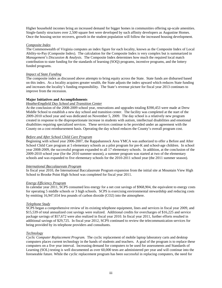Higher household incomes bring an increased demand for bigger homes in communities offering up-scale amenities. Single-family structures over 2,500 square feet were developed by such affinity developers as Augustine Homes. Once the housing sector recovers, growth in the student population will follow the increased housing development.

### *Composite Index*

The Commonwealth of Virginia computes an index figure for each locality, known as the Composite Index of Local Ability-to-Pay (Composite Index). The calculation for the Composite Index is very complex but is summarized in *Management's Discussion & Analysis*. The Composite Index determines how much the required local match contribution to state funding for the standards of learning (SOQ) programs, incentive programs, and the lottery funded programs.

### *Impact of State Funding*

The composite index as discussed above attempts to bring equity across the State. State funds are disbursed based on this index. As a locality acquires greater wealth, the State adjusts the index upward which reduces State funding and increases the locality's funding responsibility. The State's revenue picture for fiscal year 2013 continues to improve from the recession.

### **Major Initiatives and Accomplishments**

### *HeatherEmpfield Day School and Transition Center*

At the conclusion of the 2008-2009 school year, renovations and upgrades totaling \$390,453 were made at Drew Middle School to establish a new day school and transition center. The facility was completed at the start of the 2009-2010 school year and was dedicated on November 5, 2009. The day school is a relatively new program created in response to the disproportionate increase in students with autism, intellectual disabilities and emotional disabilities requiring specialized services. These services continue to be provided under an agreement with the County on a cost reimbursement basis. Operating the day school reduces the County's overall program cost.

### *Before and After School Child Care Program*

Beginning with school year 2006-2007, the Rappahannock Area YMCA was authorized to offer a Before and After School Child Care program at 5 elementary schools as a pilot program for pre-K and school-age children. In school year 2008-2009, the successful program expanded to all 17 elementary schools. In addition, at the conclusion of the 2009-2010 school year (for the 2010 summer season), a summer program was started at two of the elementary schools and was expanded to five elementary schools for the 2010-2011 school year (the 2011 summer season).

### *International Baccalaureate Program*

In fiscal year 2010, the International Baccalaureate Program expansion from the initial site at Mountain View High School to Brooke Point High School was completed for fiscal year 2011.

### *Energy Efficiency Program*

In calendar year 2011, SCPS consumed less energy for a net cost savings of \$968,904, the equivalent to energy costs for operating 5 middle schools or 3 high schools. SCPS is exercising environmental stewardship and reducing costs by emitting 16,947,654 less pounds of carbon dioxide (CO2) into the atmosphere.

### *Telephone Study*

SCPS began a comprehensive review of its existing telephone equipment, lines and services in fiscal year 2009, and \$15,539 of total annualized cost savings were realized. Additional credits for overcharges of \$16,225 and service package savings of \$57,672 were also realized in fiscal year 2010. In fiscal year 2011, further efforts resulted in additional savings of \$29,725. In fiscal year 2012, SCPS continued to review the telecommunication services for being provided by its telephone providers and consultants.

### *Technology*

*Cyclic Computer Replacement Program.*The cyclic replacement of mobile laptop laboratory carts and desktop computers places current technology in the hands of students and teachers. A goal of the program is to replace these computers on a five year interval. Increasing demand for computers to be used for assessments and Standards of Learning (SOL) testing is well documented as over 60,000 tests are administered per year and will continue into the foreseeable future. While the cyclic replacement program has been successful in replacing computers, the need for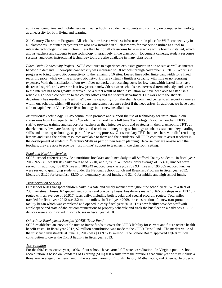additional computers and mobile devices in our schools is evident as students and staff rely on computer technology as a necessity for both living and learning.

21<sup>st</sup> Century Classroom Program. All schools now have a wireless infrastructure in place for Wi-Fi connectivity in all classrooms. Mounted projectors are also now installed in all classrooms for teachers to utilize as a tool to integrate technology into instruction. Less than half of all classrooms have interactive white boards installed, which allows teachers and students to use technology interactively in the classroom. Document cameras, student response systems, and other instructional technology tools are also available in many classrooms.

*Fiber-Optic Connectivity Project.* SCPS continues to experience explosive growth in site-to-site as well as internet bandwidth demand. Fiber-optic connectivity was increased to 18 schools through November 30, 2013. Work is in progress to bring fiber-optic connectivity to the remaining 16 sites. Leased lines offer finite bandwidth for a fixed recurring price, while owning a fiber-optic network offers virtually limitless capacity with little or no recurring expenses. With the installation of our own fiber network, our recurring costs for low-bandwidth leased lines have decreased significantly over the last few years, bandwidth between schools has increased tremendously, and access to the Internet has been greatly improved. As a direct result of fiber installation we have been able to establish a reliable high speed connection to the county offices and the sheriffs department. Our work with the sheriffs department has resulted in a "real time" viewing capability from the sheriffs command center to all security cameras within our schools, which will greatly aid an emergency response effort if the need arises. In addition, we have been able to capitalize on Voice Over IP technology in our new installations.

*Instructional Technology***.** SCPS continues to promote and support the use of technology for instruction in our classrooms from kindergarten to  $12<sup>th</sup>$  grade. Each school has a full time Technology Resource Teacher (TRT) on staff to provide training and support for teachers as they integrate tools and strategies in their classrooms. TRTs at the elementary level are focusing students and teachers on integrating technology to enhance students' keyboarding skills and on using technology as part of the writing process. Our secondary TRTs help teachers with differentiating lessons and using the online resources available to them and their students. All TRTs continue to assist teachers in the development of student 21st Century Skills as part of their lesson planning. Because they are on-site with the teachers, they are able to provide "just in time" support to teachers in the classroom setting.

### *Food and Nutrition Services*

SCPS' school cafeterias provide a nutritious breakfast and lunch daily to all Stafford County students. In fiscal year 2012, 922,881 breakfasts (daily average of 5,210) and 2,788,214 lunches (daily average of 15,450) lunches were served. In addition, 469,816 free and 100,943 reduced breakfasts plus 769,934 free and 190,865 reduced lunches were served to qualifying students under the National School Lunch and Breakfast Program in fiscal year 2012. Meals are \$1.20 for breakfast, \$2.30 for elementary school lunch, and \$2.40 for middle and high school lunch.

### *Transportation Services*

Our school buses transport children daily in a safe and timely manner throughout the school year. With a fleet of 233 mainstream buses, 62 special needs buses and 5 activity buses, bus drivers made 13,165 bus stops over 1137 bus routes with an average of 20,917 riders daily, including both regular and special program routes. Total miles traveled for fiscal year 2012 was 2.2 million miles. In fiscal year 2009, the construction of a new transportation facility began which was completed and opened in early fiscal year 2010. This new facility provides staff with ample space and state-of-the-art communications to properly schedule and track the bus fleet on a daily basis. GPS devices were also installed in some buses in fiscal year 2010.

### *Other Post-Employment Benefits (OPEB) Trust Fund*

SCPS established an irrevocable trust to invest funds to cover the OPEB liability for current and future retiree health benefit costs. In fiscal year 2012, \$2 million contribution was made to the OPEB Trust Fund. The market value of the trust fund investments at June 30, 2012 was \$4,697,715 million. The School Board approved a \$6.8 million contribution to cover the OPEB liability in fiscal year 2013.

### *Accreditation*

For the third consecutive year, 100% of our schools have earned full state accreditation. In Virginia public school accreditation is based on Standards of Learning (SOL) test results from the previous academic year or may include a three year average of achievement in the academic areas of English, History, Mathematics, and Science. In order to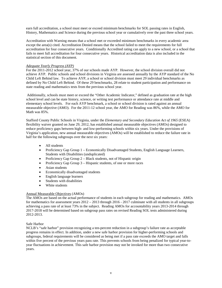earn full accreditation, a school must meet or exceed minimum benchmarks for SOL passing rates in English, History, Mathematics and Science during the previous school year or cumulatively over the past three school years.

Accreditation with Warning means that a school met or exceeded minimum benchmarks in every academic area except the area(s) cited. Accreditation Denied means that the school failed to meet the requirements for full accreditation for four consecutive years. Conditionally Accredited rating can apply to a new school, or a school that fails to meet full accreditation for four consecutive years. Historical accreditation data is also included in the statistical section of this document.

### *Adequate Yearly Progress (AYP)*

For the 2011-2012 school year, 37% of our schools made AYP. However, the school division overall did not achieve AYP. Public schools and school divisions in Virginia are assessed annually by the AYP standard of the No Child Left Behind law. To achieve AYP, a school or school division must meet 29 individual benchmarks as defined by No Child Left Behind. Of these 29 benchmarks, 28 relate to student participation and performance on state reading and mathematics tests from the previous school year.

Additionally, schools must meet or exceed the "Other Academic Indicator," defined as graduation rate at the high school level and can be state history, science, or writing test performance or attendance rate at middle and elementary school levels. For each AYP benchmark, a school or school division is rated against an annual measurable objective (AMO). For the 2011-12 school year, the AMO for Reading was 86%, while the AMO for Math was 85%.

Stafford County Public Schools in Virginia, under the *Elementary and Secondary Education Act of 1965* (ESEA) flexibility waiver granted on June 29, 2012, has established annual measurable objectives (AMOs) designed to reduce proficiency gaps between high- and low-performing schools within six years. Under the provisions of Virginia's application, new annual measurable objectives (AMOs) will be established to reduce the failure rate in half for the following subgroups over the next six years:

- All students
- Proficiency Gap Group 1 Economically Disadvantaged Students, English Language Learners, Students with Disabilities (unduplicated)
- Proficiency Gap Group  $2 Black$  students, not of Hispanic origin
- Proficiency Gap Group 3 Hispanic students, of one or more races
- Asian students
- Economically disadvantaged students
- English language learners
- Students with disabilities
- White students

### Annual Measurable Objectives (AMOs)

The AMOs are based on the actual performance of students in each subgroup for reading and mathematics. AMOs for mathematics for assessment years 2012 – 2013 through 2016 - 2017 culminate with all students in all subgroups achieving a pass rate of at least 73% in the subject. Reading AMOs for accountability years 2013-2014 through 2017-2018 will be determined based on subgroup pass rates on revised Reading SOL tests administered during 2012-2013.

### Safe Harbor

NCLB's "safe harbor" provision recognizing a ten-percent reduction in a subgroup's failure rate as acceptable progress remains in effect. In addition, under a new safe harbor provision for higher-performing schools and subgroups, federal requirements will be considered as being met if a pass rate exceeds the AMO target and falls within five percent of the previous years pass rate. This prevents schools from being penalized for typical year-toyear fluctuations in achievement. This safe harbor provision may not be invoked for more than two consecutive years.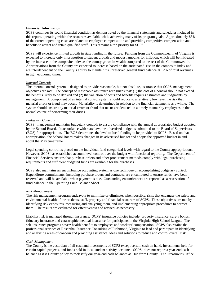### **Financial Information**

SCPS continues its sound financial condition as demonstrated by the financial statements and schedules included in this report, operating within the resources available while achieving many of its program goals. Approximately 85% of the current operating costs are related to employee compensation and providing competitive compensation and benefits to attract and retain qualified staff. This remains a top priority for SCPS.

SCPS will experience limited growth in state funding in the future. Funding from the Commonwealth of Virginia is expected to increase only in proportion to student growth and modest amounts for inflation, which will be mitigated by the increase in the composite index as the county grows in wealth compared to the rest of the Commonwealth. Appropriations from the County are expected to increase based on the anticipated rise in the composite index and are interdependent on the County's ability to maintain its unreserved general fund balance at 12% of total revenues in tight economic times.

### *Internal Controls*

The internal control system is designed to provide reasonable, but not absolute, assurance that SCPS' management objectives are met. The concept of reasonable assurance recognizes that: (1) the cost of a control should not exceed the benefits likely to be derived and (2) the valuation of costs and benefits requires estimates and judgments by management. A component of an internal control system should reduce to a relatively low level the risk that material errors or fraud may occur. Materiality is determined in relation to the financial statements as a whole. The system should ensure any material errors or fraud that occur are detected in a timely manner by employees in the normal course of performing their duties.

### *Budgetary Controls*

SCPS' management maintains budgetary controls to ensure compliance with the annual appropriated budget adopted by the School Board. In accordance with state law, the advertised budget is submitted to the Board of Supervisors (BOS) for appropriation. The BOS determines the level of local funding to be provided to SCPS. Based on that appropriation, the School Board makes changes in its advertised budget and adopts the approved budget in and about the May timeframe.

Legal spending control is placed on the individual fund categorical levels with regard to the County appropriations. However, SCPS has established account level control over the budget with functional reporting. The Department of Financial Services ensures that purchase orders and other procurement methods comply with legal purchasing requirements and sufficient budgeted funds are available for the purchases.

SCPS also maintains an encumbrance accounting system as one technique of accomplishing budgetary control. Expenditure commitments, including purchase orders and contracts, are encumbered to ensure funds have been reserved and will be available when payment is due. Outstanding encumbrances are reported as a reservation of fund balance in the Operating Fund Balance Sheet.

### *Risk Management*

The risk management program endeavors to minimize or eliminate, when possible, risks that endanger the safety and environmental health of the students, staff, property and financial resources of SCPS. These objectives are met by identifying risk exposures, measuring and analyzing them, and implementing appropriate procedures to correct them. The results are evaluated for effectiveness and revised, as necessary.

Liability risk is managed through insurance. SCPS' insurance policies include: property insurance, surety bonds, fiduciary insurance and catastrophic medical insurance for participants in the Virginia High School League. The self-insurance programs cover: health benefits to employees and workers' compensation. SCPS also retains the professional services of Rosenthal Insurance Consulting of Richmond, Virginia to lead and participate in identifying and analyzing areas of concern and providing assistance, ideas and solutions to reduce and control overall risk.

### *Cash Management*

The County is the custodian of all cash and investments of SCPS except certain cash on hand, investments held for certain capital projects, and funds held in local student activity accounts. SCPS' does not report a year-end cash balance as it is County policy to reclassify our year-end cash balances as Due from County. The Treasurer's Office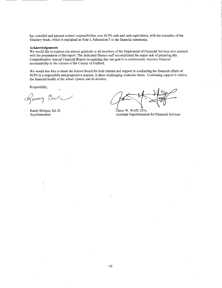has custodial and internal control responsibilities over SCPS cash and cash equivalents, with the exception of the fiduciary funds, which is explained in Note 1, Subsection F to the financial statements.

#### Acknowledgements

We would like to express our sincere gratitude to all members of the Department of Financial Services who assisted with the preparation of this report. The dedicated finance staff accomplished the major task of preparing this Comprehensive Annual Financial Report recognizing that our goal is to continuously improve financial accountability to the citizens of the County of Stafford.

We would also like to thank the School Board for their interest and support in conducting the financial affairs of SCPS in a responsible and progressive manner, in these challenging economic times. Continuing support is vital to the financial health of the school system and its mission.

Respectfully,

 $Bn/c$ raman Í

Randy Bridges, Ed. D. Superintendent

Lance W. Wolff, CPA, Assistant Superintendent for Financial Services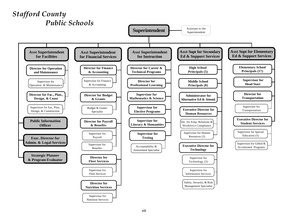# *Stafford County Public Schools*

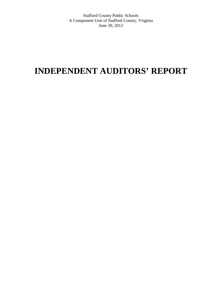Stafford County Public Schools A Component Unit of Stafford County, Virginia June 30, 2012

# **INDEPENDENT AUDITORS' REPORT**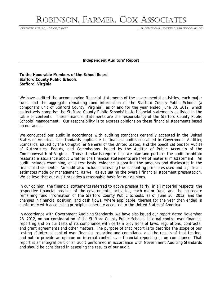ROBINSON, FARMER, COX ASSOCIATES

CERTIFIED PUBLIC ACCOUNTANTS A PROFESSIONAL LIMITED LIABILITY COMPANY

### **Independent Auditors' Report**

### **To the Honorable Members of the School Board Stafford County Public Schools Stafford, Virginia**

We have audited the accompanying financial statements of the governmental activities, each major fund, and the aggregate remaining fund information of the Stafford County Public Schools (a component unit of Stafford County, Virginia), as of and for the year ended June 30, 2012, which collectively comprise the Stafford County Public Schools' basic financial statements as listed in the table of contents. These financial statements are the responsibility of the Stafford County Public Schools' management. Our responsibility is to express opinions on these financial statements based on our audit.

We conducted our audit in accordance with auditing standards generally accepted in the United States of America; the standards applicable to financial audits contained in *Government Auditing Standards*, issued by the Comptroller General of the United States; and the *Specifications for Audits of Authorities, Boards, and Commissions,* issued by the Auditor of Public Accounts of the Commonwealth of Virginia. Those standards require that we plan and perform the audit to obtain reasonable assurance about whether the financial statements are free of material misstatement. An audit includes examining, on a test basis, evidence supporting the amounts and disclosures in the financial statements. An audit also includes assessing the accounting principles used and significant estimates made by management, as well as evaluating the overall financial statement presentation. We believe that our audit provides a reasonable basis for our opinions.

In our opinion, the financial statements referred to above present fairly, in all material respects, the respective financial position of the governmental activities, each major fund, and the aggregate remaining fund information of the Stafford County Public Schools, as of June 30, 2012, and the changes in financial position, and cash flows, where applicable, thereof for the year then ended in conformity with accounting principles generally accepted in the United States of America.

In accordance with *Government Auditing Standards*, we have also issued our report dated November 28, 2012, on our consideration of the Stafford County Public Schools' internal control over financial reporting and on our tests of its compliance with certain provisions of laws, regulations, contracts, and grant agreements and other matters. The purpose of that report is to describe the scope of our testing of internal control over financial reporting and compliance and the results of that testing, and not to provide an opinion on internal control over financial reporting or on compliance. That report is an integral part of an audit performed in accordance with *Government Auditing Standards* and should be considered in assessing the results of our audit.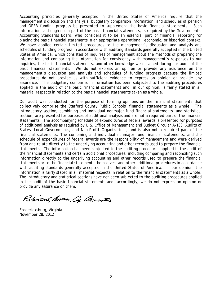Accounting principles generally accepted in the United States of America require that the management's discussion and analysis, budgetary comparison information, and schedules of pension and OPEB funding progress be presented to supplement the basic financial statements. Such information, although not a part of the basic financial statements, is required by the Governmental Accounting Standards Board, who considers it to be an essential part of financial reporting for placing the basic financial statements in an appropriate operational, economic, or historical context. We have applied certain limited procedures to the management's discussion and analysis and schedules of funding progress in accordance with auditing standards generally accepted in the United States of America, which consisted of inquiries of management about the methods of preparing the information and comparing the information for consistency with management's responses to our inquiries, the basic financial statements, and other knowledge we obtained during our audit of the basic financial statements. We do not express an opinion or provide any assurance on the management's discussion and analysis and schedules of funding progress because the limited procedures do not provide us with sufficient evidence to express an opinion or provide any assurance. The budgetary comparison information has been subjected to the auditing procedures applied in the audit of the basic financial statements and, in our opinion, is fairly stated in all material respects in relation to the basic financial statements taken as a whole.

Our audit was conducted for the purpose of forming opinions on the financial statements that collectively comprise the Stafford County Public Schools' financial statements as a whole. The introductory section, combining and individual nonmajor fund financial statements, and statistical section, are presented for purposes of additional analysis and are not a required part of the financial statements. The accompanying schedule of expenditures of federal awards is presented for purposes of additional analysis as required by U.S. Office of Management and Budget Circular A-133, *Audits of States, Local Governments, and Non-Profit Organizations*, and is also not a required part of the financial statements. The combining and individual nonmajor fund financial statements, and the schedule of expenditures of federal awards are the responsibility of management and were derived from and relate directly to the underlying accounting and other records used to prepare the financial statements. The information has been subjected to the auditing procedures applied in the audit of the financial statements and certain additional procedures, including comparing and reconciling such information directly to the underlying accounting and other records used to prepare the financial statements or to the financial statements themselves, and other additional procedures in accordance with auditing standards generally accepted in the United States of America. In our opinion, the information is fairly stated in all material respects in relation to the financial statements as a whole. The introductory and statistical sections have not been subjected to the auditing procedures applied in the audit of the basic financial statements and, accordingly, we do not express an opinion or provide any assurance on them.

Robertson, Tarmen, Cox associates

Fredericksburg, Virginia November 28, 2012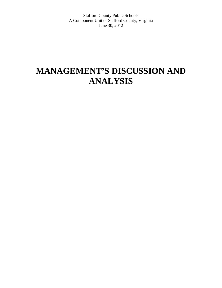Stafford County Public Schools A Component Unit of Stafford County, Virginia June 30, 2012

# **MANAGEMENT'S DISCUSSION AND ANALYSIS**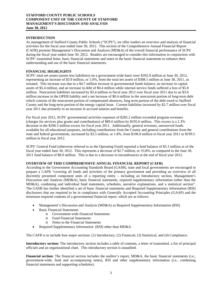### **INTRODUCTION**

As management of Stafford County Public Schools ("SCPS"), we offer readers an overview and analysis of financial activities for the fiscal year ended June 30, 2012. This section of the Comprehensive Annual Financial Report (CAFR) presents Management's Discussion and Analysis (MD&A) of the overall financial performance of SCPS during the fiscal year ended June 30, 2012. Readers are encouraged to consider this information in conjunction with SCPS' transmittal letter, basic financial statements and notes to the basic financial statements to enhance their understanding and use of the basic financial statements.

### **FINANCIAL HIGHLIGHTS**

SCPS' total net assets (assets less liabilities) on a government-wide basis were \$392.0 million at June 30, 2012, representing an increase of \$3.9 million, or 1.0%, from the total net assets of \$388.1 million at June 30, 2011, as restated. This increase was due to a \$4.7 million increase in governmental funds balance, an increase in capital assets of \$5.4 million, and an increase in debt of \$0.4 million while internal service funds suffered a loss of \$5.8 million. Noncurrent liabilities increased by \$3.4 million in fiscal year 2012 over fiscal year 2011 due to an \$3.0 million increase in the OPEB liability and a net increase of \$0.4 million in the noncurrent portion of long-term debt which consists of the noncurrent portion of compensated absences, long term portion of the debt owed to Stafford County and the long-term portion of the energy capital lease. Current liabilities increased by \$2.7 million over fiscal year 2011 due primarily to an increase in accrued salaries and benefits.

For fiscal year 2012, SCPS' governmental activities expenses of \$285.2 million exceeded program revenues (charges for services plus grants and contributions) of \$89.6 million by \$195.6 million. This excess is a 2.3% decrease in the \$200.3 million excess for fiscal year 2011. Additionally, general revenues, unreserved funds available for all educational purposes, including contributions from the County and general contributions from the state and federal governments, increased by \$3.5 million, or 1.8%, from \$196.0 million in fiscal year 2011 to \$199.5 million in fiscal year 2012.

SCPS' General Fund (otherwise referred to as the Operating Fund) reported a fund balance of \$5.3 million as of the fiscal year ended June 30, 2012. This represents a decrease of \$2.7 million, or 33.8%, as compared to the June 30, 2011 fund balance of \$8.0 million. This is due to a decrease in encumbrances at the end of fiscal year 2012.

### **OVERVIEW OF THIS COMPREHENSIVE ANNUAL FINANCIAL REPORT (CAFR)**

According to the Government Accounting Standards Board (GASB), state and local governments are encouraged to prepare a CAFR "covering all funds and activities of the primary government and providing an overview of all discretely presented component units of a reporting entity – including an Introductory section, Management's Discussion and Analysis (MD&A), basic financial statements, required supplementary information (other than the MD&A), combining and individual fund statements, schedules, narrative explanations, and a statistical section". The GASB has further identified a set of basic financial statements and Required Supplementary Information (RSI) disclosures that are required to be in compliance with Generally Accepted Accounting Principles (GAAP) and the minimum required contents of a governmental financial report, which are as follows:

- Management's Discussion and Analysis (MD&A) as Required Supplementary Information (RSI)
- **Basic Financial Statements** 
	- o Government-wide Financial Statements
	- o Fund Financial Statements
	- o Notes to the Financial Statements
- Required Supplementary Information (RSI) other than MD&A

The CAFR is to include four major sections: (1) Introductory, (2) Financial, (3) Statistical, and (4) Compliance.

**Introductory section:** The introductory section includes a table of contents, a letter of transmittal, a list of principal officials and an organizational chart. This introductory section is unaudited.

**Financial section:** The financial section includes the auditor's report, MD&A, the basic financial statements (i.e., government-wide, fund and accompanying notes), RSI and other supplementary information (i.e., combining financial statements and supporting schedules).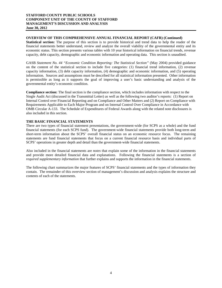### **OVERVIEW OF THIS COMPREHENSIVE ANNUAL FINANCIAL REPORT (CAFR) (Continued)**

**Statistical section:** The purpose of this section is to provide historical and trend data to help the reader of the financial statements better understand, review and analyze the overall viability of the governmental entity and its economic status. This section presents various tables with 10 year historical information on financial trends, revenue capacity, debt capacity, demographic and economic information and operating data. This section is unaudited.

GASB *Statement No. 44 "Economic Condition Reporting: The Statistical Section"* (May 2004) provided guidance on the content of the statistical section to include five categories: (1) financial trend information, (2) revenue capacity information, (3) debt capacity information, (4) demographic and economic information, and (5) operating information. Sources and assumptions must be described for all statistical information presented. Other information is permissible as long as it supports the goal of improving a user's basic understanding and analysis of the governmental entity's economic condition.

**Compliance section:** The final section is the compliance section, which includes information with respect to the Single Audit Act (discussed in the Transmittal Letter) as well as the following two auditor's reports: (1) Report on Internal Control over Financial Reporting and on Compliance and Other Matters and (2) Report on Compliance with Requirements Applicable to Each Major Program and on Internal Control Over Compliance in Accordance with OMB Circular A-133. The Schedule of Expenditures of Federal Awards along with the related note disclosures is also included in this section.

### **THE BASIC FINANCIAL STATEMENTS**

There are two types of financial statement presentations, the government-wide (for SCPS as a whole) and the fund financial statements (for each SCPS fund). The government-wide financial statements provide both long-term and short-term information about the SCPS' overall financial status on an economic resource focus. The remaining statements are fund financial statements that focus on a current financial resource basis and individual parts of SCPS' operations in greater depth and detail than the government-wide financial statements.

Also included in the financial statements are *notes* that explain some of the information in the financial statements and provide more detailed financial data and explanations. Following the financial statements is a section of *required supplementary information* that further explains and supports the information in the financial statements.

The following chart summarizes the major features of SCPS' financial statements and the types of information they contain. The remainder of this overview section of management's discussion and analysis explains the structure and contents of each of the statements.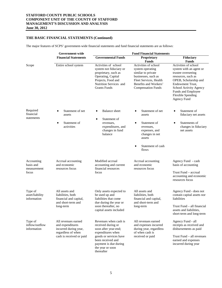### **THE BASIC FINANCIAL STATEMENTS (Continued)**

The major features of SCPS' government-wide financial statements and fund financial statements are as follows:

|                                                 | Government-wide                                                                                                    | <b>Fund Financial Statements</b>                                                                                                                                                                   |                                                                                                                                                                       |                                                                                                                                                                                                                                                   |  |  |  |
|-------------------------------------------------|--------------------------------------------------------------------------------------------------------------------|----------------------------------------------------------------------------------------------------------------------------------------------------------------------------------------------------|-----------------------------------------------------------------------------------------------------------------------------------------------------------------------|---------------------------------------------------------------------------------------------------------------------------------------------------------------------------------------------------------------------------------------------------|--|--|--|
|                                                 | <b>Financial Statements</b>                                                                                        | <b>Governmental Funds</b>                                                                                                                                                                          | Proprietary<br><b>Funds</b>                                                                                                                                           | <b>Fiduciary</b><br><b>Funds</b>                                                                                                                                                                                                                  |  |  |  |
| Scope                                           | Entire school system                                                                                               | Activities of school<br>system not fiduciary or<br>proprietary, such as<br>Operating, Capital<br>Projects, Food and<br>Nutrition Services and<br><b>Grants Funds</b>                               | Activities of school<br>system operating<br>similar to private<br>businesses, such as<br>Fleet Services, Health<br>Benefits and Workers'<br><b>Compensation Funds</b> | Activities of school<br>system with an agent or<br>trustee overseeing<br>resources, such as<br>OPEB, Scholarship and<br><b>Endowment Trust,</b><br>School Activity Agency<br>Funds and Employee<br><b>Flexible Spending</b><br><b>Agency Fund</b> |  |  |  |
| Required<br>financial<br>statements             | Statement of net<br>assets<br>Statement of<br>$\bullet$<br>activities                                              | Balance sheet<br>Statement of<br>revenues,<br>expenditures, and<br>changes in fund<br>balance                                                                                                      | Statement of net<br>٠<br>assets<br>Statement of<br>$\bullet$<br>revenues,<br>expenses, and<br>changes in net<br>assets<br>Statement of cash<br>flows                  | Statement of<br>$\bullet$<br>fiduciary net assets<br>Statements of<br>$\bullet$<br>changes in fiduciary<br>net assets                                                                                                                             |  |  |  |
| Accounting<br>basis and<br>measurement<br>focus | Accrual accounting<br>and economic<br>resources focus                                                              | Modified accrual<br>accounting and current<br>financial resources<br>focus                                                                                                                         | Accrual accounting<br>and economic<br>resources focus                                                                                                                 | Agency Fund - cash<br>basis of accounting<br>Trust Fund – accrual<br>accounting and economic<br>resources focus                                                                                                                                   |  |  |  |
| Type of<br>asset/liability<br>information       | All assets and<br>liabilities, both<br>financial and capital,<br>and short-term and<br>long-term                   | Only assets expected to<br>be used up and<br>liabilities that come<br>due during the year or<br>soon thereafter, no<br>capital assets included                                                     | All assets and<br>liabilities, both<br>financial and capital,<br>and short-term and<br>long-term                                                                      | Agency Fund - does not<br>contain capital assets nor<br>liabilities<br>Trust Fund – all financial<br>assets and liabilities,<br>short-term and long-term                                                                                          |  |  |  |
| Type of<br>inflow/outflow<br>information        | All revenues earned<br>and expenditures<br>incurred during year,<br>regardless of when<br>cash is received or paid | Revenues when cash is<br>received during or<br>soon after year-end;<br>expenditures when<br>goods or services have<br>been received and<br>payment is due during<br>the year or soon<br>thereafter | All revenues earned<br>and expenses incurred<br>during year, regardless<br>of when cash is<br>received or paid                                                        | Agency Fund - all<br>receipts as received and<br>disbursements as paid<br>Trust Fund – all revenues<br>earned and expenses<br>incurred during year                                                                                                |  |  |  |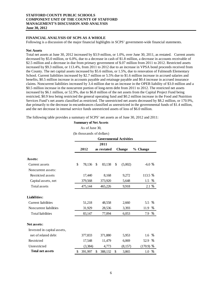### **FINANCIAL ANALYSIS OF SCPS AS A WHOLE**

Following is a discussion of the major financial highlights in SCPS' government-wide financial statements.

### **Net Assets**

Total net assets at June 30, 2012 increased by \$3.9 million, or 1.0%, over June 30, 2011, as restated. Current assets decreased by \$5.0 million, or 6.0%, due to a decrease in cash of \$1.8 million, a decrease in accounts receivable of \$2.5 million and a decrease in due from primary government of \$.07 million from 2011 to 2012. Restricted assets increased by \$9.3 million, or 113.4%, from 2011 to 2012 due to an increase in VPSA bond proceeds received from the County. The net capital assets increased by \$5.6 million, or 1.5%, due to renovation of Falmouth Elementary School. Current liabilities increased by \$2.7 million or 5.5% due to \$1.6 million increase in accrued salaries and benefits, \$0.5 million increase in accounts payable and retainage payable and \$0.4 increase in accrued insurance claims. Noncurrent liabilities increased by 3.4 million due to an increase in the OPEB liability of \$3.0 million and a \$0.5 million increase in the noncurrent portion of long-term debt from 2011 to 2012. The restricted net assets increased by \$6.1 million, or 52.9%, due to \$6.8 million of the net assets from the Capital Project Fund being restricted, \$0.9 less being restricted the general operating fund and \$0.2 million increase in the Food and Nutrition Services Fund's net assets classified as restricted. The unrestricted net assets decreased by \$8.2 million, or 170.9%, due primarily to the decrease in encumbrances classified as unrestricted in the governmental funds of \$1.4 million, and the net decrease in internal service funds unrestricted assets of loss of \$6.0 million.

The following table provides a summary of SCPS' net assets as of June 30, 2012 and 2011:

#### **Summary of Net Assets**

As of June 30,

(In thousands of dollars)

|                             | <b>Governmental Activities</b> |         |    |             |    |               |             |  |  |  |  |  |
|-----------------------------|--------------------------------|---------|----|-------------|----|---------------|-------------|--|--|--|--|--|
|                             |                                |         |    | 2011        |    |               |             |  |  |  |  |  |
|                             |                                | 2012    |    | as restated |    | <b>Change</b> | % Change    |  |  |  |  |  |
| Assets:                     |                                |         |    |             |    |               |             |  |  |  |  |  |
| Current assets              | \$                             | 78,136  | \$ | 83,138      | \$ | (5,002)       | $-6.0\%$    |  |  |  |  |  |
| Noncurrent assets:          |                                |         |    |             |    |               |             |  |  |  |  |  |
| Restricted assets           |                                | 17,440  |    | 8,168       |    | 9,272         | 113.5 %     |  |  |  |  |  |
| Capital assets, net         |                                | 379,568 |    | 373,920     |    | 5,648         | 1.5 %       |  |  |  |  |  |
| Total assets                |                                | 475,144 |    | 465,226     |    | 9,918         | 2.1 %       |  |  |  |  |  |
| Liabilities:                |                                |         |    |             |    |               |             |  |  |  |  |  |
| Current liabilities         |                                | 51,218  |    | 48,558      |    | 2,660         | 5.5 %       |  |  |  |  |  |
| Noncurrent liabilities      |                                | 31,929  |    | 28,536      |    | 3,393         | %<br>11.9   |  |  |  |  |  |
| <b>Total liabilities</b>    |                                | 83,147  |    | 77,094      |    | 6,053         | %<br>7.9    |  |  |  |  |  |
| Net assets:                 |                                |         |    |             |    |               |             |  |  |  |  |  |
| Invested in capital assets, |                                |         |    |             |    |               |             |  |  |  |  |  |
| net of related debt         |                                | 377,833 |    | 371,880     |    | 5,953         | 1.6 $%$     |  |  |  |  |  |
| Restricted                  |                                | 17,548  |    | 11,479      |    | 6,069         | - %<br>52.9 |  |  |  |  |  |
| Unrestricted                |                                | (3,384) |    | 4,773       |    | (8,157)       | $(170.9)$ % |  |  |  |  |  |
| <b>Total net assets</b>     | \$                             | 391,997 | \$ | 388,132     | \$ | 3,865         | 1.0<br>%    |  |  |  |  |  |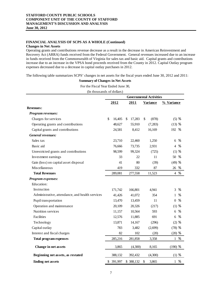### **FINANCIAL ANALYSIS OF SCPS AS A WHOLE (Continued)**

### **Changes in Net Assets**

Operating grants and contributions revenue decrease as a result in the decrease in American Reinvestment and Recovery Act (ARRA) funds received from the Federal Government. General revenues increased due to an increase in funds received from the Commonwealth of Virginia for sales tax and basic aid. Capital grants and contributions increase due to an increase in the VPSA bond proceeds received from the County in 2012. Capital Outlay program expenses decreased due to a decrease in capital outlay purchases in 2012.

The following table summarizes SCPS' changes in net assets for the fiscal years ended June 30, 2012 and 2011:

#### **Summary of Changes in Net Assets**

For the Fiscal Year Ended June 30,

| (In thousands of dollars)                       |                                |            |    |           |    |                 |              |          |  |  |  |
|-------------------------------------------------|--------------------------------|------------|----|-----------|----|-----------------|--------------|----------|--|--|--|
|                                                 | <b>Governmental Activities</b> |            |    |           |    |                 |              |          |  |  |  |
|                                                 |                                | 2012       |    | 2011      |    | <b>Variance</b> | % Variance   |          |  |  |  |
| <b>Revenues:</b>                                |                                |            |    |           |    |                 |              |          |  |  |  |
| Program revenues:                               |                                |            |    |           |    |                 |              |          |  |  |  |
| Charges for services                            | \$                             | 16,405     | \$ | 17,283    | \$ | (878)           |              | (5) %    |  |  |  |
| Operating grants and contributions              |                                | 48,627     |    | 55,910    |    | (7,283)         |              | $(13)$ % |  |  |  |
| Capital grants and contributions                |                                | 24,581     |    | 8,412     |    | 16,169          |              | 192 %    |  |  |  |
| <b>General revenues:</b>                        |                                |            |    |           |    |                 |              |          |  |  |  |
| Sales tax                                       |                                | 23,710     |    | 22,460    |    | 1,250           | 6            | %        |  |  |  |
| Basic aid                                       |                                | 76,666     |    | 73,735    |    | 2,931           |              | 4 %      |  |  |  |
| Unrestricted grants and contributions           |                                | 98,599     |    | 99,324    |    | (725)           |              | $(1)$ %  |  |  |  |
| Investment earnings                             |                                | 33         |    | 22        |    | 11              |              | 50 %     |  |  |  |
| Gain (loss) on capital asset disposal           |                                | 41         |    | 80        |    | (39)            |              | $(49)$ % |  |  |  |
| Miscellaneous                                   |                                | 419        |    | 332       |    | 87              |              | 26 %     |  |  |  |
| <b>Total Revenues</b>                           |                                | 289,081    |    | 277,558   |    | 11,523          |              | 4 %      |  |  |  |
| Program expenses:                               |                                |            |    |           |    |                 |              |          |  |  |  |
| Education:                                      |                                |            |    |           |    |                 |              |          |  |  |  |
| Instruction                                     |                                | 171,742    |    | 166,801   |    | 4,941           | 3            | %        |  |  |  |
| Administrative, attendance, and health services |                                | 41,426     |    | 41,072    |    | 354             |              | $1\%$    |  |  |  |
| Pupil transportation                            |                                | 13,470     |    | 13,459    |    | 11              | 0            | %        |  |  |  |
| Operation and maintenance                       |                                | 20,109     |    | 20,326    |    | (217)           |              | $(1)$ %  |  |  |  |
| Nutrition services                              |                                | 11,157     |    | 10,564    |    | 593             | 6            | %        |  |  |  |
| <b>Facilities</b>                               |                                | 12,576     |    | 11,885    |    | 691             | 6            | %        |  |  |  |
| Technology                                      |                                | 13,871     |    | 14,167    |    | (296)           |              | $(2)$ %  |  |  |  |
| Capital outlay                                  |                                | 783        |    | 3,482     |    | (2,699)         |              | $(78)$ % |  |  |  |
| Interest and fiscal charges                     |                                | 82         |    | 102       |    | (20)            |              | $(20)$ % |  |  |  |
| <b>Total program expenses</b>                   |                                | 285,216    |    | 281,858   |    | 3,358           | $\mathbf{1}$ | %        |  |  |  |
| <b>Change in net assets</b>                     |                                | 3,865      |    | (4,300)   |    | 8,165           | $(190)$ %    |          |  |  |  |
| Beginning net assets, as restated               |                                | 388,132    |    | 392,432   |    | (4,300)         |              | (1) %    |  |  |  |
| <b>Ending net assets</b>                        |                                | \$ 391,997 |    | \$388,132 | \$ | 3,865           |              | 1 %      |  |  |  |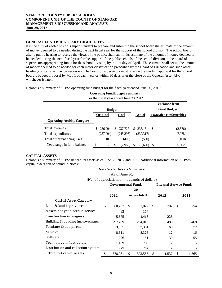### **GENERAL FUND BUDGETARY HIGHLIGHTS**

It is the duty of each division's superintendent to prepare and submit to the school board the estimate of the amount of money deemed to be needed during the next fiscal year for the support of the school division. The school board, after a public hearing to receive the views of the public, shall submit its estimate of the amount of money deemed to be needed during the next fiscal year for the support of the public schools of the school division to the board of supervisors appropriating funds for the school division, by the 1st day of April. The estimate shall set up the amount of money deemed to be needed for each major classification prescribed by the Board of Education and such other headings or items as may be necessary. The board of supervisors must provide the funding approval for the school board's budget proposal by May 1 of each year or within 30 days after the close of the General Assembly, whichever is later.

Below is a summary of SCPS' operating fund budget for the fiscal year ended June 30, 2012:

| Operating Fund Dudget Bunning y         |    |               |   |            |   |                     |    |                         |  |  |  |  |  |
|-----------------------------------------|----|---------------|---|------------|---|---------------------|----|-------------------------|--|--|--|--|--|
| For the fiscal year ended June 30, 2012 |    |               |   |            |   |                     |    |                         |  |  |  |  |  |
|                                         |    |               |   |            |   |                     |    | Variance from           |  |  |  |  |  |
|                                         |    | <b>Budget</b> |   |            |   | <b>Final Budget</b> |    |                         |  |  |  |  |  |
|                                         |    | Original      |   | Final      |   | Actual              |    | Favorable (Unfavorable) |  |  |  |  |  |
| <b>Operating Activity Category</b>      |    |               |   |            |   |                     |    |                         |  |  |  |  |  |
| Total revenues                          | S. | 236,994       |   | \$237,727  |   | \$235,151           | -8 | (2,576)                 |  |  |  |  |  |
| Total expenditures                      |    | (237,094)     |   | (245, 295) |   | (237,317)           |    | 7,978                   |  |  |  |  |  |
| Total other financing uses              |    | 100           |   | (400)      |   | (500)               |    | (100)                   |  |  |  |  |  |
| Net change in fund balance              | \$ |               | S | (7,968)    | S | (2.666)             | S  | 5,302                   |  |  |  |  |  |

## **Operating Fund Budget Summary**

### **CAPITAL ASSETS**

Below is a summary of SCPS' net capital assets as of June 30, 2012 and 2011. Additional information on SCPS's capital assets can be found in Note 8.

### **Net Capital Assets Summary**

As of June 30,

| (Net of depreciation, in thousands of dollars) |    |                           |    |             |    |                               |               |             |  |  |  |  |
|------------------------------------------------|----|---------------------------|----|-------------|----|-------------------------------|---------------|-------------|--|--|--|--|
|                                                |    | <b>Governmental Funds</b> |    |             |    | <b>Internal Service Funds</b> |               |             |  |  |  |  |
|                                                |    |                           |    |             |    |                               |               |             |  |  |  |  |
|                                                |    | 2012                      |    | as restated |    | 2012                          |               | <b>2011</b> |  |  |  |  |
| <b>Capital Asset Category</b>                  |    |                           |    |             |    |                               |               |             |  |  |  |  |
| Land & land improvements                       | \$ | 60,767                    | \$ | 61,077      | \$ | 707                           | <sup>\$</sup> | 754         |  |  |  |  |
| Assets not yet placed in service               |    | 82                        |    | 154         |    |                               |               |             |  |  |  |  |
| Construction in progress                       |    | 5,675                     |    | 4,413       |    | 225                           |               |             |  |  |  |  |
| Building & building improvements               |    | 297,769                   |    | 294,012     |    | 486                           |               | 468         |  |  |  |  |
| Furniture $&$ equipment                        |    | 3,337                     |    | 3,361       |    | 68                            |               | 72          |  |  |  |  |
| <b>Vehicles</b>                                |    | 8,811                     |    | 8,326       |    | 12                            |               | 16          |  |  |  |  |
| Software                                       |    | 206                       |    | 181         |    | 39                            |               | 55          |  |  |  |  |
| Technology infrastructure                      |    | 1,159                     |    | 769         |    |                               |               |             |  |  |  |  |
| Distribution and collection system             |    | 225                       |    | 262         |    |                               |               |             |  |  |  |  |
| Total net capital assets                       | \$ | 378,031                   | S  | 372,555     | \$ | 1,537                         | \$            | 1,365       |  |  |  |  |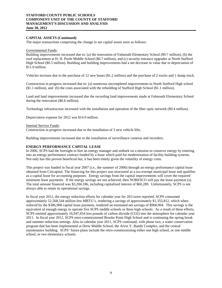### **CAPITAL ASSETS (Continued)**

The major transactions comprising the change in net capital assets were as follows:

### Governmental Funds:

Building improvements increased due to: (a) the renovation of Falmouth Elementary School (\$9.7 million), (b) the roof replacement at H. H. Poole Middle School (\$0.7 million), and (c) security entrance upgrades at North Stafford High School (\$0.5 million). Building and building improvements had a net decrease in value due to depreciation of \$11.0 million.

Vehicles increase due to the purchase of 12 new buses (\$1.2 million) and the purchase of 2 trucks and 1 dump truck.

Construction in progress increased due to: (a) numerous uncompleted improvements to North Stafford High school (\$1.1 million), and (b) the costs associated with the rebuilding of Stafford High School (\$1.1 million).

Land and land improvements increased due the recording land improvements made at Falmouth Elementary School during the renovation (\$0.6 million).

Technology infrastructure increased with the installation and operation of the fiber optic network (\$0.4 million).

Depreciation expense for 2012 was \$14.9 million.

Internal Service Funds:

Construction in progress increased due to the installation of 3 new vehicle lifts.

Building improvements increased due to the installation of surveillance cameras and recorders.

### **ENERGY PERFORMANCE CAPITAL LEASE**

In 2006, SCPS had the foresight to hire an energy manager and embark on a mission to conserve energy by entering into an energy performance contract funded by a lease which paid for modernization of facility building systems. Not only has this proven beneficial but, it has been timely given the volatility of energy costs.

This project was funded in fiscal year 2007 (i.e., the summer of 2006) through an energy performance capital lease obtained from Citicapital. The financing for this project was structured as a tax-exempt municipal lease and qualifies as a capital lease for accounting purposes. Energy savings from the capital improvements will cover the required minimum lease payments. If the energy savings are not achieved, then NORESCO will pay the lease payment (s). The total amount financed was \$3,204,186, including capitalized interest of \$60,289. Unfortunately, SCPS is not always able to retain its operational savings.

In fiscal year 2012, the energy reduction efforts for calendar year for 2011were reported. SCPS consumed approximately 52,568,544 million less MBTU's, rendering a savings of approximately \$1,355,812, which when reduced by the \$386,908 capital lease payment, rendered an estimated net savings of \$968,904. This savings is the equivalent of enough energy to operate five SCPS middle schools or three high schools. As a result of these efforts, SCPS emitted approximately 16,947,654 less pounds of carbon dioxide (CO2) into the atmosphere for calendar year 2011. In fiscal year 2012, SCPS retro-commissioned Brooke Point High School and is continuing the spring break and summer reduction settings. Also in calendar year 2011, SCPS continued, with phase two, a water conservation program that has been implemented at Drew Middle School, the Alvin Y. Bandy Complex, and the central maintenance building. SCPS' future plans include the retro-commissioning either one high school, or one middle school, or two elementary schools.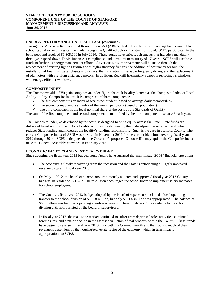### **ENERGY PERFORMANCE CAPITAL LEASE (continued)**

Through the American Recovery and Reinvestment Act (ARRA), federally subsidized financing for certain public school capital expenditures can be made through the Qualified School Construction Bond. SCPS participated in the bond pool and received \$1,305,000 in July 2010. These bonds have strict requirements that include a mandatory three- year spend-down, Davis-Bacon Act compliance, and a maximum maturity of 17 years. SCPS will use these funds to further its energy management efforts. At various sites improvements will be made through the replacement of existing lighting fixtures with high-efficiency fixtures, the addition of occupancy sensors, the installation of low flush water closets and urinals, the installation of variable frequency drives, and the replacement of old motors with premium efficiency motors. In addition, Rockhill Elementary School is replacing its windows with energy efficient windows.

### **COMPOSITE INDEX**

The Commonwealth of Virginia computes an index figure for each locality, known as the Composite Index of Local Ability-to-Pay (Composite Index). It is comprised of three components:

- $\checkmark$  The first component is an index of wealth per student (based on average daily membership)
- $\checkmark$  The second component is an index of the wealth per capita (based on population)
- $\checkmark$  The third component is the local nominal share of the costs of the Standards of Quality

The sum of the first component and second component is multiplied by the third component - set at .45 each year.

The Composite Index, as developed by the State, is designed to bring equity across the State. State funds are disbursed based on this index. As a locality acquires greater wealth, the State adjusts the index upward, which reduces State funding and increases the locality's funding responsibility. Such is the case in Stafford County. The current Composite Index of .3305 was released in November 2011 for the current biennium covering fiscal years 2012 through 2014. SCPS anticipates that the Governor's proposed Caboose Bill may update the Composite Index once the General Assembly convenes in February 2013.

### **ECONOMIC FACTORS AND NEXT YEAR'S BUDGET**

Since adopting the fiscal year 2013 budget, some factors have surfaced that may impact SCPS' financial operations:

- The economy is slowly recovering from the recession and the State is anticipating a slightly improved revenue picture in fiscal year 2013.
- On May 1, 2012, the board of supervisors unanimously adopted and approved fiscal year 2013 County budgets, in resolution, R12-87. The resolution encouraged the school board to implement salary increases for school employees.
- The County's fiscal year 2013 budget adopted by the board of supervisors included a local operating transfer to the school division of \$106.8 million, but only \$101.5 million was appropriated. The balance of \$5.3 million was held back pending a mid-year review. These funds won't be available to the school division until appropriated by the board of supervisors.
- In fiscal year 2012, the real estate market continued to suffer from depressed sales activities, continued foreclosures, and a major decline in the assessed valuation of real property within the County. These trends have begun to reverse in fiscal year 2013. For both the Commonwealth and the County, much of their revenue is dependent on the housing/real estate sector of the economy, which in turn impacts appropriations to SCPS.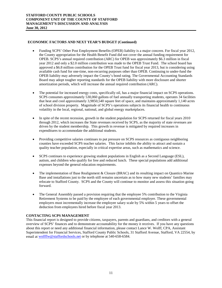### **ECONOMIC FACTORS AND NEXT YEAR'S BUDGET (Continued)**

- Funding SCPS' Other Post Employment Benefits (OPEB) liability is a major concern. For fiscal year 2012, the County appropriation for the Health Benefit Fund did not cover the annual funding requirement for OPEB. SCPS's annual required contribution (ARC) for OPEB was approximately \$6.3 million in fiscal year 2012 and only a \$2.0 million contribution was made to the OPEB Trust Fund. The school board has approved a \$6.8 million contribution for the OPEB Trust fund for fiscal year 2013, but is considering using available cash fund for one-time, non-recurring purposes other than OPEB. Continuing to under-fund the OPEB liability may adversely impact the County's bond rating. The Governmental Accounting Standards Board may adopt tougher reporting standards for the OPEB liability with more disclosure and shorter amortization periods, which will increase the annual required contribution (ARC).
- The potential for increased energy costs, specifically oil, has a major financial impact on SCPS operations. SCPS consumes approximately 530,060 gallons of fuel annually transporting students, operates 34 facilities that heat and cool approximately 3,9850,540 square feet of space, and maintains approximately 1,140 acres of school division property. Magnitude of SCPS's operations subjects its financial health to continuous volatility in the local, regional, national, and global energy marketplaces.
- In spite of the recent recession, growth in the student population for SCPS returned for fiscal years 2010 through 2012, which increases the State revenues received by SCPS, as the majority of state revenues are driven by the student membership. This growth in revenue is mitigated by required increases in expenditures to accommodate the additional students.
- Providing competitive salaries continues to put pressure on SCPS resources as contiguous neighboring counties have exceeded SCPS teacher salaries. This factor inhibits the ability to attract and sustain a quality teacher population, especially in critical expertise areas, such as mathematics and science.
- SCPS continues to experience growing student populations in English as a Second Language (ESL), autism, and children who qualify for free and reduced lunch. These special populations add additional expenses beyond the general education requirements.
- The implementation of Base Realignment & Closure (BRAC) and its resulting impact on Quantico Marine Base and installations just to the north still remains uncertain as to how many new students' families may relocate to Stafford County. SCPS and the County will continue to monitor and assess this situation going forward.
- The General Assembly passed a provision requiring that the employee 5% contribution to the Virginia Retirement Systems to be paid by the employee of each governmental employer. These governmental employers must incrementally increase the employee salary scale by 5% within 5 years to offset the deduction from employees hired before fiscal year 2013.

### **CONTACTING SCPS MANAGEMENT**

This financial report is designed to provide citizens, taxpayers, parents and guardians, and creditors with a general overview of SCPS' finances and to demonstrate accountability for the money it receives. If you have any questions about this report or need any additional financial information, please contact Lance W. Wolff, CPA, Assistant Superintendent for Financial Services, Stafford County Public Schools, 31 Stafford Avenue, Stafford, VA 22554, by email at [wolfflw@staffordschools.net](mailto:wolfflw@staffordschools.net) or by telephone at 540-658-6584.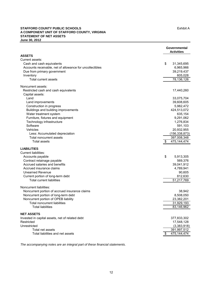### **STAFFORD COUNTY PUBLIC SCHOOLS** Exhibit A **A COMPONENT UNIT OF STAFFORD COUNTY, VIRGINIA STATEMENT OF NET ASSETS June 30, 2012**

|                                                          | Governmental<br><b>Activities</b> |
|----------------------------------------------------------|-----------------------------------|
| <b>ASSETS</b>                                            |                                   |
| Current assets:                                          |                                   |
| Cash and cash equivalents                                | \$<br>31,345,695                  |
| Accounts receivable, net of allowance for uncollectibles | 6,965,966                         |
| Due from primary government                              | 39,219,437                        |
| Inventory                                                | 605,028<br>78,136,126             |
| Total current assets                                     |                                   |
| Noncurrent assets:                                       |                                   |
| Restricted cash and cash equivalents                     | 17,440,260                        |
| Capital assets:                                          |                                   |
| Land                                                     | 33,075,704                        |
| Land improvements                                        | 39,608,605                        |
| Construction in progress                                 | 5,982,472                         |
| Buildings and building improvements                      | 424,513,072                       |
| Water treatment system                                   | 635,154                           |
| Furniture, fixtures and equipment                        | 9,291,062                         |
| Technology infrastructure                                | 1,276,834                         |
| Software                                                 | 591,103                           |
| Vehicles                                                 | 20,932,955                        |
| Less: Accumulated depreciation                           | (156, 338, 873)                   |
| Total noncurrent assets                                  | 397,008,348                       |
| <b>Total assets</b>                                      | 475, 144, 474                     |
| <b>LIABILITIES</b>                                       |                                   |
| Current liabilities:                                     |                                   |
| Accounts payable                                         | \$<br>5,913,305                   |
| Contract retainage payable                               | 569,376                           |
| Accrued salaries and benefits                            | 39,041,912                        |
| Accrued insurance claims                                 | 4,789,941                         |
| <b>Unearned Revenue</b>                                  | 90,605                            |
| Current portion of long-term debt                        | 812,630                           |
| <b>Total current liabilities</b>                         | 51,217,769                        |
| Noncurrent liabilities:                                  |                                   |
| Noncurrent portion of accrued insurance claims           | 38,942                            |
| Noncurrent portion of long-term debt                     | 8,508,050                         |
| Noncurrent portion of OPEB liability                     | 23,382,201                        |
| <b>Total noncurrent liabilities</b>                      | 31,929,193                        |
| Total liabilities                                        | 83,146,962                        |
| <b>NET ASSETS</b>                                        |                                   |
| Invested in capital assets, net of related debt          | 377,833,302                       |
| Restricted                                               | 17,548,128                        |
| Unrestricted                                             | (3,383,918)                       |
| Total net assets                                         | 391,997,512                       |
| Total liabilities and net assets                         | 475, 144, 474                     |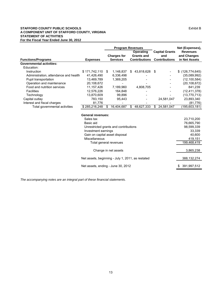### **STAFFORD COUNTY PUBLIC SCHOOLS** Exhibit B **A COMPONENT UNIT OF STAFFORD COUNTY, VIRGINIA STATEMENT OF ACTIVITIES For the Fiscal Year Ended June 30, 2012**

|                                       |                                                   | <b>Program Revenues</b> |                                                                                    |    |                             |    |                              | Net (Expenses),   |
|---------------------------------------|---------------------------------------------------|-------------------------|------------------------------------------------------------------------------------|----|-----------------------------|----|------------------------------|-------------------|
|                                       |                                                   |                         |                                                                                    |    | <b>Operating</b>            |    | <b>Capital Grants</b>        | <b>Revenues</b>   |
| <b>Functions/Programs</b>             | <b>Expenses</b>                                   |                         | <b>Charges for</b><br><b>Grants and</b><br><b>Contributions</b><br><b>Services</b> |    | and<br><b>Contributions</b> |    | and Changes<br>in Net Assets |                   |
| <b>Governmental activities:</b>       |                                                   |                         |                                                                                    |    |                             |    |                              |                   |
| Education:                            |                                                   |                         |                                                                                    |    |                             |    |                              |                   |
| Instruction                           | \$171,742,110                                     | \$                      | 1,148,837                                                                          | \$ | 43,818,628 \$               |    |                              | \$(126, 774, 645) |
| Administration, attendance and health | 41,426,490                                        |                         | 6,336,498                                                                          |    |                             |    |                              | (35,089,992)      |
| Pupil transportation                  | 13,469,789                                        |                         | 1,369,205                                                                          |    |                             |    |                              | (12, 100, 584)    |
| Operation and maintenance             | 20,108,672                                        |                         |                                                                                    |    |                             |    |                              | (20, 108, 672)    |
| Food and nutrition services           | 11,157,426                                        |                         | 7,189,960                                                                          |    | 4,808,705                   |    |                              | 841,239           |
| <b>Facilities</b>                     | 12,576,226                                        |                         | 164,848                                                                            |    |                             |    |                              | (12, 411, 378)    |
| Technology                            | 13,870,609                                        |                         | 99,896                                                                             |    |                             |    |                              | (13,770,713)      |
| Capital outlay                        | 783,150                                           |                         | 95,443                                                                             |    |                             |    | 24,581,047                   | 23,893,340        |
| Interest and fiscal charges           | 81,776                                            |                         |                                                                                    |    |                             |    |                              | (81, 776)         |
| Total governmental activities         | \$285,216,248                                     | \$                      | 16,404,687                                                                         | \$ | 48,627,333                  | \$ | 24,581,047                   | (195,603,181)     |
|                                       |                                                   |                         |                                                                                    |    |                             |    |                              |                   |
|                                       | <b>General revenues:</b>                          |                         |                                                                                    |    |                             |    |                              |                   |
|                                       | Sales tax                                         |                         |                                                                                    |    |                             |    |                              | 23,710,200        |
|                                       | Basic aid                                         |                         |                                                                                    |    |                             |    |                              | 76,665,790        |
|                                       | Unrestricted grants and contributions             |                         |                                                                                    |    |                             |    |                              | 98,599,339        |
|                                       | Investment earnings                               |                         |                                                                                    |    |                             |    |                              | 33,339            |
|                                       | Gain on capital asset disposal                    |                         |                                                                                    |    |                             |    |                              | 40,600            |
|                                       | Miscellaneous                                     |                         |                                                                                    |    |                             |    |                              | 419,151           |
|                                       |                                                   |                         | Total general revenues                                                             |    |                             |    |                              | 199,468,419       |
|                                       |                                                   |                         | Change in net assets                                                               |    |                             |    |                              | 3,865,238         |
|                                       | Net assets, beginning - July 1, 2011, as restated |                         |                                                                                    |    |                             |    |                              | 388,132,274       |
|                                       | Net assets, ending - June 30, 2012                |                         |                                                                                    |    |                             |    |                              | 391,997,512       |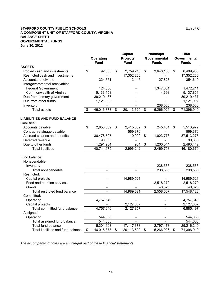### **STAFFORD COUNTY PUBLIC SCHOOLS** Exhibit C **A COMPONENT UNIT OF STAFFORD COUNTY, VIRGINIA BALANCE SHEET GOVERNMENTAL FUNDS June 30, 2012**

|                                     |                          | <b>Operating</b><br><b>Fund</b> |                          | <b>Capital</b><br><b>Projects</b><br><b>Fund</b> |                          | Nonmajor<br>Governmental<br><b>Funds</b> |                          | Total<br>Governmental<br><b>Funds</b> |
|-------------------------------------|--------------------------|---------------------------------|--------------------------|--------------------------------------------------|--------------------------|------------------------------------------|--------------------------|---------------------------------------|
| <b>ASSETS</b>                       |                          |                                 |                          |                                                  |                          |                                          |                          |                                       |
| Pooled cash and investments         | \$                       | 92,605                          | \$                       | 2,759,215                                        | \$                       | 3,648,163                                | \$                       | 6,499,983                             |
| Restricted cash and investments     |                          |                                 |                          | 17,352,260                                       |                          |                                          |                          | 17,352,260                            |
| Accounts receivable                 |                          | 324,651                         |                          | 2,145                                            |                          | 27,823                                   |                          | 354,619                               |
| Intergovernmental receivables:      |                          |                                 |                          |                                                  |                          |                                          |                          |                                       |
| <b>Federal Government</b>           |                          | 124,530                         |                          |                                                  |                          | 1,347,681                                |                          | 1,472,211                             |
| Commonwealth of Virginia            |                          | 5,133,158                       |                          |                                                  |                          | 4,693                                    |                          | 5,137,851                             |
| Due from primary government         |                          | 39,219,437                      |                          |                                                  |                          |                                          |                          | 39,219,437                            |
| Due from other funds                |                          | 1,121,992                       |                          |                                                  |                          |                                          |                          | 1,121,992                             |
| Inventory                           |                          |                                 |                          |                                                  |                          | 238,566                                  |                          | 238,566                               |
| <b>Total assets</b>                 | \$                       | 46,016,373                      | $\overline{\mathcal{S}}$ | 20,113,620                                       | $\overline{\mathcal{S}}$ | 5,266,926                                | $\overline{\mathcal{S}}$ | 71,396,919                            |
|                                     |                          |                                 |                          |                                                  |                          |                                          |                          |                                       |
| <b>LIABILITIES AND FUND BALANCE</b> |                          |                                 |                          |                                                  |                          |                                          |                          |                                       |
| Liabilities:                        |                          |                                 |                          |                                                  |                          |                                          |                          |                                       |
| Accounts payable                    | \$                       | 2,853,509                       | S                        | 2,415,032                                        | \$                       | 245,431                                  | \$                       | 5,513,972                             |
| Contract retainage payable          |                          |                                 |                          | 569,376                                          |                          |                                          |                          | 569,376                               |
| Accrued salaries and benefits       |                          | 36,478,597                      |                          | 10,900                                           | \$                       | 1,023,778                                |                          | 37,513,275                            |
| Deferred revenue                    |                          | 90,605                          |                          |                                                  |                          |                                          |                          | 90,605                                |
| Due to other funds                  |                          | 1,291,964                       |                          | 934                                              | \$                       | 1,200,544                                |                          | 2,493,442                             |
| <b>Total liabilities</b>            |                          | 40,714,675                      |                          | 2,996,242                                        |                          | 2,469,753                                |                          | 46,180,670                            |
| Fund balance:                       |                          |                                 |                          |                                                  |                          |                                          |                          |                                       |
| Nonspendable:                       |                          |                                 |                          |                                                  |                          |                                          |                          |                                       |
| Inventory                           |                          |                                 |                          |                                                  |                          | 238,566                                  |                          | 238,566                               |
| Total nonspendable                  |                          |                                 |                          |                                                  |                          | 238,566                                  |                          | 238,566                               |
| Restricted:                         |                          |                                 |                          |                                                  |                          |                                          |                          |                                       |
| Capital projects                    |                          |                                 |                          | 14,989,521                                       |                          |                                          |                          | 14,989,521                            |
| Food and nutrition services         |                          |                                 |                          |                                                  |                          | 2,518,279                                |                          | 2,518,279                             |
| Grants                              |                          |                                 |                          |                                                  |                          | 40,328                                   |                          | 40,328                                |
| Total restricted fund balance       |                          |                                 |                          | 14,989,521                                       |                          | 2,558,607                                |                          | $\overline{17}, 548, 128$             |
| Committed:                          |                          |                                 |                          |                                                  |                          |                                          |                          |                                       |
| Operating                           |                          | 4,757,640                       |                          |                                                  |                          |                                          |                          | 4,757,640                             |
| Capital projects                    |                          |                                 |                          | 2,127,857                                        |                          |                                          |                          | 2,127,857                             |
| Total committed fund balance        |                          | 4,757,640                       |                          | 2,127,857                                        |                          |                                          |                          | 6,885,497                             |
| Assigned:                           |                          |                                 |                          |                                                  |                          |                                          |                          |                                       |
| Operating                           |                          | 544,058                         |                          |                                                  |                          |                                          |                          | 544,058                               |
| Total assigned fund balance         |                          | 544,058                         |                          |                                                  |                          |                                          |                          | 544,058                               |
| Total fund balance                  |                          | 5,301,698                       |                          | 17,117,378                                       |                          | 2,797,173                                |                          | 25,216,249                            |
| Total liabilities and fund balance  | $\overline{\mathcal{S}}$ | 46,016,373                      | \$                       | 20,113,620                                       | \$                       | 5,266,926                                | \$                       | 71,396,919                            |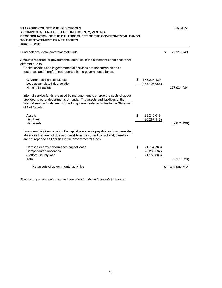### **STAFFORD COUNTY PUBLIC SCHOOLS** Exhibit C-1 **A COMPONENT UNIT OF STAFFORD COUNTY, VIRGINIA RECONCILIATION OF THE BALANCE SHEET OF THE GOVERNMENTAL FUNDS TO THE STATEMENT OF NET ASSETS June 30, 2012**

| Fund balance - total governmental funds                                                                                                                                                                                                                      |                                                     | \$<br>25,216,249 |
|--------------------------------------------------------------------------------------------------------------------------------------------------------------------------------------------------------------------------------------------------------------|-----------------------------------------------------|------------------|
| Amounts reported for governmental activities in the statement of net assets are<br>different due to:<br>Capital assets used in governmental activities are not current financial<br>resources and therefore not reported in the governmental funds.          |                                                     |                  |
| Governmental capital assets<br>Less accumulated depreciation<br>Net capital assets                                                                                                                                                                           | \$<br>533,228,139<br>(155,197,055)                  | 378,031,084      |
| Internal service funds are used by management to charge the costs of goods<br>provided to other departments or funds. The assets and liabilities of the<br>internal service funds are included in governmental activities in the Statement<br>of Net Assets. |                                                     |                  |
| Assets<br>Liabilities<br>Net assets                                                                                                                                                                                                                          | \$<br>28,215,618<br>(30, 287, 116)                  | (2,071,498)      |
| Long-term liabilities consist of a capital lease, note payable and compensated<br>absences that are not due and payable in the current period and, therefore,<br>are not reported as liabilities in the governmental funds.                                  |                                                     |                  |
| Noresco energy performance capital lease<br>Compensated absences<br>Stafford County loan<br>Total                                                                                                                                                            | \$<br>(1,734,786)<br>(6, 288, 537)<br>(1, 155, 000) | (9, 178, 323)    |
| Net assets of governmental activities                                                                                                                                                                                                                        |                                                     | 391,997,512      |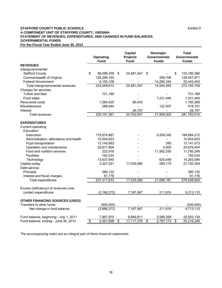### **STAFFORD COUNTY PUBLIC SCHOOLS** Exhibit D **A COMPONENT UNIT OF STAFFORD COUNTY, VIRGINIA STATEMENT OF REVENUES, EXPENDITURES, AND CHANGES IN FUND BALANCES GOVERNMENTAL FUNDS For the Fiscal Year Ended June 30, 2012**

|                                                         |                 | Operating<br><b>Fund</b> |                                  | Capital<br><b>Projects</b><br><b>Fund</b> |                                  | Nonmajor<br>Governmental<br><b>Funds</b> |                                  | <b>Total</b><br>Governmental<br><b>Funds</b> |
|---------------------------------------------------------|-----------------|--------------------------|----------------------------------|-------------------------------------------|----------------------------------|------------------------------------------|----------------------------------|----------------------------------------------|
| <b>REVENUES</b>                                         |                 |                          |                                  |                                           |                                  |                                          |                                  |                                              |
| Intergovernmental:                                      |                 |                          |                                  |                                           |                                  |                                          |                                  |                                              |
| <b>Stafford County</b>                                  | \$              | 98,599,339               | \$                               | 24,581,047                                | \$                               |                                          | \$                               | 123,180,386                                  |
| Commonwealth of Virginia                                |                 | 126,299,165              |                                  |                                           |                                  | 258,706                                  |                                  | 126,557,871                                  |
| <b>Federal Government</b>                               |                 | 8,150,108                |                                  |                                           |                                  | 14,295,344                               |                                  | 22,445,452                                   |
| Total intergovernmental revenues                        |                 | 233,048,612              |                                  | 24,581,047                                |                                  | 14,554,050                               |                                  | 272,183,709                                  |
| Charges for services:                                   |                 |                          |                                  |                                           |                                  |                                          |                                  |                                              |
| Tuition and fees                                        |                 | 721,180                  |                                  |                                           |                                  |                                          |                                  | 721,180                                      |
| Food sales                                              |                 |                          |                                  |                                           |                                  | 7,231,445                                |                                  | 7,231,445                                    |
| Recovered costs                                         |                 | 1,084,925                |                                  | 95,443                                    |                                  |                                          |                                  | 1,180,368                                    |
| Miscellaneous                                           |                 | 296,644                  |                                  |                                           |                                  | 122,507                                  |                                  | 419,151                                      |
| Interest                                                |                 |                          |                                  | 26,157                                    |                                  |                                          |                                  | 26,157                                       |
| Total revenues                                          |                 | 235, 151, 361            |                                  | 24,702,647                                |                                  | 21,908,002                               |                                  | 281,762,010                                  |
| <b>EXPENDITURES</b><br>Current operating:<br>Education: |                 |                          |                                  |                                           |                                  |                                          |                                  |                                              |
| Instruction                                             |                 | 175,674,867              |                                  |                                           |                                  | 9,209,345                                |                                  | 184,884,212                                  |
| Administration, attendance and health                   |                 | 10,004,623               |                                  |                                           |                                  |                                          |                                  | 10,004,623                                   |
| Pupil transportation                                    |                 | 13,140,683               |                                  |                                           |                                  | 390                                      |                                  | 13,141,073                                   |
| Operation and maintenance                               |                 | 20,671,904               |                                  |                                           |                                  | 4,500                                    |                                  | 20,676,404                                   |
| Food and nutrition services                             |                 | 222,918                  |                                  |                                           |                                  | 11,562,330                               |                                  | 11,785,248                                   |
| <b>Facilities</b>                                       |                 | 182,034                  |                                  |                                           |                                  |                                          |                                  | 182,034                                      |
| Technology                                              |                 | 13,637,645               |                                  |                                           |                                  | 625,449                                  |                                  | 14,263,094                                   |
| Capital outlay                                          |                 | 3,321,051                |                                  | 17,535,080                                |                                  | 294,173                                  |                                  | 21,150,304                                   |
| Debt service:                                           |                 |                          |                                  |                                           |                                  |                                          |                                  |                                              |
| Principal                                               |                 | 380,132                  |                                  |                                           |                                  |                                          |                                  | 380,132                                      |
| Interest and fiscal charges                             |                 | 81,776                   |                                  |                                           |                                  |                                          |                                  | 81,776                                       |
| Total expenditures                                      |                 | 237,317,633              |                                  | 17,535,080                                |                                  | 21,696,187                               |                                  | 276,548,900                                  |
| Excess (deficiency) of revenues over                    |                 |                          |                                  |                                           |                                  |                                          |                                  |                                              |
| (under) expenditures                                    |                 | (2, 166, 272)            |                                  | 7,167,567                                 |                                  | 211,815                                  |                                  | 5,213,110                                    |
| <b>OTHER FINANCING SOURCES (USES)</b>                   |                 |                          |                                  |                                           |                                  |                                          |                                  |                                              |
| Transfers to other funds                                |                 | (500,000)                |                                  |                                           |                                  |                                          |                                  | (500,000)                                    |
| Net change in fund balance                              |                 | (2,666,272)              |                                  | 7,167,567                                 |                                  | 211,815                                  |                                  | 4,713,110                                    |
| Fund balance, beginning - July 1, 2011                  |                 | 7,967,970                |                                  | 9,949,811                                 |                                  | 2,585,358                                |                                  | 20,503,139                                   |
| Fund balance, ending - June 30, 2012                    | $\overline{\$}$ | 5,301,698                | $\overline{\boldsymbol{\theta}}$ | 17, 117, 378                              | $\overline{\boldsymbol{\theta}}$ | 2,797,173                                | $\overline{\boldsymbol{\theta}}$ | 25,216,249                                   |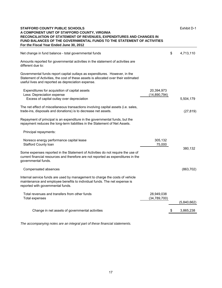### **STAFFORD COUNTY PUBLIC SCHOOLS** Exhibit D-1 **A COMPONENT UNIT OF STAFFORD COUNTY, VIRGINIA RECONCILIATION OF STATEMENT OF REVENUES, EXPENDITURES AND CHANGES IN FUND BALANCES OF THE GOVERNMENTAL FUNDS TO THE STATEMENT OF ACTIVITIES For the Fiscal Year Ended June 30, 2012**

| Net change in fund balance - total governmental funds                                                                                                                                                                   | \$<br>4,713,110 |
|-------------------------------------------------------------------------------------------------------------------------------------------------------------------------------------------------------------------------|-----------------|
| Amounts reported for governmental activities in the statement of activities are<br>different due to:                                                                                                                    |                 |
| Governmental funds report capital outlays as expenditures. However, in the<br>Statement of Activities, the cost of these assets is allocated over their estimated<br>useful lives and reported as depreciation expense. |                 |
| Expenditures for acquisition of capital assets<br>20,394,973<br>Less: Depreciation expense<br>(14, 890, 794)<br>Excess of capital outlay over depreciation                                                              | 5,504,179       |
| The net effect of miscellaneous transactions involving capital assets (i.e. sales,<br>trade-ins, disposals and donations) is to decrease net assets.                                                                    | (27, 819)       |
| Repayment of principal is an expenditure in the governmental funds, but the<br>repayment reduces the long-term liabilities in the Statement of Net Assets.                                                              |                 |
| Principal repayments:                                                                                                                                                                                                   |                 |
| 305,132<br>Noresco energy performance capital lease<br>Stafford County loan<br>75,000                                                                                                                                   | 380,132         |
| Some expenses reported in the Statement of Activities do not require the use of<br>current financial resources and therefore are not reported as expenditures in the<br>governmental funds.                             |                 |
| Compensated absences                                                                                                                                                                                                    | (863, 702)      |
| Internal service funds are used by management to charge the costs of vehicle<br>maintenance and employee benefits to individual funds. The net expense is<br>reported with governmental funds.                          |                 |
| Total revenues and transfers from other funds<br>28,949,038<br>(34, 789, 700)<br><b>Total expenses</b>                                                                                                                  | (5,840,662)     |
| Change in net assets of governmental activities                                                                                                                                                                         | \$<br>3,865,238 |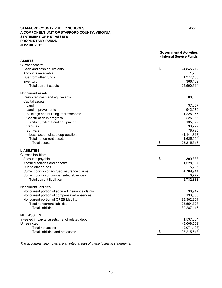### **STAFFORD COUNTY PUBLIC SCHOOLS** Exhibit E **A COMPONENT UNIT OF STAFFORD COUNTY, VIRGINIA STATEMENT OF NET ASSETS PROPRIETARY FUNDS June 30, 2012**

|                                                   | <b>Governmental Activities</b><br>- Internal Service Funds |  |  |
|---------------------------------------------------|------------------------------------------------------------|--|--|
| <b>ASSETS</b>                                     |                                                            |  |  |
| Current assets:                                   |                                                            |  |  |
| Cash and cash equivalents                         | \$<br>24,845,712                                           |  |  |
| Accounts receivable                               | 1,285                                                      |  |  |
| Due from other funds                              | 1,377,155                                                  |  |  |
| Inventory                                         | 366,462                                                    |  |  |
| Total current assets                              | 26,590,614                                                 |  |  |
| Noncurrent assets:                                |                                                            |  |  |
| Restricted cash and equivalents                   | 88,000                                                     |  |  |
| Capital assets:                                   |                                                            |  |  |
| Land                                              | 37,357                                                     |  |  |
| Land improvements                                 | 942,970                                                    |  |  |
| Buildings and building improvements               | 1,225,255                                                  |  |  |
| Construction in progress                          | 225,366                                                    |  |  |
| Furniture, fixtures and equipment                 | 135,872                                                    |  |  |
| <b>Vehicles</b>                                   | 33,277                                                     |  |  |
| Software                                          | 78,725                                                     |  |  |
| Less: accumulated depreciation                    | (1, 141, 818)                                              |  |  |
| <b>Total noncurrent assets</b>                    | 1,625,004                                                  |  |  |
| Total assets                                      | $\overline{\$}$<br>28,215,618                              |  |  |
| <b>LIABILITIES</b><br><b>Current liabilities:</b> |                                                            |  |  |
| Accounts payable                                  | \$<br>399,333                                              |  |  |
| Accrued salaries and benefits                     | 1,528,637                                                  |  |  |
| Due to other funds                                | 5,705                                                      |  |  |
| Current portion of accrued insurance claims       | 4,789,941                                                  |  |  |
| Current portion of compensated absences           | 8,772                                                      |  |  |
| <b>Total current liabilities</b>                  | 6,732,388                                                  |  |  |
| Noncurrent liabilities:                           |                                                            |  |  |
| Noncurrent portion of accrued insurance claims    | 38,942                                                     |  |  |
| Noncurrent portion of compensated absences        | 133,585                                                    |  |  |
| Noncurrent portion of OPEB Liability              | 23,382,201                                                 |  |  |
| <b>Total noncurrent liabilities</b>               | 23,554,728                                                 |  |  |
| <b>Total liabilities</b>                          | 30,287,116                                                 |  |  |
| <b>NET ASSETS</b>                                 |                                                            |  |  |
| Invested in capital assets, net of related debt   | 1,537,004                                                  |  |  |
| Unrestricted                                      | (3,608,502)                                                |  |  |
| Total net assets                                  | (2,071,498)                                                |  |  |
| Total liabilities and net assets                  | $\overline{\boldsymbol{\theta}}$<br>28,215,618             |  |  |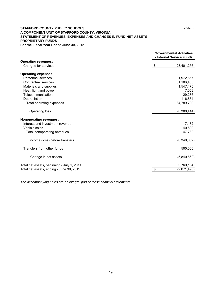### **STAFFORD COUNTY PUBLIC SCHOOLS EXHIBIT FORD COUNTY PUBLIC SCHOOLS A COMPONENT UNIT OF STAFFORD COUNTY, VIRGINIA STATEMENT OF REVENUES, EXPENSES AND CHANGES IN FUND NET ASSETS PROPRIETARY FUNDS For the Fiscal Year Ended June 30, 2012**

|                                            |                                  | <b>Governmental Activities</b><br>- Internal Service Funds |  |  |
|--------------------------------------------|----------------------------------|------------------------------------------------------------|--|--|
| <b>Operating revenues:</b>                 |                                  |                                                            |  |  |
| Charges for services                       | \$                               | 28,401,256                                                 |  |  |
| <b>Operating expenses:</b>                 |                                  |                                                            |  |  |
| Personnel services                         |                                  | 1,972,557                                                  |  |  |
| Contractual services                       |                                  | 31,106,465                                                 |  |  |
| Materials and supplies                     |                                  | 1,547,475                                                  |  |  |
| Heat, light and power                      |                                  | 17,053                                                     |  |  |
| Telecommunication                          |                                  | 29,286                                                     |  |  |
| Depreciation                               |                                  | 116,864                                                    |  |  |
| Total operating expenses                   |                                  | 34,789,700                                                 |  |  |
| Operating loss                             |                                  | (6,388,444)                                                |  |  |
| <b>Nonoperating revenues:</b>              |                                  |                                                            |  |  |
| Interest and investment revenue            |                                  | 7,182                                                      |  |  |
| Vehicle sales                              |                                  | 40,600                                                     |  |  |
| Total nonoperating revenues                |                                  | 47,782                                                     |  |  |
| Income (loss) before transfers             |                                  | (6,340,662)                                                |  |  |
| Transfers from other funds                 |                                  | 500,000                                                    |  |  |
| Change in net assets                       |                                  | (5,840,662)                                                |  |  |
| Total net assets, beginning - July 1, 2011 |                                  | 3,769,164                                                  |  |  |
| Total net assets, ending - June 30, 2012   | $\overline{\boldsymbol{\theta}}$ | (2,071,498)                                                |  |  |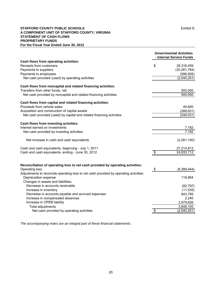### **STAFFORD COUNTY PUBLIC SCHOOLS Exhibit G A COMPONENT UNIT OF STAFFORD COUNTY, VIRGINIA STATEMENT OF CASH FLOWS PROPRIETARY FUNDS For the Fiscal Year Ended June 30, 2012**

|                                                                                       | <b>Governmental Activities</b><br>- Internal Service Funds |                |  |
|---------------------------------------------------------------------------------------|------------------------------------------------------------|----------------|--|
| Cash flows from operating activities:                                                 |                                                            |                |  |
| Receipts from customers                                                               | \$                                                         | 28,318,459     |  |
| Payments to suppliers                                                                 |                                                            | (30, 261, 784) |  |
| Payments to employees                                                                 |                                                            | (596, 926)     |  |
| Net cash provided (used) by operating activities                                      |                                                            | (2,540,251)    |  |
| Cash flows from noncapital and related financing activities:                          |                                                            |                |  |
| Transfers from other funds, net                                                       |                                                            | 500,000        |  |
| Net cash provided by noncapital and related financing activities                      |                                                            | 500,000        |  |
| Cash flows from capital and related financing activities:                             |                                                            |                |  |
| Proceeds from vehicle sales                                                           |                                                            | 40,600         |  |
| Acquisition and construction of capital assets                                        |                                                            | (288, 631)     |  |
| Net cash provided (used) by capital and related financing activities                  |                                                            | (248, 031)     |  |
| Cash flows from investing activities:                                                 |                                                            |                |  |
| Interest earned on investments                                                        |                                                            | 7,182          |  |
| Net cash provided by investing activities                                             |                                                            | 7,182          |  |
| Net increase in cash and cash equivalents                                             |                                                            | (2, 281, 100)  |  |
| Cash and cash equivalents, beginning - July 1, 2011                                   |                                                            | 27,214,812     |  |
| Cash and cash equivalents, ending - June 30, 2012                                     | \$                                                         | 24,933,712     |  |
|                                                                                       |                                                            |                |  |
| Reconciliation of operating loss to net cash provided by operating activities:        |                                                            |                |  |
| Operating loss                                                                        | \$                                                         | (6,388,444)    |  |
| Adjustments to reconcile operating loss to net cash provided by operating activities: |                                                            |                |  |
| Depreciation expense                                                                  |                                                            | 116,864        |  |
| Changes in assets and liabilities:                                                    |                                                            |                |  |
| Decrease in accounts receivable                                                       |                                                            | (82, 797)      |  |
| Increase in inventory                                                                 |                                                            | (11, 535)      |  |
| Decrease in accounts payable and accrued expenses                                     |                                                            | 843,795        |  |
| Increase in compensated absences                                                      |                                                            | 2,240          |  |
| Increase in OPEB liability                                                            |                                                            | 2,979,626      |  |
| Total adjustments                                                                     |                                                            | 3,848,193      |  |
| Net cash provided by operating activities                                             | \$                                                         | (2,540,251)    |  |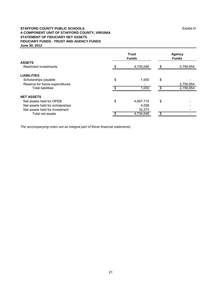# **STAFFORD COUNTY PUBLIC SCHOOLS A COMPONENT UNIT OF STAFFORD COUNTY, VIRGINIA STATEMENT OF FIDUCIARY NET ASSETS FIDUCIARY FUNDS - TRUST AND AGENCY FUNDS June 30, 2012**

|                                  | <b>Trust</b><br><b>Funds</b> |     | Agency<br><b>Funds</b> |
|----------------------------------|------------------------------|-----|------------------------|
| <b>ASSETS</b>                    |                              |     |                        |
| Restricted investments           | 4,735,046                    |     | 2,756,954              |
| <b>LIABILITIES</b>               |                              |     |                        |
| Scholarships payable             | \$<br>1.000                  | \$  |                        |
| Reserve for future expenditures  |                              |     | 2,756,954              |
| <b>Total liabilities</b>         | 1,000                        | \$. | 2,756,954              |
| <b>NET ASSETS</b>                |                              |     |                        |
| Net assets held for OPEB         | \$<br>4,697,715              | \$  |                        |
| Net assets held for scholarships | 4,058                        |     |                        |
| Net assets held for investment   | 32,273                       |     |                        |
| Total net assets                 | 4,734,046                    | \$. |                        |
|                                  |                              |     |                        |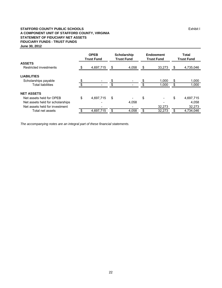# **STAFFORD COUNTY PUBLIC SCHOOLS A COMPONENT UNIT OF STAFFORD COUNTY, VIRGINIA STATEMENT OF FIDUCIARY NET ASSETS FIDUCIARY FUNDS - TRUST FUNDS June 30, 2012**

|                                         |    | <b>OPEB</b><br><b>Trust Fund</b> | Scholarship<br><b>Trust Fund</b> | <b>Endowment</b><br><b>Trust Fund</b> |        | Total<br><b>Trust Fund</b> |           |  |
|-----------------------------------------|----|----------------------------------|----------------------------------|---------------------------------------|--------|----------------------------|-----------|--|
| <b>ASSETS</b><br>Restricted investments |    |                                  |                                  |                                       |        |                            |           |  |
|                                         |    | 4,697,715                        | \$<br>4,058                      | S                                     | 33,273 | \$                         | 4,735,046 |  |
| <b>LIABILITIES</b>                      |    |                                  |                                  |                                       |        |                            |           |  |
| Scholarships payable                    | \$ |                                  | \$                               | S                                     | 1.000  | \$                         | 1,000     |  |
| <b>Total liabilities</b>                | ደ  |                                  |                                  |                                       | 1.000  | \$                         | 1,000     |  |
| <b>NET ASSETS</b>                       |    |                                  |                                  |                                       |        |                            |           |  |
| Net assets held for OPEB                | \$ | 4,697,715                        | \$<br>$\overline{\phantom{0}}$   | \$                                    |        | \$                         | 4,697,715 |  |
| Net assets held for scholarships        |    |                                  | 4,058                            |                                       |        |                            | 4,058     |  |
| Net assets held for investment          |    |                                  |                                  |                                       | 32,273 |                            | 32,273    |  |
| Total net assets                        |    | 4,697,715                        | \$<br>4,058                      |                                       | 32,273 | \$                         | 4,734,046 |  |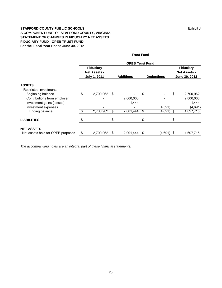# **STAFFORD COUNTY PUBLIC SCHOOLS A COMPONENT UNIT OF STAFFORD COUNTY, VIRGINIA STATEMENT OF CHANGES IN FIDUCIARY NET ASSETS FIDUCIARY FUND - OPEB TRUST FUND For the Fiscal Year Ended June 30, 2012**

|                                   |                                                         | <b>Trust Fund</b>      |    |                   |    |                                                          |
|-----------------------------------|---------------------------------------------------------|------------------------|----|-------------------|----|----------------------------------------------------------|
|                                   |                                                         | <b>OPEB Trust Fund</b> |    |                   |    |                                                          |
|                                   | <b>Fiduciary</b><br><b>Net Assets -</b><br>July 1, 2011 | <b>Additions</b>       |    | <b>Deductions</b> |    | <b>Fiduciary</b><br><b>Net Assets -</b><br>June 30, 2012 |
|                                   |                                                         |                        |    |                   |    |                                                          |
| <b>ASSETS</b>                     |                                                         |                        |    |                   |    |                                                          |
| Restricted investments:           |                                                         |                        |    |                   |    |                                                          |
| Beginning balance                 | \$<br>2,700,962 \$                                      |                        | \$ |                   | \$ | 2,700,962                                                |
| Contributions from employer       |                                                         | 2,000,000              |    |                   |    | 2,000,000                                                |
| Investment gains (losses)         |                                                         | 1,444                  |    |                   |    | 1,444                                                    |
| Investment expenses               |                                                         |                        |    | (4,691)           |    | (4,691)                                                  |
| Ending balance                    | 2,700,962                                               | \$<br>2,001,444        | S  | (4,691)           | S  | 4,697,715                                                |
| <b>LIABILITIES</b>                |                                                         | \$                     | \$ |                   | \$ |                                                          |
| <b>NET ASSETS</b>                 |                                                         |                        |    |                   |    |                                                          |
| Net assets held for OPEB purposes | \$<br>2,700,962                                         | \$<br>2,001,444        | \$ | $(4,691)$ \$      |    | 4,697,715                                                |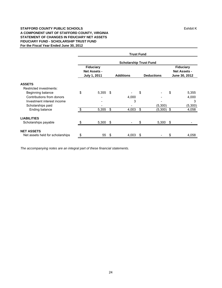# **STAFFORD COUNTY PUBLIC SCHOOLS** Exhibit K **A COMPONENT UNIT OF STAFFORD COUNTY, VIRGINIA STATEMENT OF CHANGES IN FIDUCIARY NET ASSETS FIDUCIARY FUND - SCHOLARSHIP TRUST FUND For the Fiscal Year Ended June 30, 2012**

|                                                       |                               |                                                                |      | <b>Trust Fund</b> |      |                   |     |                                                          |  |  |  |
|-------------------------------------------------------|-------------------------------|----------------------------------------------------------------|------|-------------------|------|-------------------|-----|----------------------------------------------------------|--|--|--|
|                                                       | <b>Scholarship Trust Fund</b> |                                                                |      |                   |      |                   |     |                                                          |  |  |  |
|                                                       |                               | <b>Fiduciary</b><br><b>Net Assets -</b><br><b>July 1, 2011</b> |      | <b>Additions</b>  |      | <b>Deductions</b> |     | <b>Fiduciary</b><br><b>Net Assets -</b><br>June 30, 2012 |  |  |  |
| <b>ASSETS</b><br>Restricted investments:              |                               |                                                                |      |                   |      |                   |     |                                                          |  |  |  |
| Beginning balance<br>Contributions from donors        | \$                            | 5,355                                                          | - \$ | 4,000             | \$   |                   | \$  | 5,355<br>4,000                                           |  |  |  |
| Investment interest income<br>Scholarships paid       |                               |                                                                |      | 3                 |      | (5,300)           |     | 3<br>(5,300)                                             |  |  |  |
| Ending balance                                        |                               | 5,355                                                          | \$   | 4,003             | \$   | (5,300)           | -\$ | 4,058                                                    |  |  |  |
| <b>LIABILITIES</b><br>Scholarships payable            |                               | $5,300$ \$                                                     |      |                   |      | $5,300$ \$        |     |                                                          |  |  |  |
| <b>NET ASSETS</b><br>Net assets held for scholarships | \$                            | 55                                                             | -\$  | 4,003             | - \$ |                   | \$  | 4,058                                                    |  |  |  |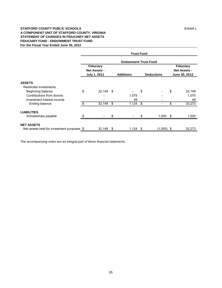# **STAFFORD COUNTY PUBLIC SCHOOLS** Exhibit L **A COMPONENT UNIT OF STAFFORD COUNTY, VIRGINIA STATEMENT OF CHANGES IN FIDUCIARY NET ASSETS FIDUCIARY FUND - ENDOWMENT TRUST FUND For the Fiscal Year Ended June 30, 2012**

|                                            |                             |                                                  |    | <b>Trust Fund</b> |    |                   |    |                                                   |  |  |  |  |
|--------------------------------------------|-----------------------------|--------------------------------------------------|----|-------------------|----|-------------------|----|---------------------------------------------------|--|--|--|--|
|                                            | <b>Endowment Trust Fund</b> |                                                  |    |                   |    |                   |    |                                                   |  |  |  |  |
|                                            |                             | <b>Fiduciary</b><br>Net Assets -<br>July 1, 2011 |    | <b>Additions</b>  |    | <b>Deductions</b> |    | <b>Fiduciary</b><br>Net Assets -<br>June 30, 2012 |  |  |  |  |
| <b>ASSETS</b>                              |                             |                                                  |    |                   |    |                   |    |                                                   |  |  |  |  |
| Restricted investments:                    |                             |                                                  |    |                   |    |                   |    |                                                   |  |  |  |  |
| Beginning balance                          | \$                          | $32,149$ \$                                      |    |                   | \$ |                   | \$ | 32,149                                            |  |  |  |  |
| Contributions from donors                  |                             |                                                  |    | 1,075             |    |                   |    | 1,075                                             |  |  |  |  |
| Investment interest income                 |                             |                                                  |    | 49                |    |                   |    | 49                                                |  |  |  |  |
| Ending balance                             | \$                          | 32,149                                           | \$ | 1,124             | \$ |                   | \$ | 33,273                                            |  |  |  |  |
| <b>LIABILITIES</b>                         |                             |                                                  |    |                   |    |                   |    |                                                   |  |  |  |  |
| Scholarships payable                       | \$                          |                                                  |    |                   | \$ | $1,000$ \$        |    | 1,000                                             |  |  |  |  |
| <b>NET ASSETS</b>                          |                             |                                                  |    |                   |    |                   |    |                                                   |  |  |  |  |
| Net assets held for investment purposes \$ |                             | $32,149$ \$                                      |    | 1,124             | \$ | $(1,000)$ \$      |    | 32,273                                            |  |  |  |  |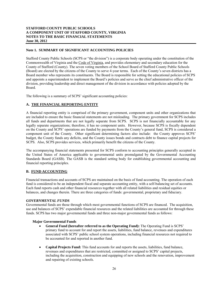# **STAFFORD COUNTY PUBLIC SCHOOLS A COMPONENT UNIT OF STAFFORD COUNTY, VIRGINIA NOTES TO THE BASIC FINANCIAL STATEMENTS June 30, 2012**

## **Note 1. SUMMARY OF SIGNIFICANT ACCOUNTING POLICIES**

Stafford County Public Schools (SCPS or "the division") is a corporate body operating under the constitution of the Commonwealth of Virginia and the Code of Virginia, and provides elementary and secondary education for the County of Stafford (County). The seven voting members of the School Board of Stafford County Public Schools (Board) are elected by the citizens of the County to serve 4-year terms. Each of the County's seven districts has a Board member who represents its constituents. The Board is responsible for setting the educational policies of SCPS and appoints a superintendent to implement the Board's policies and serve as the chief administrative officer of the division, providing leadership and direct management of the division in accordance with policies adopted by the Board.

The following is a summary of SCPS' significant accounting policies:

# **A. THE FINANCIAL REPORTING ENTITY**

A financial reporting entity is comprised of the primary government, component units and other organizations that are included to ensure the basic financial statements are not misleading. The primary government for SCPS includes all funds and departments that are not legally separate from SCPS. SCPS is not financially accountable for any legally separate organizations; therefore, it has no component units. However, because SCPS is fiscally dependent on the County and SCPS' operations are funded by payments from the County's general fund, SCPS is considered a component unit of the County. Other significant determining factors also include: the County approves SCPS' budget, the County funds any deficits, and the County issues bonds and contracts debt to finance capital projects for SCPS. Also, SCPS provides services, which primarily benefit the citizens of the County.

The accompanying financial statements presented for SCPS conform to accounting principles generally accepted in the United States of America applicable to governmental units promulgated by the Governmental Accounting Standards Board (GASB). The GASB is the standard setting body for establishing governmental accounting and financial reporting principles.

## **B. FUND ACCOUNTING**

Financial transactions and accounts of SCPS are maintained on the basis of fund accounting. The operation of each fund is considered to be an independent fiscal and separate accounting entity, with a self-balancing set of accounts. Each fund reports cash and other financial resources together with all related liabilities and residual equities or balances, and changes therein. There are three categories of funds: governmental, proprietary and fiduciary.

## *GOVERNMENTAL FUNDS*

Governmental funds are those through which most governmental functions of SCPS are financed. The acquisition, use and balances of SCPS' expendable financial resources and the related liabilities are accounted for through these funds. SCPS has two major governmental funds and three non-major governmental funds as follows:

## **Major Governmental Funds**

- **General Fund (hereafter referred to as the Operating Fund):** The Operating Fund is SCPS' primary fund to account for and report the assets, liabilities, fund balance, revenues and expenditures associated with SCPS' public school system operations, including financial resources not required to be accounted for and reported in another fund.
- **Capital Projects Fund:** This fund accounts for and reports the assets, liabilities, fund balance, revenues and expenditures that are restricted, committed or assigned to SCPS' capital projects, including the acquisition, construction and equipping of new schools and the renovation, improvement and repairing of existing schools.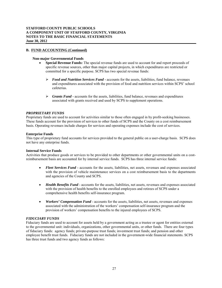## **B. FUND ACCOUNTING (Continued)**

#### **Non-major Governmental Funds**

- **Special Revenue Funds:** The special revenue funds are used to account for and report proceeds of specific revenue sources, other than major capital projects, in which expenditures are restricted or committed for a specific purpose. SCPS has two special revenue funds:
	- **Food and Nutrition Services Fund** accounts for the assets, liabilities, fund balance, revenues and expenditures associated with the provision of food and nutrition services within SCPS' school cafeterias.
	- **►** *Grants Fund* accounts for the assets, liabilities, fund balance, revenues and expenditures associated with grants received and used by SCPS to supplement operations.

## *PROPRIETARY FUNDS*

Proprietary funds are used to account for activities similar to those often engaged in by profit-seeking businesses. These funds account for the provision of services to other funds of SCPS and the County on a cost reimbursement basis. Operating revenues include charges for services and operating expenses include the cost of services.

## **Enterprise Funds**

This type of proprietary fund accounts for services provided to the general public on a user-charge basis. SCPS does not have any enterprise funds.

## **Internal Service Funds**

Activities that produce goods or services to be provided to other departments or other governmental units on a costreimbursement basis are accounted for by internal service funds. SCPS has three internal service funds:

- *Fleet Services Fund* accounts for the assets, liabilities, net assets, revenues and expenses associated with the provision of vehicle maintenance services on a cost reimbursement basis to the departments and agencies of the County and SCPS.
- *Health Benefits Fund* accounts for the assets, liabilities, net assets, revenues and expenses associated with the provision of health benefits to the enrolled employees and retirees of SCPS under a comprehensive health benefits self-insurance program.
- *Workers' Compensation Fund* accounts for the assets, liabilities, net assets, revenues and expenses associated with the administration of the workers' compensation self-insurance program and the provision of workers' compensation benefits to the injured employees of SCPS.

# *FIDUCIARY FUNDS*

Fiduciary funds are used to account for assets held by a government acting as a trustee or agent for entities external to the governmental unit: individuals, organizations, other governmental units, or other funds. There are four types of fiduciary funds: agency funds; private-purpose trust funds; investment trust funds; and pension and other employee benefit trust funds. Fiduciary funds are not included in the government-wide financial statements. SCPS has three trust funds and two agency funds as follows: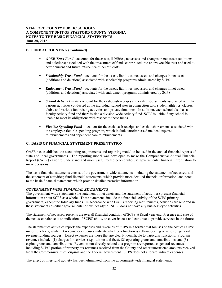## **B. FUND ACCOUNTING (Continued)**

- *OPEB Trust Fund* accounts for the assets, liabilities, net assets and changes in net assets (additions and deletions) associated with the investment of funds contributed into an irrevocable trust and used to cover current and future retiree health benefit costs.
- *Scholarship Trust Fund -* accounts for the assets, liabilities, net assets and changes in net assets (additions and deletions) associated with scholarship programs administered by SCPS.
- *Endowment Trust Fund* accounts for the assets, liabilities, net assets and changes in net assets (additions and deletions) associated with endowment programs administered by SCPS.
- *School Activity Funds* account for the cash, cash receipts and cash disbursements associated with the various activities conducted at the individual school sites in connection with student athletics, classes, clubs, and various fundraising activities and private donations. In addition, each school also has a faculty activity fund and there is also a division-wide activity fund. SCPS is liable if any school is unable to meet its obligations with respect to these funds.
- *Flexible Spending Fund* account for the cash, cash receipts and cash disbursements associated with the employee flexible spending program, which include unreimbursed medical expense reimbursements and dependent care reimbursements.

## **C. BASIS OF FINANCIAL STATEMENT PRESENTATION**

GASB has established the accounting requirements and reporting model to be used in the annual financial reports of state and local governments. The reporting model was developed to make the Comprehensive Annual Financial Report (CAFR) easier to understand and more useful to the people who use governmental financial information to make decisions.

The basic financial statements consist of the government-wide statements, including the statement of net assets and the statement of activities; fund financial statements, which provide more detailed financial information; and notes to the basic financial statements which provide detailed narrative information.

## *GOVERNMENT-WIDE FINANCIAL STATEMENTS*

The government-wide statements (the statement of net assets and the statement of activities) present financial information about SCPS as a whole. These statements include the financial activity of the SCPS primary government, except the fiduciary funds. In accordance with GASB reporting requirements, activities are reported in these statements as either governmental or business-type. SCPS does not have any business-type activities.

The statement of net assets presents the overall financial condition of SCPS at fiscal year-end. Presence and size of the net asset balance is an indication of SCPS' ability to cover its cost and continue to provide services in the future.

The statement of activities reports the expenses and revenues of SCPS in a format that focuses on the cost of SCPS' major functions, while net revenue or expenses indicate whether a function is self-supporting or relies on general revenue funding sources. Direct expenses are those that are clearly identifiable to particular functions. Program revenues include: (1) charges for services (e.g., tuition and fees), (2) operating grants and contributions, and (3) capital grants and contributions. Revenues not directly related to a program are reported as general revenues, including SCPS' portion of property tax revenues received from the County and other unrestricted amounts received from the Commonwealth of Virginia and the Federal government. SCPS does not allocate indirect expenses.

The effect of inter-fund activity has been eliminated from the government-wide financial statements.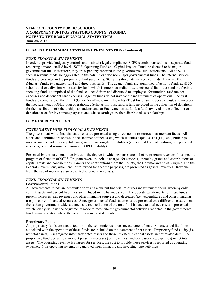# **C. BASIS OF FINANCIAL STATEMENT PRESENTATION (Continued)**

## *FUND FINANCIAL STATEMENTS*

In order to provide budgetary controls and maintain legal compliance, SCPS records transactions in separate funds rendering a more detailed level. SCPS' Operating Fund and Capital Projects Fund are deemed to be major governmental funds; therefore, they are separately reported in the governmental fund statements. All of SCPS' special revenue funds are aggregated in the column entitled non-major governmental funds. The internal service funds are presented in the proprietary fund statements; SCPS has three internal service funds. There are five fiduciary funds, two agency fund and three trust funds. The agency funds are comprised of activity funds at all 30 schools and one division-wide activity fund, which is purely custodial (i.e., assets equal liabilities) and the flexible spending fund is comprised of the funds collected from and disbursed to employees for unreimbursed medical expenses and dependent care expenses . Agency funds do not involve the measurement of operations. The trust funds are comprised of the OPEB (Other Post-Employment Benefits) Trust Fund, an irrevocable trust, and involves the measurement of OPEB plan operations, a Scholarship trust fund, a fund involved in the collection of donations for the distribution of scholarships to students and an Endowment trust fund, a fund involved in the collection of donations used for investment purposes and whose earnings are then distributed as scholarships.

## **D. MEASUREMENT FOCUS**

## *GOVERNMENT-WIDE FINANCIAL STATEMENTS*

The government-wide financial statements are presented using an economic resources measurement focus. All assets and liabilities are shown in the statement of net assets, which includes capital assets (i.e., land, buildings, improvements, and other capital assets) as well as long-term liabilities (i.e., capital lease obligations, compensated absences, accrued insurance claims and OPEB liability).

Presented by the statement of activities is the degree to which expenses are offset by program revenues for a specific program or function of SCPS. Program revenues include charges for services, operating grants and contributions and capital grants and contributions. Grants and contributions from the County, the Commonwealth of Virginia, and the Federal Government, which are not restricted for specific purposes, are presented as general revenues. Revenue from the use of money is also presented as general revenues.

# *FUND FINANCIAL STATEMENTS*

## **Governmental Funds**

All governmental funds are accounted for using a current financial resources measurement focus, whereby only current assets and current liabilities are included in the balance sheet. The operating statements for these funds present increases (i.e., revenues and other financing sources) and decreases (i.e., expenditures and other financing uses) in current financial resources. Since governmental fund statements are presented on a different measurement focus than government-wide statements, a reconciliation of the total fund balance to total net assets is presented which briefly explains the adjustments made to reconcile the governmental activities reflected in the governmental fund financial statements to the government-wide statements.

#### **Proprietary Funds**

All proprietary funds are accounted for on the economic resources measurement focus. All assets and liabilities associated with the operation of these funds are included on the statement of net assets. Proprietary fund equity (i.e., net total assets) is segregated into unrestricted assets and those invested in capital assets, net of related debt. The proprietary fund operating statement presents increases (i.e., revenues) and decreases (i.e., expenses) in net total assets. The operating revenue is charges for services; the cost to provide these services is reported as operating expenses. Non-operating revenue is generated from financing and investing type activities.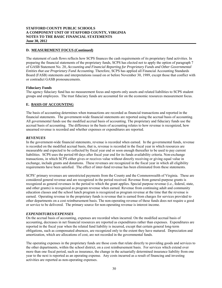## **D. MEASUREMENT FOCUS (Continued)**

The statement of cash flows reflects how SCPS finances the cash requirements of its proprietary fund activities. In preparing the financial statements of the proprietary funds, SCPS has elected not to apply the option of paragraph 7 of GASB Statement No. 20, *Accounting and Financial Reporting for Proprietary Funds and Other Governmental Entities that use Proprietary Fund Accounting.* Therefore, SCPS has applied all Financial Accounting Standards Board (FASB) statements and interpretations issued on or before November 30, 1989, except those that conflict with or contradict GASB pronouncements.

## **Fiduciary Funds**

The agency fiduciary fund has no measurement focus and reports only assets and related liabilities to SCPS student groups and employees. The trust fiduciary funds are accounted for on the economic resources measurement focus.

## **E. BASIS OF ACCOUNTING**

The basis of accounting determines when transactions are recorded as financial transactions and reported in the financial statements. The government-wide financial statements are reported using the accrual basis of accounting. All governmental funds use the modified accrual basis of accounting. The proprietary and fiduciary funds use the accrual basis of accounting. The difference in the basis of accounting relates to how revenue is recognized, how unearned revenue is recorded and whether expenses or expenditures are reported.

#### *REVENUES*

In the government-wide financial statements, revenue is recorded when earned. In the governmental funds, revenue is recorded on the modified accrual basis, that is, revenue is recorded in the fiscal year in which resources are measurable and expected to be collected by fiscal year end or soon enough thereafter to be used to pay current liabilities. SCPS uses the period 60 days after fiscal year end for its funds availability criteria. Non-exchange transactions, in which SCPS either gives or receives value without directly receiving or giving equal value in exchange, include grants and donations. These revenues are recognized in the fiscal year in which all eligibility requirements have been satisfied. The effect of inter-fund revenue has been eliminated from these statements.

SCPS' primary revenues are unrestricted payments from the County and the Commonwealth of Virginia. These are considered general revenue and are recognized in the period received. Revenue from general-purpose grants is recognized as general revenues in the period to which the grant applies. Special purpose revenue (i.e., federal, state, and other grants) is recognized as program revenue when earned. Revenue from continuing adult and community education classes and the school lunch program is recognized as program revenue at the time that the revenue is earned. Operating revenue in the proprietary funds is revenue that is earned from charges for services provided to other departments on a cost reimbursement basis. The non-operating revenue of these funds does not require a good or service to be delivered. The primary source for non-operating revenue is interest income.

## *EXPENDITURES/EXPENSES*

On the accrual basis of accounting, expenses are recorded when incurred. On the modified accrual basis of accounting, decreases in net financial resources are reported as expenditures rather than expenses. Expenditures are reported in the fiscal year when the related fund liability is incurred, except that certain general long-term obligations, such as compensated absences, are recognized only to the extent they have matured. Depreciation and amortization, which are allocations of cost, are not recorded in the governmental funds.

The operating expenses in the proprietary funds are those costs that relate directly to providing goods and services to the other departments, within the school district, on a cost reimbursement basis. For services which extend over more than one fiscal period, such as insurance, the change in the actuarially determined insurance liability from one year to the next is reported as an operating expense. Any costs incurred as a result of financing and investing activities are reported as non-operating expenses.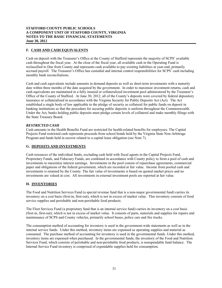# **F. CASH AND CASH EQUIVALENTS**

Cash on deposit with the Treasurer's Office at the County of Stafford represents the majority of SCPS' available cash throughout the fiscal year. At the close of the fiscal year, all available cash in the Operating Fund is reclassified to Due from County and represents cash available to pay existing liabilities at year-end, primarily accrued payroll. The Treasurer's Office has custodial and internal control responsibilities for SCPS' cash including monthly bank reconciliations.

Cash and cash equivalents include amounts in demand deposits as well as short-term investments with a maturity date within three months of the date acquired by the government. In order to maximize investment returns, cash and cash equivalents are maintained in a fully insured or collateralized investment pool administered by the Treasurer's Office of the County of Stafford. At June 30, 2012, all of the County's deposits were covered by federal depository insurance or collateralized in accordance with the Virginia Security for Public Deposits Act (Act). The Act established a single body of law applicable to the pledge of security as collateral for public funds on deposit in banking institutions so that the procedure for securing public deposits is uniform throughout the Commonwealth. Under the Act, banks holding public deposits must pledge certain levels of collateral and make monthly filings with the State Treasury Board.

## *RESTRICTED CASH*

Cash amounts in the Health Benefits Fund are restricted for health-related benefits for employees. The Capital Projects Fund restricted cash represents proceeds from school bonds held by the Virginia State Non-Arbitrage Program and funds held in escrow related to a capital lease obligation (see Note 7).

## **G. DEPOSITS AND INVESTMENTS**

Cash resources of the individual funds, excluding cash held with fiscal agents in the Capital Projects Fund, Proprietary Funds, and Fiduciary Funds, are combined in accordance with County policy to form a pool of cash and investments to maximize interest earnings. Investments in the pool consist of repurchase agreements, commercial paper and obligations of the federal government, which are recorded at fair value. Income from pooled cash and investments is retained by the County. The fair value of investments is based on quoted market prices and no investments are valued at cost. All investments in external investment pools are reported at fair value.

# **H. INVENTORIES**

The Food and Nutrition Services Fund (a special revenue fund that is a non-major governmental fund) carries its inventory on a cost basis (first-in, first-out), which is not in excess of market value. This inventory consists of food service supplies and perishable and non-perishable food products.

The Fleet Services Fund (a proprietary fund that is an internal service fund) carries its inventory on a cost basis (first-in, first-out), which is not in excess of market value. It consists of parts, materials and supplies for repairs and maintenance of SCPS and County vehicles, primarily school buses, police cars and fire trucks.

The consumption method of accounting for inventory is used in the government-wide statements as well as in the internal service funds. Under this method, inventory items are expensed as operating supplies and material as consumed. The purchase method of accounting for inventory is used in the governmental funds. Under this method, inventory items are expensed when purchased. In the governmental funds, the inventory of the Food and Nutrition Services Fund, which consists of perishable and non-perishable food products, is nonspendable fund balance. The Internal Service Fund inventory is comprised of expendable supplies held for consumption.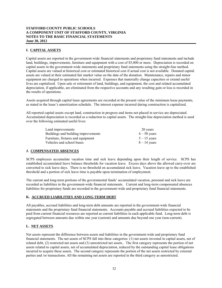# **I. CAPITAL ASSETS**

Capital assets are reported in the government-wide financial statements and proprietary fund statements and include land, buildings, improvements, furniture and equipment with a cost of \$5,000 or more. Depreciation is recorded on capital assets in the government-wide statements and proprietary fund statements using the straight-line method. Capital assets are valued at historical cost or estimated historical cost if actual cost is not available. Donated capital assets are valued at their estimated fair market value on the date of the donation. Maintenance, repairs and minor equipment are charged to operations when incurred. Expenses that materially change capacities or extend useful lives are capitalized. Upon sale or retirement of land, buildings, and equipment, the cost and related accumulated depreciation, if applicable, are eliminated from the respective accounts and any resulting gain or loss is recorded in the results of operations.

Assets acquired through capital lease agreements are recorded at the present value of the minimum lease payments, as stated in the lease's amortization schedule. The interest expense incurred during construction is capitalized.

All reported capital assets except land, construction in progress and items not placed in service are depreciated. Accumulated depreciation is recorded as a reduction to capital assets. The straight-line depreciation method is used over the following estimated useful lives:

| Land improvements                   | 20 years       |
|-------------------------------------|----------------|
| Buildings and building improvements | $4 - 50$ years |
| Furniture, fixtures and equipment   | $5 - 15$ vears |
| Vehicles and school buses           | $8 - 14$ years |

# **J. COMPENSATED ABSENCES**

SCPS employees accumulate vacation time and sick leave depending upon their length of service. SCPS has established accumulated leave balance thresholds for vacation leave. Excess days above the allowed carry-over are converted to sick leave days. There is no threshold on accumulated sick leave. Vacation leave up to the established threshold and a portion of sick leave time is payable upon termination of employment.

The current and long-term portions of the governmental funds' accumulated vacation, personal and sick leave are recorded as liabilities in the government-wide financial statements. Current and long-term compensated absences liabilities for proprietary funds are recorded in the government-wide and proprietary fund financial statements.

# **K. ACCRUED LIABILITIES AND LONG-TERM DEBT**

All payables, accrued liabilities and long-term debt amounts are reported in the government-wide financial statements and the proprietary fund financial statements. Accounts payable and accrued liabilities expected to be paid from current financial resources are reported as current liabilities in each applicable fund. Long-term debt is segregated between amounts due within one year (current) and amounts due beyond one year (non-current).

# **L. NET ASSETS**

Net assets represent the difference between assets and liabilities in the government-wide and proprietary fund financial statements. The net assets of SCPS fall into three categories: (1) net assets invested in capital assets, net of related debt, (2) restricted net assets and (3) unrestricted net assets.. The first category represents the portion of net assets related to capital assets, net of accumulated depreciation, reduced by the outstanding capital lease obligations incurred to acquire these assets. The second category represents the portion of the net assets restricted by external parties and /or transactions. All the remaining net assets are reported in the third category as unrestricted.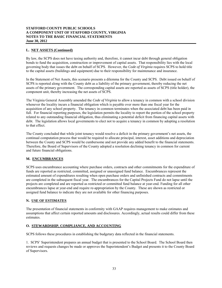# **L. NET ASSETS (Continued)**

By law, the SCPS does not have taxing authority and, therefore, it cannot incur debt through general obligation bonds to fund the acquisition, construction or improvement of capital assets. That responsibility lies with the local governing body that issues the debt on behalf of SCPS. However, the *Code of Virginia* requires SCPS to hold title to the capital assets (buildings and equipment) due to their responsibility for maintenance and insurance.

In the Statement of Net Assets, this scenario presents a dilemma for the County and SCPS. Debt issued on behalf of SCPS is reported along with the County debt as a liability of the primary government, thereby reducing the net assets of the primary government. The corresponding capital assets are reported as assets of SCPS (title holder), the component unit, thereby increasing the net assets of SCPS.

The Virginia General Assembly amended the *Code of Virginia* to allow a tenancy in common with a school division whenever the locality incurs a financial obligation which is payable over more than one fiscal year for the acquisition of any school property. The tenancy in common terminates when the associated debt has been paid in full. For financial reporting purposes, the legislation permits the locality to report the portion of the school property related to any outstanding financial obligation, thus eliminating a potential deficit from financing capital assets with debt. The legislation allows local governments to elect not to acquire a tenancy in common by adopting a resolution to that effect.

The County concluded that while joint tenancy would resolve a deficit in the primary government's net assets, the continual computation process that would be required to allocate principal, interest, asset additions and depreciation between the County and SCPS would be cumbersome and not provide any added benefit to the financial statements. Therefore, the Board of Supervisors of the County adopted a resolution declining tenancy in common for current and future financial obligations.

# **M. ENCUMBRANCES**

SCPS uses encumbrance accounting where purchase orders, contracts and other commitments for the expenditure of funds are reported as restricted, committed, assigned or unassigned fund balance. Encumbrances represent the estimated amount of expenditures resulting when open purchase orders and unfinished contracts and commitments are completed in the subsequent fiscal year. The encumbrances for the Capital Projects Fund do not lapse until the projects are completed and are reported as restricted or committed fund balance at year-end. Funding for all other encumbrances lapse at year-end and require re-appropriation by the County. These are shown as restricted or assigned fund balance to indicate they are not available for other financing purposes.

# **N. USE OF ESTIMATES**

The presentation of financial statements in conformity with GAAP requires management to make estimates and assumptions that affect certain reported amounts and disclosures. Accordingly, actual results could differ from these estimates.

# **O. STEWARDSHIP, COMPLIANCE, AND ACCOUNTING**

SCPS follows these procedures in establishing the budgetary data reflected in the financial statements.

1. SCPS' Superintendent prepares an annual budget that is presented to the School Board. The School Board then reviews and requests changes be made or approves the Superintendent's Budget and presents it to the County Board of Supervisors.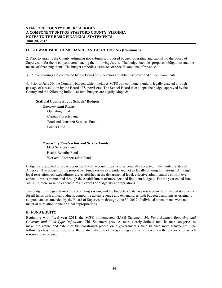# **STAFFORD COUNTY PUBLIC SCHOOLS A COMPONENT UNIT OF STAFFORD COUNTY, VIRGINIA NOTES TO THE BASIC FINANCIAL STATEMENTS June 30, 2012**

## **O. STEWARDSHIP, COMPLIANCE, AND ACCOUNTING (Continued)**

2. Prior to April 1, the County Administrator submits a proposed budget (operating and capital) to the Board of Supervisors for the fiscal year commencing the following July 1. The budget includes proposed obligations and the means of financing them. The budget embodies estimates of specific amounts of revenue.

3. Public hearings are conducted by the Board of Supervisors to obtain taxpayer and citizen comments.

4. Prior to June 30, the County's budget, which includes SCPS as a component unit, is legally enacted through passage of a resolution by the Board of Supervisors. The School Board then adopts the budget approved by the County and the following individual fund budgets are legally adopted:

#### **Stafford County Public Schools' Budgets**

*Governmental Funds:* Operating Fund Capital Projects Fund Food and Nutrition Services Fund Grants Fund

*Proprietary Funds – Internal Service Funds:* Fleet Services Fund Health Benefits Fund Workers' Compensation Fund

Budgets are adopted on a basis consistent with accounting principles generally accepted in the United States of America. The budget for the proprietary funds serves as a guide and not as legally binding limitations. Although legal restrictions on expenditures are established at the departmental level, effective administrative control over expenditures is maintained through the establishment of more detailed line-item budgets. For the year ended June 30, 2012, there were no expenditures in excess of budgetary appropriations.

The budget is integrated into the accounting system, and the budgetary data, as presented in the financial statements for all funds with annual budgets, comparing actual revenue and expenditures with budgeted amounts as originally adopted, and as amended by the Board of Supervisors through June 30, 2012. Individual amendments were not material in relation to the original appropriations.

## **P. FUND EQUITY**

Beginning with fiscal year 2011, the SCPS implemented GASB Statement 54, *Fund Balance Reporting and Governmental Fund Type Definitions*. This Statement provides more clearly defined fund balance categories to make the nature and extent of the constraints placed on a government's fund balance more transparent. The following classifications describe the relative strength of the spending constraints placed on the purposes for which resources can be used: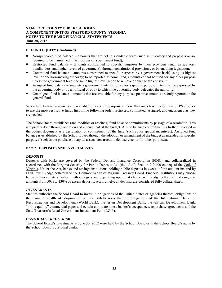# **STAFFORD COUNTY PUBLIC SCHOOLS A COMPONENT UNIT OF STAFFORD COUNTY, VIRGINIA NOTES TO THE BASIC FINANCIAL STATEMENTS June 30, 2012**

# **P. FUND EQUITY (Continued)**

- Nonspendable fund balance amounts that are not in spendable form (such as inventory and prepaids) or are required to be maintained intact (corpus of a permanent fund);
- Restricted fund balance amounts constrained to specific purposes by their providers (such as grantors, bondholders, and higher levels of government), through constitutional provisions, or by enabling legislation;
- Committed fund balance amounts constrained to specific purposes by a government itself, using its highest level of decision-making authority; to be reported as committed, amounts cannot be used for any other purpose unless the government takes the same highest level action to remove or change the constraint;
- Assigned fund balance amounts a government intends to use for a specific purpose; intent can be expressed by the governing body or by an official or body to which the governing body delegates the authority;
- Unassigned fund balance amounts that are available for any purpose; positive amounts are only reported in the general fund.

When fund balance resources are available for a specific purpose in more than one classification, it is SCPS's policy to use the most restrictive funds first in the following order: restricted, committed, assigned, and unassigned as they are needed.

The School Board establishes (and modifies or rescinds) fund balance commitments by passage of a resolution. This is typically done through adoption and amendment of the budget. A fund balance commitment is further indicated in the budget document as a designation or commitment of the fund (such as for special incentives). Assigned fund balance is established by the School Board through the adoption or amendment of the budget as intended for specific purposes (such as the purchase of capital assets, construction, debt service, or for other purposes).

# **Note 2. DEPOSITS AND INVESTMENTS**

# *DEPOSITS*

Deposits with banks are covered by the Federal Deposit Insurance Corporation (FDIC) and collateralized in accordance with the Virginia Security for Public Deposits Act (the "Act") Section 2-2-400 et. seq. of the Code of Virginia. Under the Act, banks and savings institutions holding public deposits in excess of the amount insured by FDIC must pledge collateral to the Commonwealth of Virginia Treasury Board. Financial Institutions may choose between two collateralization methodologies and depending upon that choice, will pledge collateral that ranges in amounts from 50% to 130% of excess deposits. Accordingly, all deposits are considered fully collateralized.

# *INVESTMENTS*

Statutes authorize the School Board to invest in obligations of the United States or agencies thereof, obligations of the Commonwealth of Virginia or political subdivisions thereof, obligations of the International Bank for Reconstruction and Development (World Bank), the Asian Development Bank, the African Development Bank, "prime quality" commercial paper and certain corporate notes, banker's acceptances, repurchase agreements and the State Treasurer's Local Government Investment Pool (LGIP).

## *CUSTODIAL CREDIT RISK*

The School Board's investments at June 30, 2012 were held by the School Board or in the School Board's name by the School Board's custodial banks.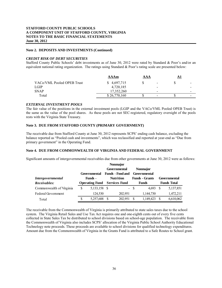## **Note 2. DEPOSITS AND INVESTMENTS (Continued)**

## *CREDIT RISK OF DEBT SECURITIES*

Stafford County Public Schools' debt investments as of June 30, 2012 were rated by Standard & Poor's and/or an equivalent national rating organization. The ratings using Standard  $\&$  Poor's rating scale are presented below:

|                            | AAAm         | AAA |      | Αl |                          |
|----------------------------|--------------|-----|------|----|--------------------------|
| VACo/VML Pooled OPEB Trust | \$4,697,715  |     | $\,$ |    | $\qquad \qquad$          |
| LGIP                       | 4,720,185    |     |      |    | $\overline{\phantom{a}}$ |
| SNAP                       | 17,352,260   |     | -    |    | $\overline{\phantom{a}}$ |
| Total                      | \$26,770,160 |     |      |    | $\overline{\phantom{a}}$ |

## *EXTERNAL INVESTMENT POOLS*

The fair value of the positions in the external investment pools (LGIP and the VACo/VML Pooled OPEB Trust) is the same as the value of the pool shares. As these pools are not SEC-registered, regulatory oversight of the pools rests with the Virginia State Treasury.

# **Note 3. DUE FROM STAFFORD COUNTY (PRIMARY GOVERNMENT)**

The receivable due from Stafford County at June 30, 2012 represents SCPS' ending cash balance, excluding the balance reported as "Pooled cash and investments", which was reclassified and reported at year-end as "Due from primary government" in the Operating Fund.

## **Note 4. DUE FROM COMMONWEALTH OF VIRGINIA AND FEDERAL GOVERNMENT**

Significant amounts of intergovernmental receivables due from other governments at June 30, 2012 were as follows:

|                          |   |                       |                  | <b>Nonmajor</b>         |                       |              |              |                    |  |
|--------------------------|---|-----------------------|------------------|-------------------------|-----------------------|--------------|--------------|--------------------|--|
|                          |   |                       |                  | <b>Governmental</b>     | <b>Nonmajor</b>       |              |              |                    |  |
|                          |   | Governmental          |                  | <b>Funds</b> - Food and |                       | Governmental |              |                    |  |
| Intergovernmental        |   | Funds -               | <b>Nutrition</b> |                         | <b>Funds</b> - Grants |              | Governmental |                    |  |
| Receivables:             |   | <b>Operating Fund</b> |                  | <b>Services Fund</b>    |                       | <b>Funds</b> |              | <b>Funds Total</b> |  |
| Commonwealth of Virginia | S | 5,133,158 \$          |                  |                         | - S                   | 4,693        |              | 5, 137, 851        |  |
| Federal Government       |   | 124,530               |                  | 202.951                 |                       | 1,144,730    |              | 1,472,211          |  |
| Total                    | S | 5,257,688             |                  | 202,951                 | -S                    | 1,149,423    |              | 6,610,062          |  |

The receivable from the Commonwealth of Virginia is primarily attributed to state sales taxes due to the school system. The Virginia Retail Sales and Use Tax Act requires one and one-eighth cents out of every five cents collected in State Sales Tax be distributed to school divisions based on school-age population. The receivable from the Commonwealth of Virginia also includes SCPS' allocation of the Virginia Public School Authority Educational Technology note proceeds. These proceeds are available to school divisions for qualified technology expenditures. Amount due from the Commonwealth of Virginia in the Grants Fund is attributed to a Safe Routes to School grant.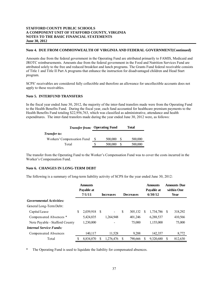# **STAFFORD COUNTY PUBLIC SCHOOLS A COMPONENT UNIT OF STAFFORD COUNTY, VIRGINIA NOTES TO THE BASIC FINANCIAL STATEMENTS June 30, 2012**

## **Note 4. DUE FROM COMMONWEALTH OF VIRGINIA AND FEDERAL GOVERNMENT(Continued)**

Amounts due from the federal government in the Operating Fund are attributed primarily to FAMIS, Medicaid and JROTC reimbursements. Amounts due from the federal government in the Food and Nutrition Services Fund are attributed solely to the free and reduced breakfast and lunch programs. The Grants Fund federal receivable consists of Title 1 and Title II Part A programs that enhance the instruction for disadvantaged children and Head Start program.

SCPS' receivables are considered fully collectible and therefore an allowance for uncollectible accounts does not apply to these receivables.

## **Note 5. INTERFUND TRANSFERS**

In the fiscal year ended June 30, 2012, the majority of the inter-fund transfers made were from the Operating Fund to the Health Benefits Fund. During the fiscal year, each fund accounted for healthcare premium payments to the Health Benefits Fund totaling \$22,956,763, which was classified as administrative, attendance and health expenditures. The inter-fund transfers made during the year ended June 30, 2012 were, as follows:

| <b>Transfer from: Operating Fund</b> |   |         |     | <b>Total</b> |
|--------------------------------------|---|---------|-----|--------------|
| <b>Transfer to:</b>                  |   |         |     |              |
| Workers' Compensation Fund           |   | 500,000 | -S  | 500,000      |
| Total                                | S | 500,000 | \$. | 500,000      |

The transfer from the Operating Fund to the Worker's Compensation Fund was to cover the costs incurred in the Worker's Compensation Fund.

## **Note 6. CHANGES IN LONG-TERM DEBT**

The following is a summary of long-term liability activity of SCPS for the year ended June 30, 2012:

|                                 |    | <b>Amounts</b><br>Payable at<br>7/1/11 |    | <b>Increases</b> |    | <b>Decreases</b> |   | <b>Amounts</b><br>Payable at<br>6/30/12 |               | <b>Amounts Due</b><br>within One<br>Year |
|---------------------------------|----|----------------------------------------|----|------------------|----|------------------|---|-----------------------------------------|---------------|------------------------------------------|
| <b>Governmental Activities:</b> |    |                                        |    |                  |    |                  |   |                                         |               |                                          |
| General Long-Term Debt:         |    |                                        |    |                  |    |                  |   |                                         |               |                                          |
| Capital Lease                   | \$ | 2,039,918                              | -S | $\blacksquare$   | S  | 305,132          | S | 1,734,786                               | <sup>\$</sup> | 318,292                                  |
| Compensated Absences *          |    | 5,424,835                              |    | 1,264,948        |    | 401.246          |   | 6,288,537                               |               | 410,566                                  |
| Note Payable - Stafford County  |    | 1,230,000                              |    |                  |    | 75,000           |   | 1,155,000                               |               | 75,000                                   |
| <b>Internal Service Funds:</b>  |    |                                        |    |                  |    |                  |   |                                         |               |                                          |
| Compensated Absences            |    | 140,117                                |    | 11,528           |    | 9,288            |   | 142,357                                 |               | 8,772                                    |
| Total                           | S  | 8,834,870                              | S  | 1,276,476        | -S | 790,666          | S | 9,320,680                               | S             | 812,630                                  |

The Operating Fund is used to liquidate the liability for compensated absences.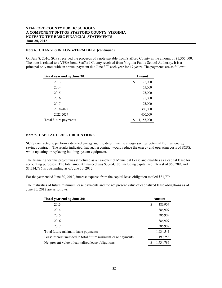## **Note 6. CHANGES IN LONG-TERM DEBT (continued)**

On July 8, 2010, SCPS received the proceeds of a note payable from Stafford County in the amount of \$1,305,000. The note is related to a VPSA bond Stafford County received from Virginia Public School Authority. It is a principal only note with an annual payment due June  $30<sup>th</sup>$  each year for 17 years. The payments are as follows:

| <b>Fiscal year ending June 30:</b> | <b>Amount</b> |
|------------------------------------|---------------|
| 2013                               | 75,000<br>\$  |
| 2014                               | 75,000        |
| 2015                               | 75,000        |
| 2016                               | 75,000        |
| 2017                               | 75,000        |
| 2018-2022                          | 380,000       |
| 2022-2027                          | 400,000       |
| Total future payments              | 1,155,000     |

## **Note 7. CAPITAL LEASE OBLIGATIONS**

SCPS contracted to perform a detailed energy audit to determine the energy savings potential from an energy savings contract. The results indicated that such a contract would reduce the energy and operating costs of SCPS, while updating or replacing building system equipment.

The financing for this project was structured as a Tax-exempt Municipal Lease and qualifies as a capital lease for accounting purposes. The total amount financed was \$3,204,186, including capitalized interest of \$60,289, and \$1,734,786 is outstanding as of June 30, 2012.

For the year ended June 30, 2012, interest expense from the capital lease obligation totaled \$81,776.

The maturities of future minimum lease payments and the net present value of capitalized lease obligations as of June 30, 2012 are as follows:

| <b>Fiscal year ending June 30:</b>                             | <b>Amount</b> |  |  |  |
|----------------------------------------------------------------|---------------|--|--|--|
| 2013                                                           | \$<br>386,909 |  |  |  |
| 2014                                                           | 386,909       |  |  |  |
| 2015                                                           | 386,909       |  |  |  |
| 2016                                                           | 386,909       |  |  |  |
| 2017                                                           | 386,908       |  |  |  |
| Total future minimum lease payments                            | 1,934,544     |  |  |  |
| Less: interest included in total future minimum lease payments | 199,758       |  |  |  |
| Net present value of capitalized lease obligations             | 1,734,786     |  |  |  |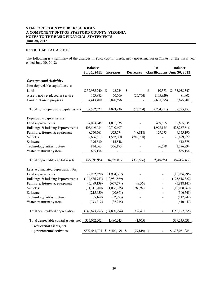# **Note 8. CAPITAL ASSETS**

The following is a summary of the changes in *Total capital assets, net - governmental activities* for the fiscal year ended June 30, 2012:

|                                                        | <b>Balance</b>             |                         |                                        | Re-                     | <b>Balance</b>                |
|--------------------------------------------------------|----------------------------|-------------------------|----------------------------------------|-------------------------|-------------------------------|
|                                                        | <b>July 1, 2011</b>        | <b>Increases</b>        | <b>Decreases</b>                       |                         | classifications June 30, 2012 |
| <b>Governmental Activities:</b>                        |                            |                         |                                        |                         |                               |
| Non-depreciable capital assets:                        |                            |                         |                                        |                         |                               |
| Land                                                   | \$32,935,240               | <sup>\$</sup><br>92,734 | S                                      | <sup>\$</sup><br>10,373 | 33,038,347<br>S               |
| Assets not yet placed in service                       | 153,882                    | 60,606                  | (26, 754)                              | (105, 829)              | 81,905                        |
| Construction in progress                               | 4,413,400                  | 3,870,596               |                                        | (2,608,795)             | 5,675,201                     |
| Total non-depreciable capital assets                   | 37,502,522                 | 4,023,936               | (26,754)                               | (2,704,251)             | 38,795,453                    |
| Depreciable capital assets:                            |                            |                         |                                        |                         |                               |
| Land improvements                                      | 37,093,945                 | 1,081,835               |                                        | 489,855                 | 38,665,635                    |
| Buildings & building improvements                      | 408,549,084                | 12,740,607              |                                        | 1,998,125               | 423,287,816                   |
| Furniture, fixtures & equipment                        | 8,550,561                  | 523,774                 | (48, 818)                              | 129,673                 | 9,155,190                     |
| Vehicles                                               | 19,636,617                 | 1,552,800               | (289, 738)                             | $\blacksquare$          | 20,899,679                    |
| Software                                               | 396,530                    | 115,848                 |                                        |                         | 512,378                       |
| Technology infrastructure                              | 834,063                    | 356,173                 |                                        | 86,598                  | 1,276,834                     |
| Water treatment system                                 | 635,154                    |                         |                                        |                         | 635,154                       |
| Total depreciable capital assets                       | 475,695,954                | 16,371,037              | (338, 556)                             | 2,704,251               | 494,432,686                   |
| Less accumulated depreciation for:                     |                            |                         |                                        |                         |                               |
| Land improvements                                      | (8,952,629)                | (1,984,367)             |                                        |                         | (10,936,996)                  |
| Buildings & building improvements                      | (114, 536, 753)            | (10, 981, 569)          |                                        |                         | (125,518,322)                 |
| Furniture, fixtures & equipment                        | (5,189,139)                | (677, 574)              | 48,566                                 |                         | (5,818,147)                   |
| Vehicles                                               | (11,311,200)               | (1,066,385)             | 288,925                                |                         | (12,088,660)                  |
| Software                                               | (215,650)                  | (90, 891)               |                                        |                         | (306, 541)                    |
| Technology infrastructure                              | (65, 169)                  | (52, 773)               |                                        |                         | (117,942)                     |
| Water treatment system                                 | (373, 212)                 | (37, 235)               | $\blacksquare$                         | $\blacksquare$          | (410, 447)                    |
| Total accumulated depreciation                         | (140, 643, 752)            | (14,890,794)            | 337,491                                |                         | (155, 197, 055)               |
| Total depreciable capital assets, net 335,052,202      |                            | 1,480,243               | (1,065)                                |                         | 339,235,631                   |
| Total capital assets, net<br>- governmental activities | \$372,554,724 \$ 5,504,179 |                         | $\boldsymbol{\mathsf{S}}$<br>(27, 819) | -S                      | \$378,031,084                 |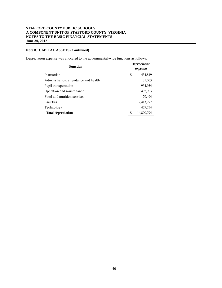# **Note 8. CAPITAL ASSETS (Continued)**

Depreciation expense was allocated to the governmental-wide functions as follows:

| <b>Function</b>                       |    | Depreciation<br>expense |
|---------------------------------------|----|-------------------------|
| Instruction                           | \$ | 434,849                 |
| Administration, attendance and health |    | 35,063                  |
| Pupil transportation                  |    | 954,934                 |
| Operation and maintenance             |    | 492,903                 |
| Food and nutrition services           |    | 79,494                  |
| <b>Facilities</b>                     |    | 12,413,797              |
| Technology                            |    | 479,754                 |
| <b>Total depreciation</b>             | S  | 14,890,794              |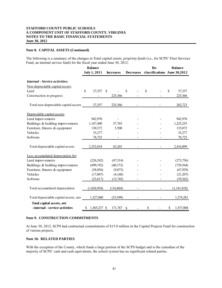## **Note 8. CAPITAL ASSETS (Continued)**

The following is a summary of the changes in *Total capital assets, propriety funds* (i.e., for SCPS' Fleet Services Fund, an internal service fund) for the fiscal year ended June 30, 2012:

|                                       | <b>Balance</b>      |              |               |                  |    |               | Re-                                    |    | <b>Balance</b> |
|---------------------------------------|---------------------|--------------|---------------|------------------|----|---------------|----------------------------------------|----|----------------|
|                                       | <b>July 1, 2011</b> |              |               | <b>Increases</b> |    |               | Decreases classifications June 30,2012 |    |                |
| <b>Internal - Service activities:</b> |                     |              |               |                  |    |               |                                        |    |                |
| Non-depreciable capital assets:       |                     |              |               |                  |    |               |                                        |    |                |
| Land                                  | \$                  | 37,357       | <sup>\$</sup> |                  | \$ | $\mathcal{S}$ |                                        | S  | 37,357         |
| Construction in progress              |                     |              |               | 225,366          |    |               |                                        |    | 225,366        |
| Total non-depreciable capital assets  |                     | 37,357       |               | 225,366          |    |               |                                        |    | 262,723        |
| Depreciable capital assets:           |                     |              |               |                  |    |               |                                        |    |                |
| Land improvements                     |                     | 942,970      |               |                  |    |               |                                        |    | 942,970        |
| Buildings & building improvements     |                     | 1,167,490    |               | 57,765           |    |               |                                        |    | 1,225,255      |
| Furniture, fixtures & equipment       |                     | 130,372      |               | 5,500            |    |               |                                        |    | 135,872        |
| Vehicles                              |                     | 33,277       |               |                  |    |               |                                        |    | 33,277         |
| Software                              |                     | 78,725       |               |                  |    |               |                                        |    | 78,725         |
| Total depreciable capital assets      |                     | 2,352,834    |               | 63,265           |    |               |                                        |    | 2,416,099      |
| Less accumulated depreciation for:    |                     |              |               |                  |    |               |                                        |    |                |
| Land improvements                     |                     | (226, 242)   |               | (47,514)         |    |               |                                        |    | (273,756)      |
| Buildings & building improvements     |                     | (699, 192)   |               | (40,372)         |    |               |                                        |    | (739, 564)     |
| Furniture, fixtures & equipment       |                     | (58, 856)    |               | (9,073)          |    |               |                                        |    | (67, 929)      |
| Vehicles                              |                     | (17,047)     |               | (4,160)          |    |               |                                        |    | (21,207)       |
| Software                              |                     | (23, 617)    |               | (15,745)         |    |               |                                        |    | (39, 362)      |
| Total accumulated depreciation        |                     | (1,024,954)  |               | (116, 864)       |    |               |                                        |    | (1, 141, 818)  |
| Total depreciable capital assets, net |                     | 1,327,880    |               | (53, 599)        |    |               |                                        |    | 1,274,281      |
| Total capital assets, net             |                     |              |               |                  |    |               |                                        |    |                |
| - internal - service activities       | \$                  | 1,365,237 \$ |               | 171,767          | \$ | \$            |                                        | \$ | 1,537,004      |

# **Note 9. CONSTRUCTION COMMITMENTS**

At June 30, 2012, SCPS had contractual commitments of \$15.0 million in the Capital Projects Fund for construction of various projects.

# **Note 10. RELATED PARTIES**

With the exception of the County, which funds a large portion of the SCPS budget and is the custodian of the majority of SCPS' cash and cash equivalents, the school system has no significant related parties.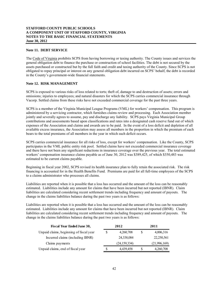## **Note 11. DEBT SERVICE**

The Code of Virginia prohibits SCPS from having borrowing or taxing authority. The County issues and services the general obligation debt to finance the purchase or construction of school facilities. The debt is not secured by the assets purchased or constructed but by the full faith and credit and taxing authority of the County. Since SCPS is not obligated to repay principal or interest on any general obligation debt incurred on SCPS' behalf, the debt is recorded in the County's government-wide financial statements.

## **Note 12. RISK MANAGEMENT**

SCPS is exposed to various risks of loss related to torts; theft of, damage to and destruction of assets; errors and omissions; injuries to employees; and natural disasters for which the SCPS carries commercial insurance through Vacorp. Settled claims from these risks have not exceeded commercial coverage for the past three years.

SCPS is a member of the Virginia Municipal League Programs (VML) for workers' compensation. This program is administered by a servicing contractor, which furnishes claims review and processing. Each Association member jointly and severally agrees to assume, pay and discharge any liability. SCPS pays Virginia Municipal Group contributions and assessments based upon classifications and rates into a designated cash reserve fund out of which expenses of the Association and claims and awards are to be paid. In the event of a loss deficit and depletion of all available excess insurance, the Association may assess all members in the proportion in which the premium of each bears to the total premiums of all members in the year in which such deficit occurs.

SCPS carries commercial insurance for all risks of loss, except for workers' compensation. Like the County, SCPS participates in the VML public entity risk pool. Settled claims have not exceeded commercial insurance coverage and there have not been any significant reductions in insurance coverage over the previous year. The total estimated workers' compensation insurance claims payable as of June 30, 2012 was \$389,425, of which \$350,483 was estimated to be current claims payable.

Beginning in fiscal year 2002, SCPS revised its health insurance plan to fully retain the associated risk. The risk financing is accounted for in the Health Benefits Fund. Premiums are paid for all full-time employees of the SCPS to a claims administrator who processes all claims.

Liabilities are reported when it is possible that a loss has occurred and the amount of the loss can be reasonably estimated. Liabilities include any amount for claims that have been incurred but not reported (IBNR). Claim liabilities are calculated considering recent settlement trends including frequency and amount of payouts. The change in the claims liabilities balance during the past two years is as follows:

Liabilities are reported when it is possible that a loss has occurred and the amount of the loss can be reasonably estimated. Liabilities include any amount for claims that have been incurred but not reported (IBNR). Claim liabilities are calculated considering recent settlement trends including frequency and amount of payouts. The change in the claims liabilities balance during the past two years is as follows:

| <b>Fiscal Year Ended June 30,</b>       | 2012         | 2011         |
|-----------------------------------------|--------------|--------------|
| Unpaid claims, beginning of fiscal year | 4,260,708    | 4,006,316    |
| Incurred claims (including IBNR)        | 24,338,084   | 22,250,561   |
| Claims payments                         | (24,159,334) | (21,996,169) |
| Unpaid claims, end of fiscal year       | 4,439,458    | 4,260,708    |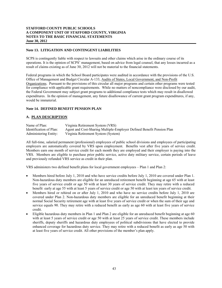# **STAFFORD COUNTY PUBLIC SCHOOLS A COMPONENT UNIT OF STAFFORD COUNTY, VIRGINIA NOTES TO THE BASIC FINANCIAL STATEMENTS June 30, 2012**

# **Note 13. LITIGATION AND CONTINGENT LIABILITIES**

SCPS is contingently liable with respect to lawsuits and other claims which arise in the ordinary course of its operations. It is the opinion of SCPS' management, based on advice from legal counsel, that any losses incurred as a result of claims existing as of June 30, 2012 will not be material to the financial statements.

Federal programs in which the School Board participates were audited in accordance with the provisions of the U.S. Office of Management and Budget Circular A-133, Audits of States, Local Government, and Non-Profit Organizations. Pursuant to the provisions of this circular all major programs and certain other programs were tested for compliance with applicable grant requirements. While no matters of noncompliance were disclosed by our audit, the Federal Government may subject grant programs to additional compliance tests which may result in disallowed expenditures. In the opinion of management, any future disallowance of current grant program expenditures, if any, would be immaterial.

## **Note 14. DEFINED BENEFIT PENSION PLAN**

# **A. PLAN DESCRIPTION**

| Name of Plan:           | Virginia Retirement System (VRS)                                      |
|-------------------------|-----------------------------------------------------------------------|
| Identification of Plan: | Agent and Cost-Sharing Multiple-Employer Defined Benefit Pension Plan |
| Administering Entity:   | Virginia Retirement System (System)                                   |

All full-time, salaried permanent (professional) employees of public school divisions and employees of participating employers are automatically covered by VRS upon employment. Benefits vest after five years of service credit. Members earn one month of service credit for each month they are employed and their employer is paying into the VRS. Members are eligible to purchase prior public service, active duty military service, certain periods of leave and previously refunded VRS service as credit in their plan.

VRS administers two defined benefit plans for local government employees – Plan 1 and Plan 2:

- Members hired before July 1, 2010 and who have service credits before July 1, 2010 are covered under Plan 1. Non-hazardous duty members are eligible for an unreduced retirement benefit beginning at age 65 with at least five years of service credit or age 50 with at least 30 years of service credit. They may retire with a reduced benefit early at age 55 with at least 5 years of service credit or age 50 with at least ten years of service credit.
- Members hired or rehired on or after July 1, 2010 and who have no service credits before July 1, 2010 are covered under Plan 2. Non-hazardous duty members are eligible for an unreduced benefit beginning at their normal Social Security retirement age with at least five years of service credit or when the sum of their age and service equals 90. They may retire with a reduced benefit as early as age 60 with at least five years of service credit.
- Eligible hazardous duty members in Plan 1 and Plan 2 are eligible for an unreduced benefit beginning at age 60 with at least 5 years of service credit or age 50 with at least 25 years of service credit. These members include sheriffs, deputy sheriffs and hazardous duty employees of political subdivisions that have elected to provide enhanced coverage for hazardous duty service. They may retire with a reduced benefit as early as age 50 with at least five years of service credit. All other provisions of the member's plan apply.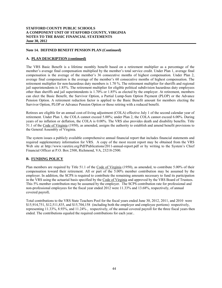## **Note 14. DEFINED BENEFIT PENSION PLAN (Continued)**

## **A. PLAN DESCRIPTION (continued)**

The VRS Basic Benefit is a lifetime monthly benefit based on a retirement multiplier as a percentage of the member's average final compensation multiplied by the member's total service credit. Under Plan 1, average final compensation is the average of the member's 36 consecutive months of highest compensation. Under Plan 2, average final compensation is the average of the member's 60 consecutive months of highest compensation. The retirement multiplier for non-hazardous duty members is 1.70 %. The retirement multiplier for sheriffs and regional jail superintendents is 1.85%. The retirement multiplier for eligible political subdivision hazardous duty employees other than sheriffs and jail superintendents is 1.70% or 1.85% as elected by the employer. At retirement, members can elect the Basic Benefit, the Survivor Option, a Partial Lump-Sum Option Payment (PLOP) or the Advance Pension Option. A retirement reduction factor is applied to the Basic Benefit amount for members electing the Survivor Option, PLOP or Advance Pension Option or those retiring with a reduced benefit.

Retirees are eligible for an annual cost-of-living adjustment (COLA) effective July 1 of the second calendar year of retirement. Under Plan 1, the COLA cannot exceed 5.00%; under Plan 2, the COLA cannot exceed 6.00%. During years of no inflation or deflation, the COLA is 0.00%. The VRS also provides death and disability benefits. Title 51.1 of the Code of Virginia (1950), as amended, assigns the authority to establish and amend benefit provisions to the General Assembly of Virginia.

The system issues a publicly available comprehensive annual financial report that includes financial statements and required supplementary information for VRS. A copy of the most recent report may be obtained from the VRS Web site at http://www.varetire.org/Pdf/Publications/2011-annual-report.pdf or by writing to the System's Chief Financial Officer at P.O. Box 2500, Richmond, VA, 23218-2500.

# **B. FUNDING POLICY**

Plan members are required by Title 51.1 of the Code of Virginia (1950), as amended, to contribute 5.00% of their compensation toward their retirement. All or part of the 5.00% member contribution may be assumed by the employer. In addition, the SCPS is required to contribute the remaining amounts necessary to fund its participation in the VRS using the actuarial basis specified by the Code of Virginia and approved by the VRS Board of Trustees. This 5% member contribution may be assumed by the employer. The SCPS contribution rate for professional and non-professional employees for the fiscal year ended 2012 were 11.33% and 13.68%, respectively, of annual covered payroll**.** 

Total contributions to the VRS State Teachers Pool for the fiscal years ended June 30, 2012, 2011, and 2010 were \$15,914,751, \$12,511,835, and \$15,704,158 (including both the employer and employee portions) respectively, representing 11.33%, 8.93%, and 11.24% , respectively, of the annual covered payroll for the three fiscal years then ended. The contributions equaled the required contributions for each year..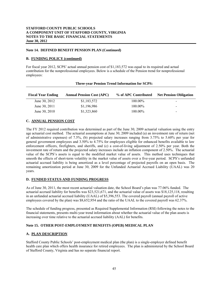## **Note 14. DEFINED BENEFIT PENSION PLAN (Continued)**

## **B. FUNDING POLICY (continued)**

For fiscal year 2012, SCPS' actual annual pension cost of \$1,183,572 was equal to its required and actual contribution for the nonprofessional employees. Below is a schedule of the Pension trend for nonprofessional employees:

| <b>Fiscal Year Ending</b> | <b>Annual Pension Cost (APC)</b> | % of APC Contributed | <b>Net Pension Obligation</b> |
|---------------------------|----------------------------------|----------------------|-------------------------------|
| June 30, 2012             | \$1,183,572                      | $100.00\%$           | $\blacksquare$                |
| June 30, 2011             | \$1,196,986                      | $100.00\%$           | $\overline{\phantom{0}}$      |
| June 30, 2010             | \$1,323,860                      | $100.00\%$           | $\qquad \qquad$               |

## **Three-year Pension Trend Information for SCPS:**

# **C. ANNUAL PENSION COST**

The FY 2012 required contribution was determined as part of the June 30, 2009 actuarial valuation using the entry age actuarial cost method. The actuarial assumptions at June 30, 2009 included (a) an investment rate of return (net of administrative expenses) of 7.5%, (b) projected salary increases ranging from 3.75% to 5.60% per year for general government employees and 3.50% to 4.75% for employees eligible for enhanced benefits available to law enforcement officers, firefighters, and sheriffs, and (c) a cost-of-living adjustment of 2.50% per year. Both the investment rate of return and the projected salary increases include an inflation component of 2.50%. The actuarial value of the SCPS's assets is equal to the modified market value of assets. This method uses techniques that smooth the effects of short-term volatility in the market value of assets over a five-year period. SCPS's unfunded actuarial accrued liability is being amortized as a level percentage of projected payrolls on an open basis. The remaining amortization period at June 30, 2009 for the Unfunded Actuarial Accrued Liability (UAAL) was 20 years.

# **D. FUNDED STATUS AND FUNDING PROGRESS**

As of June 30, 2011, the most recent actuarial valuation date, the School Board's plan was 77.06% funded. The actuarial accrued liability for benefits was \$23,521,671, and the actuarial value of assets was \$18,125,118, resulting in an unfunded actuarial accrued liability (UAAL) of \$5,396,553. The covered payroll (annual payroll of active employees covered by the plan) was \$8,652,954 and the ratio of the UAAL to the covered payroll was 62.37%.

The schedule of funding progress, presented as Required Supplemental Information (RSI) following the notes to the financial statements, presents multi-year trend information about whether the actuarial value of the plan assets is increasing over time relative to the actuarial accrued liability (AAL) for benefits.

# **Note 15. OTHER POST-EMPLOYMENT BENEFITS (OPEB) MEDICAL PLAN**

# **A. PLAN DESCRIPTION**

Stafford County Public Schools' post-employment medical plan (the plan) is a single-employer defined benefit health care plan which offers health insurance for retired employees. The plan is administered by the School Board of Stafford County, Virginia and has no separate financial report.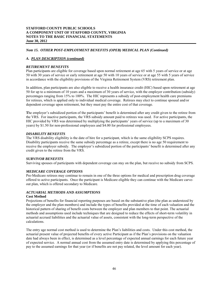# *Note 15. OTHER POST-EMPLOYMENT BENEFITS (OPEB) MEDICAL PLAN (Continued)*

## *A. PLAN DESCRIPTION (continued)*

## *RETIREMENT BENEFITS*

Plan participants are eligible for coverage based upon normal retirement at age 65 with 5 years of service or at age 50 with 30 years of service or early retirement at age 50 with 10 years of service or at age 55 with 5 years of service in accordance with the eligibility provisions of the Virginia Retirement System (VRS) retirement plan.

In addition, plan participants are also eligible to receive a health insurance credit (HIC) based upon retirement at age 50 for up to a minimum of 10 years and a maximum of 30 years of service, with the employer contribution (subsidy) percentages ranging from 15% to 100%. The HIC represents a subsidy of post-employment health care premiums for retirees, which is applied only to individual medical coverage. Retirees may elect to continue spousal and/or dependent coverage upon retirement, but they must pay the entire cost of that coverage.

**T**he employer's subsidized portion of the participants' benefit is determined after any credit given to the retiree from the VRS. For inactive participants, the VRS subsidy amount paid to retirees was used. For active participants, the HIC provided by VRS was determined by multiplying the participants' years of service (up to a maximum of 30 years) by \$1.50 for non-professional employees and \$4.00 for professional employees.

#### *DISABILITY BENEFITS*

The VRS disability eligibility is the date of hire for a participant, which is the same eligibility SCPS requires. Disability participants receive the same subsidy percentage as a retiree, except there is no age 50 requirement to receive the employer subsidy. The employer's subsidized portion of the participants' benefit is determined after any credit given to the retiree from the VRS.

## *SURVIVOR BENEFITS*

Surviving spouses of participants with dependent coverage can stay on the plan, but receive no subsidy from SCPS.

## *MEDICARE COVERAGE OPTIONS*

Pre-Medicare retirees may continue to remain in one of the three options for medical and prescription drug coverage offered to active participants. Once the participant is Medicare eligible they can continue with the Medicare carveout plan, which is offered secondary to Medicare.

## *ACTUARIAL METHODS AND ASSUMPTIONS*

#### **Cost Method**

Projections of benefits for financial reporting purposes are based on the substantive plan (the plan as understood by the employer and the plan members) and include the types of benefits provided at the time of each valuation and the historical pattern of sharing of benefit costs between the employer and plan members to that point. The actuarial methods and assumptions used include techniques that are designed to reduce the effects of short-term volatility in actuarial accrued liabilities and the actuarial value of assets, consistent with the long-term perspective of the calculations.

The entry age normal cost method is used to determine the Plan's liabilities and costs. Under this cost method, the actuarial present value of projected benefits of every active Participant as if the Plan's provisions on the valuation date had always been in effect, is determined as a level percentage of expected annual earnings for each future year of expected service. A normal annual cost from the assumed entry date is determined by applying this percentage of pay to the assumed earnings for that year (or if benefits are not pay related, the level amount for each year).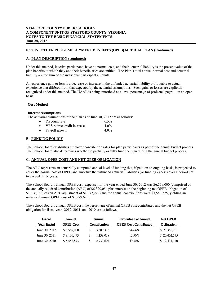## **Note 15. OTHER POST-EMPLOYMENT BENEFITS (OPEB) MEDICAL PLAN (Continued)**

## **A. PLAN DESCRIPTION (continued)**

Under this method, inactive participants have no normal cost, and their actuarial liability is the present value of the plan benefits to which they and their beneficiaries are entitled. The Plan's total annual normal cost and actuarial liability are the sum of the individual participant amounts.

An experience gain or loss is a decrease or increase in the unfunded actuarial liability attributable to actual experience that differed from that expected by the actuarial assumptions. Such gains or losses are explicitly recognized under this method. The UAAL is being amortized as a level percentage of projected payroll on an open basis.

## **Cost Method**

## **Interest Assumptions**

The actuarial assumptions of the plan as of June 30, 2012 are as follows:

| $\bullet$ | Discount rate               | $6.5\%$ |
|-----------|-----------------------------|---------|
| $\bullet$ | VRS retiree credit increase | $4.0\%$ |
| $\bullet$ | Payroll growth              | $4.0\%$ |

## **B. FUNDING POLICY**

The School Board establishes employer contribution rates for plan participants as part of the annual budget process. The School Board also determines whether to partially or fully fund the plan during the annual budget process.

# **C. ANNUAL OPEB COST AND NET OPEB OBLIGATION**

The ARC represents an actuarially computed annual level of funding that, if paid on an ongoing basis, is projected to cover the normal cost of OPEB and amortize the unfunded actuarial liabilities (or funding excess) over a period not to exceed thirty years.

The School Board's annual OPEB cost (expense) for the year ended June 30, 2012 was \$6,569,000 (comprised of the annually required contribution (ARC) of \$6,320,054 plus interest on the beginning net OPEB obligation of \$1,326,168 less an ARC adjustment of \$1,077,222) and the annual contributions were \$3,589,375, yielding an unfunded annual OPEB cost of \$2,979,625.

The School Board's annual OPEB cost, the percentage of annual OPEB cost contributed and the net OPEB obligation for fiscal years 2012, 2011, and 2010 are as follows:

| Fiscal            | Annual           | Annual       | <b>Percentage of Annual</b>  | <b>Net OPEB</b> |
|-------------------|------------------|--------------|------------------------------|-----------------|
| <b>Year Ended</b> | <b>OPEB</b> Cost | Contribution | <b>OPEB Cost Contributed</b> | Obligation      |
| June 30, 2012     | \$6,569,000      | 3,589,375    | 54.64%                       | \$23,382,201    |
| June 30, 2011     | \$9,106,473      | 1,138,038    | 12.50%                       | \$20,402,575    |
| June 30, 2010     | \$5,552,873      | 2,737,604    | 49.30%                       | \$12,434,140    |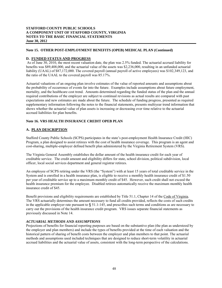## **Note 15. OTHER POST-EMPLOYMENT BENEFITS (OPEB) MEDICAL PLAN (Continued)**

## **D. FUNDED STATUS AND PROGRESS**

As of June 30, 2010, the most recent valuation date, the plan was 2.5% funded. The actuarial accrued liability for benefits was \$89,408,000, and the actuarial value of the assets was \$2,236,000, resulting in an unfunded actuarial liability (UAAL) of \$87,172,000. The covered payroll (annual payroll of active employees) was \$102,349,123, and the ratio of the UAAL to the covered payroll was 85.17%.

Actuarial valuations of an ongoing plan involve estimates of the value of reported amounts and assumptions about the probability of occurrence of events far into the future. Examples include assumptions about future employment, mortality, and the healthcare cost trend. Amounts determined regarding the funded status of the plan and the annual required contributions of the employer are subject to continual revisions as actual results are compared with past expectations and new estimates are made about the future. The schedule of funding progress, presented as required supplementary information following the notes to the financial statements, presents multiyear trend information that shows whether the actuarial value of plan assets is increasing or decreasing over time relative to the actuarial accrued liabilities for plan benefits.

## **Note 16. VRS HEALTH INSURANCE CREDIT OPEB PLAN**

# **A. PLAN DESCRIPTION**

Stafford County Public Schools (SCPS) participates in the state's post-employment Health Insurance Credit (HIC) Program, a plan designed to assist retirees with the cost of health insurance coverage. This program is an agent and cost-sharing, multiple-employer defined benefit plan administered by the Virginia Retirement System (VRS).

The Virginia General Assembly establishes the dollar amount of the health insurance credit for each year of creditable service. The credit amount and eligibility differs for state, school division, political subdivision, local officer, local social services department and general registrar retirees.

An employee of SCPS retiring under the VRS (the "System") with at least 15 years of total creditable service in the System and is enrolled in a health insurance plan, is eligible to receive a monthly health insurance credit of \$1.50 per year of creditable service up to a maximum monthly credit of \$45. However, such credit shall not exceed the health insurance premium for the employee. Disabled retirees automatically receive the maximum monthly health insurance credit of \$45.

Benefit provisions and eligibility requirements are established by Title 51.1, Chapter 14 of the Code of Virginia. The VRS actuarially determines the amount necessary to fund all credits provided, reflects the costs of such credits in the applicable employer rate pursuant to  $\S$  51.1-145, and prescribes such terms and conditions as are necessary to carry out the provisions of the health insurance credit program. VRS issues separate financial statements as previously discussed in Note 14.

## *ACTUARIAL METHODS AND ASSUMPTIONS*

Projections of benefits for financial reporting purposes are based on the substantive plan (the plan as understood by the employer and plan members) and include the types of benefits provided at the time of each valuation and the historical pattern of sharing of benefit costs between the employer and plan members to that point. The actuarial methods and assumptions used included techniques that are designed to reduce short-term volatility in actuarial accrued liabilities and the actuarial value of assets, consistent with the long-term perspective of the calculations.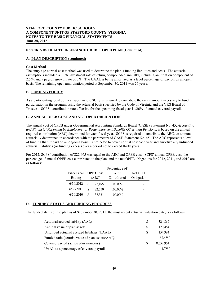## **Note 16. VRS HEALTH INSURANCE CREDIT OPEB PLAN (Continued)**

## **A. PLAN DESCRIPTION (continued)**

## **Cost Method**

The entry age normal cost method was used to determine the plan's funding liabilities and costs. The actuarial assumptions included a 7.0% investment rate of return, compounded annually, including an inflation component of 2.5%, and a payroll growth rate of 3%. The UAAL is being amortized as a level percentage of payroll on an open basis. The remaining open amortization period at September 30, 2011 was 26 years.

## **B. FUNDING POLICY**

As a participating local political subdivision, SCPS is required to contribute the entire amount necessary to fund participation in the program using the actuarial basis specified by the Code of Virginia and the VRS Board of Trustees. SCPS' contribution rate effective for the upcoming fiscal year is .26% of annual covered payroll.

# **C. ANNUAL OPEB COST AND NET OPEB OBLIGATION**

The annual cost of OPEB under Governmental Accounting Standards Board (GASB) Statement No. 45, *Accounting and Financial Reporting by Employers for Postemployment Benefits Other than Pensions*, is based on the annual required contribution (ARC) determined for each fiscal year. SCPS is required to contribute the ARC, an amount actuarially determined in accordance with the parameters of GASB Statement No. 45. The ARC represents a level of funding that, if paid on an ongoing basis, is projected to cover normal cost each year and amortize any unfunded actuarial liabilities (or funding excess) over a period not to exceed thirty years.

For 2012, SCPS' contribution of \$22,495 was equal to the ARC and OPEB cost. SCPS' annual OPEB cost, the percentage of annual OPEB cost contributed to the plan, and the net OPEB obligations for 2012, 2011, and 2010 are as follows:

|                       |    |        | Percentage of |            |
|-----------------------|----|--------|---------------|------------|
| Fiscal Year OPEB Cost |    |        | ABC           | Net OPEB   |
| Ending                |    | (ARC)  | Contributed   | Obligation |
| 6/30/2012             | S  | 22,495 | 100.00%       |            |
| 6/30/2011             | \$ | 22,750 | 100.00%       |            |
| 6/30/2010             |    | 37,331 | 100.00%       |            |

## **D. FUNDING STATUS AND FUNDING PROGRESS**

The funded status of the plan as of September 30, 2011, the most recent actuarial valuation date, is as follows:

| Actuarial accrued liability (AAL)                |          | 324,869   |
|--------------------------------------------------|----------|-----------|
| Acturial value of plan assets                    | S        | 170.484   |
| Unfunded actuarial accrued liabilities (UAAL)    | S        | 154.384   |
| Funded ratio (acturial value of plan assets/AAL) |          | 52.48%    |
| Covered payroll (active plan members)            | <b>S</b> | 8,652,954 |
| UAAL as a percentage of covered payroll          |          | 1.78%     |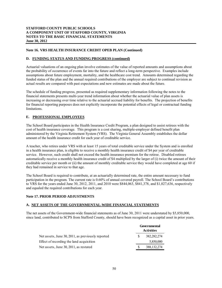# **STAFFORD COUNTY PUBLIC SCHOOLS A COMPONENT UNIT OF STAFFORD COUNTY, VIRGINIA NOTES TO THE BASIC FINANCIAL STATEMENTS June 30, 2012**

# **Note 16. VRS HEALTH INSURANCE CREDIT OPEB PLAN (Continued)**

## **D. FUNDING STATUS AND FUNDING PROGRESS (continued)**

Actuarial valuations of an ongoing plan involve estimates of the value of reported amounts and assumptions about the probability of occurrence of events far into the future and reflect a long-term perspective. Examples include assumptions about future employment, mortality, and the healthcare cost trend. Amounts determined regarding the funded status of the plan and the annual required contributions of the employer are subject to continual revision as actual results are compared with past expectations and new estimates are made about the future.

The schedule of funding progress, presented as required supplementary information following the notes to the financial statements presents multi-year trend information about whether the actuarial value of plan assets is increasing or decreasing over time relative to the actuarial accrued liability for benefits. The projection of benefits for financial reporting purposes does not explicitly incorporate the potential effects of legal or contractual funding limitations.

# **E. PROFESSIONAL EMPLOYEES**

The School Board participates in the Health Insurance Credit Program, a plan designed to assist retirees with the cost of health insurance coverage. This program is a cost sharing, multiple-employer defined benefit plan administered by the Virginia Retirement System (VRS). The Virginia General Assembly establishes the dollar amount of the health insurance credit for each year of creditable service.

A teacher, who retires under VRS with at least 15 years of total creditable service under the System and is enrolled in a health insurance plan, is eligible to receive a monthly health insurance credit of \$4 per year of creditable service. However, such credit shall not exceed the health insurance premium for the retiree. Disabled retirees automatically receive a monthly health insurance credit of \$4 multiplied by the larger of (i) twice the amount of their creditable service per month or (ii) the amount of monthly creditable service they would have completed at age 60 if they had remained in service to that age.

The School Board is required to contribute, at an actuarially determined rate, the entire amount necessary to fund participation in the program. The current rate is 0.60% of annual covered payroll. The School Board's contributions to VRS for the years ended June 30, 2012, 2011, and 2010 were \$844,063, \$841,378, and \$1,027,636, respectively and equaled the required contributions for each year.

## **Note 17. PRIOR PERIOD ADJUSTMENTS**

# **A. NET ASSETS OF THE GOVERNMENTAL-WIDE FINANCIAL STATEMENTS**

The net assets of the Government-wide financial statements as of June 30, 2011 were understated by \$5,850,000, since land, contributed to SCPS from Stafford County, should have been recognized as a capital asset in prior years.

|                                                   | <b>Governmental</b><br><b>Activities</b> |
|---------------------------------------------------|------------------------------------------|
| Net assets, June 30, 2011, as previously reported | 382,282,274                              |
| Effect of recording the land acquisition          | 5,850,000                                |
| Net assets, June 30, 2011, as restated            | 388, 132, 274                            |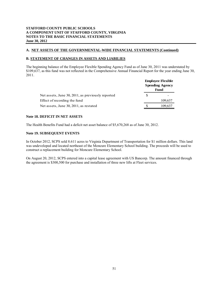## **A. NET ASSETS OF THE GOVERNMENTAL-WIDE FINANCIAL STATEMENTS (Continued)**

# **B. STATEMENT OF CHANGES IN ASSETS AND LIABILIES**

The beginning balance of the Employee Flexible Spending Agency Fund as of June 30, 2011 was understated by \$109,637, as this fund was not reflected in the Comprehensive Annual Financial Report for the year ending June 30, 2011.

**Employee Flexible** 

|                                                   | гиплоуее гтехние<br><b>Spending Agency</b><br>Fund |                          |  |
|---------------------------------------------------|----------------------------------------------------|--------------------------|--|
| Net assets, June 30, 2011, as previously reported |                                                    | $\overline{\phantom{0}}$ |  |
| Effect of recording the fund                      |                                                    | 109,637                  |  |
| Net assets, June 30, 2011, as restated            |                                                    | 109,637                  |  |

# **Note 18. DEFICIT IN NET ASSETS**

The Health Benefits Fund had a deficit net asset balance of \$5,670,268 as of June 30, 2012.

# **Note 19. SUBSEQUENT EVENTS**

In October 2012, SCPS sold 8.611 acres to Virginia Department of Transportation for \$1 million dollars. This land was undeveloped and located northeast of the Moncure Elementary School building. The proceeds will be used to construct a replacement building for Moncure Elementary School.

On August 20, 2012, SCPS entered into a capital lease agreement with US Bancorp. The amount financed through the agreement is \$300,500 for purchase and installation of three new lifts at Fleet services.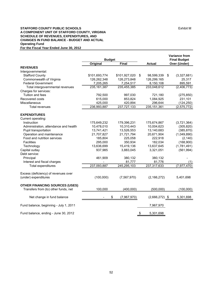## **STAFFORD COUNTY PUBLIC SCHOOLS** Exhibit M **A COMPONENT UNIT OF STAFFORD COUNTY, VIRGINIA SCHEDULE OF REVENUES, EXPENDITURES, AND CHANGES IN FUND BALANCE - BUDGET AND ACTUAL Operating Fund For the Fiscal Year Ended June 30, 2012**

|                                        | <b>Budget</b>   |                   |    |                  | <b>Variance from</b><br><b>Final Budget</b> |
|----------------------------------------|-----------------|-------------------|----|------------------|---------------------------------------------|
|                                        | <b>Original</b> | <b>Final</b>      |    | <b>Actual</b>    | Over (Under)                                |
| <b>REVENUES</b>                        |                 |                   |    |                  |                                             |
| Intergovernmental:                     |                 |                   |    |                  |                                             |
| <b>Stafford County</b>                 | \$101,693,774   | \$101,927,020     | \$ | 98,599,339       | \$<br>(3,327,681)                           |
| Commonwealth of Virginia               | 126,262,348     | 126,273,848       |    | 126,299,165      | 25,317                                      |
| <b>Federal Government</b>              | 7,205,265       | 7,254,517         |    | 8,150,108        | 895,591                                     |
| Total intergovernmental revenues       | 235, 161, 387   | 235,455,385       |    | 233,048,612      | (2,406,773)                                 |
| Charges for services:                  |                 |                   |    |                  |                                             |
| Tuition and fees                       | 792,500         | 997,030           |    | 721,180          | (275, 850)                                  |
| Recovered costs                        | 615,000         | 853,824           |    | 1,084,925        | 231,101                                     |
| <b>Miscellaneous</b>                   | 425,000         | 420,894           |    | 296,644          | (124, 250)                                  |
| <b>Total revenues</b>                  | 236,993,887     | 237,727,133       |    | 235, 151, 361    | (2,575,772)                                 |
| <b>EXPENDITURES</b>                    |                 |                   |    |                  |                                             |
| Current operating:                     |                 |                   |    |                  |                                             |
| Instruction                            | 175,649,232     | 179,396,231       |    | 175,674,867      | (3,721,364)                                 |
| Administration, attendance and health  | 10,478,010      | 10,310,443        |    | 10,004,623       | (305, 820)                                  |
| Pupil transportation                   | 13,741,421      | 13,526,553        |    | 13,140,683       | (385, 870)                                  |
| Operation and maintenance              | 21,707,827      | 21,721,794        |    | 20,671,904       | (1,049,890)                                 |
| Food and nutrition services            | 185,804         | 225,058           |    | 222,918          | (2, 140)                                    |
| <b>Facilities</b>                      | 295,000         | 350,934           |    | 182,034          | (168,900)                                   |
| Technology                             | 13,636,699      | 15,419,136        |    | 13,637,645       | (1,781,491)                                 |
| Capital outlay                         | 937,985         | 3,883,045         |    | 3,321,051        | (561, 994)                                  |
| Debt service:                          |                 |                   |    |                  |                                             |
| Principal                              | 461,909         | 380,132           |    | 380,132          |                                             |
| Interest and fiscal charges            |                 | 81,777            |    | 81,776           | (1)                                         |
| Total expenditures                     | 237,093,887     | 245,295,103       |    | 237, 317, 633    | (7, 977, 470)                               |
|                                        |                 |                   |    |                  |                                             |
| Excess (deficiency) of revenues over   |                 |                   |    |                  |                                             |
| (under) expenditures                   | (100,000)       | (7, 567, 970)     |    | (2, 166, 272)    | 5,401,698                                   |
| <b>OTHER FINANCING SOURCES (USES)</b>  |                 |                   |    |                  |                                             |
| Transfers from (to) other funds, net   | 100,000         | (400,000)         |    | (500,000)        | (100,000)                                   |
|                                        |                 |                   |    |                  |                                             |
| Net change in fund balance             |                 | \$<br>(7,967,970) |    | $(2,666,272)$ \$ | 5,301,698                                   |
| Fund balance, beginning - July 1, 2011 |                 |                   |    | 7,967,970        |                                             |
| Fund balance, ending - June 30, 2012   |                 |                   | \$ | 5,301,698        |                                             |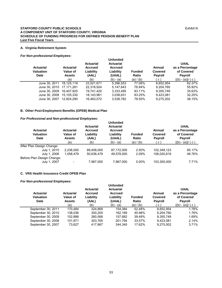#### **A. Virginia Retirement System**

## *For Non-professional Employees:*

| $\ldots$ , , protocolorum enterotoci          |                                                          |                                                                              |                        |                                     |                                                                |
|-----------------------------------------------|----------------------------------------------------------|------------------------------------------------------------------------------|------------------------|-------------------------------------|----------------------------------------------------------------|
| <b>Actuarial</b><br>Value of<br><b>Assets</b> | <b>Actuarial</b><br><b>Accrued</b><br>Liability<br>(AAL) | <b>Unfunded</b><br><b>Actuarial</b><br><b>Accrued</b><br>Liability<br>(UAAL) | <b>Funded</b><br>Ratio | Annual<br>Covered<br><b>Payroll</b> | <b>UAAL</b><br>as a Percentage<br>of Covered<br><b>Pavroll</b> |
|                                               |                                                          |                                                                              |                        |                                     | $\{(b) - (a)\}/(c)$                                            |
|                                               |                                                          |                                                                              |                        |                                     | 62.37%                                                         |
| June 30, 2010 17, 171, 281                    | 22.318.924                                               | 5,147,643                                                                    | 76.94%                 | 9,204,760                           | 55.92%                                                         |
| 16.407.925                                    | 19.741.420                                               | 3,333,495                                                                    | 83.11%                 | 9.355.749                           | 35.63%                                                         |
| 15,105,330                                    | 18.143.961                                               | 3,038,631                                                                    | 83.25%                 | 9,423,081                           | 32.25%                                                         |
| 12.924.290                                    | 16.463.072                                               | 3,538,782                                                                    | 78.50%                 | 9.275.202                           | 38.15%                                                         |
|                                               | (a)<br>June 30, 2011 18, 125, 118                        | (b)<br>23,521,671                                                            | (b) - (a)<br>5,396,553 | (a) / (b)<br>77.06%                 | $\mathbf{C}$<br>8,652,954                                      |

# **B. Other Post-Employment Benefits (OPEB) Medical Plan**

## *For Professional and Non-professional Employees:*

| <b>Actuarial</b><br><b>Valuation</b><br>Date | <b>Actuarial</b><br>Value of<br><b>Assets</b><br>(a) | <b>Actuarial</b><br><b>Accrued</b><br>Liability<br>(AAL)<br>(b) | Unfunded<br><b>Actuarial</b><br><b>Accrued</b><br>Liability<br>(UAAL)<br>$(b) - (a)$ | <b>Funded</b><br>Ratio<br>(a) / (b) | Annual<br>Covered<br><b>Payroll</b><br>C) | <b>UAAL</b><br>as a Percentage<br>of Covered<br><b>Payroll</b><br>$\{(b) - (a)\}/(c)$ |
|----------------------------------------------|------------------------------------------------------|-----------------------------------------------------------------|--------------------------------------------------------------------------------------|-------------------------------------|-------------------------------------------|---------------------------------------------------------------------------------------|
| After Plan Design Change:                    |                                                      |                                                                 |                                                                                      |                                     |                                           |                                                                                       |
| July 1, 2010                                 | 2,236,000                                            | 89.408.000                                                      | 87.172.000                                                                           | 2.50%                               | 102.349.123                               | 85.17%                                                                                |
| July 1, 2008                                 | 1.058.479                                            | 50,636,479                                                      | 49.578.000                                                                           | 2.09%                               | 106.020.819                               | 46.76%                                                                                |
| Before Plan Design Change:<br>July 1, 2007   | $\overline{\phantom{a}}$                             | 7,967,000                                                       | 7.967.000                                                                            | $0.00\%$                            | 103,300,000                               | 7.71%                                                                                 |

# **C. VRS Health Insurance Credit OPEB Plan**

## *For Non-professional Employees:*

| $1.911011$ protocolorum Employeed.            |                                                          |                                                                              |                        |                                     |                                                                                       |
|-----------------------------------------------|----------------------------------------------------------|------------------------------------------------------------------------------|------------------------|-------------------------------------|---------------------------------------------------------------------------------------|
| <b>Actuarial</b><br>Value of<br><b>Assets</b> | <b>Actuarial</b><br><b>Accrued</b><br>Liability<br>(AAL) | <b>Unfunded</b><br><b>Actuarial</b><br><b>Accrued</b><br>Liability<br>(UAAL) | <b>Funded</b><br>Ratio | Annual<br>Covered<br><b>Payroll</b> | <b>UAAL</b><br>as a Percentage<br>of Covered<br><b>Payroll</b><br>$\{(b) - (a)\}/(c)$ |
| 170.484                                       | 324.869                                                  | 154.384                                                                      | 52.48%                 | 8.652.954                           | 1.78%                                                                                 |
| 138.036                                       | 300.205                                                  | 162.169                                                                      | 45.98%                 |                                     | 1.76%                                                                                 |
| 102,886                                       | 260,568                                                  | 157,682                                                                      | 39.49%                 |                                     | 1.69%                                                                                 |
| 101.971                                       | 303.765                                                  | 201.794                                                                      | 33.57%                 | 9,423,081                           | 2.14%                                                                                 |
| 73.627                                        | 417.967                                                  | 344.340                                                                      | 17.62%                 | 9,275,502                           | 3.71%                                                                                 |
|                                               | (a)                                                      | (b)                                                                          | $(b) - (a)$            | (a) / (b)                           | C)<br>9,204,760<br>9,355,749                                                          |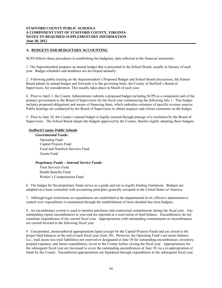# **STAFFORD COUNTY PUBLIC SCHOOLS A COMPONENT UNIT OF STAFFORD COUNTY, VIRGINIA NOTES TO REQUIRED SUPPLEMENTARY INFORMATION June 30, 2012**

# **A. BUDGETS AND BUDGETARY ACCOUNTING**

SCPS follows these procedures in establishing the budgetary data reflected in the financial statements:

1. The Superintendent prepares an annual budget that is presented to the School Board, usually in January of each year. Budget schedules and deadlines are developed annually.

2. Following public hearing on the Superintendent's Proposed Budget and School Board discussions, the School Board adopts its annual budget and forwards it to the governing body, the County of Stafford's Board of Supervisors, for consideration. This usually takes place in March of each year.

4. Prior to April 1, the County Administrator submits a proposed budget including SCPS as a component unit of the primary government to the Board of Supervisors for the fiscal year commencing the following July 1. This budget includes proposed obligations and means of financing them, which embodies estimates of specific revenue sources. Public hearings are conducted by the Board of Supervisors to obtain taxpayer and citizen comments on the budget.

5. Prior to June 30, the County's annual budget is legally enacted through passage of a resolution by the Board of Supervisors. The School Board adopts the budgets approved by the County, thereby legally adopting these budgets:

## **Stafford County Public Schools**

*Governmental Funds:* Operating Fund Capital Projects Fund Food and Nutrition Services Fund Grants Fund

## *Proprietary Funds – Internal Service Funds:*

 Fleet Services Fund Health Benefits Fund Worker's Compensation Fund

6. The budget for the proprietary funds serves as a guide and not as legally binding limitations. Budgets are adopted on a basis consistent with accounting principles generally accepted in the United States of America.

7. Although legal restrictions on expenditures are established at the departmental level, effective administrative control over expenditures is maintained through the establishment of more detailed line-item budgets.

8. An encumbrance system is used to monitor purchases and contractual commitments during the fiscal year. Any outstanding (open) encumbrances at year-end are reported as a reservation of fund balance. Encumbrances do not constitute expenditures of the current fiscal year. Appropriations with outstanding commitments or encumbrances are carried forward to the following fiscal year.

9. Unexpended, unencumbered appropriations lapse (except for the Capital Projects Fund) and are closed to the proper fund balances at the end of each fiscal year (June 30). However, the Operating Fund's net assets balance (i.e., total assets less total liabilities) not reserved or designated at June 30 for outstanding encumbrances, inventory, prepaid expenses, and future expenditures, revert to the County before closing the fiscal year. Appropriations for the subsequent fiscal year are increased to cover the outstanding encumbrances at June 30 via a re-appropriation of funds by the County. Encumbered appropriations are liquidated through expenditures in the subsequent fiscal year.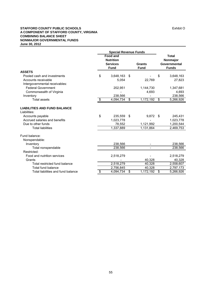## **STAFFORD COUNTY PUBLIC SCHOOLS** Exhibit O **A COMPONENT OF STAFFORD COUNTY, VIRGINIA COMBINING BALANCE SHEET NONMAJOR GOVERNMENTAL FUNDS June 30, 2012**

|                                                                                                       | <b>Special Revenue Funds</b>                                   |                      |    |                        |                                                                 |                        |
|-------------------------------------------------------------------------------------------------------|----------------------------------------------------------------|----------------------|----|------------------------|-----------------------------------------------------------------|------------------------|
|                                                                                                       | Food and<br><b>Nutrition</b><br><b>Services</b><br><b>Fund</b> |                      |    | Grants<br><b>Fund</b>  | <b>Total</b><br>Nonmajor<br><b>Governmental</b><br><b>Funds</b> |                        |
| <b>ASSETS</b><br>Pooled cash and investments<br>Accounts receivable<br>Intergovernmental receivables: | \$                                                             | 3,648,163<br>5,054   | \$ | 22,769                 | \$                                                              | 3,648,163<br>27,823    |
| <b>Federal Government</b><br>Commonwealth of Virginia                                                 |                                                                | 202,951              |    | 1,144,730<br>4,693     |                                                                 | 1,347,681<br>4,693     |
| Inventory<br><b>Total assets</b>                                                                      | \$                                                             | 238,566<br>4,094,734 | \$ | 1,172,192              | \$                                                              | 238,566<br>5,266,926   |
| <b>LIABILITIES AND FUND BALANCE</b><br>Liabilities:                                                   |                                                                |                      |    |                        |                                                                 |                        |
| Accounts payable<br>Accrued salaries and benefits                                                     | \$                                                             | 235,559<br>1,023,778 | \$ | $9.872$ \$             |                                                                 | 245,431<br>1,023,778   |
| Due to other funds<br><b>Total liabilities</b>                                                        |                                                                | 78,552<br>1,337,889  |    | 1,121,992<br>1,131,864 |                                                                 | 1,200,544<br>2,469,753 |
| Fund balance:<br>Nonspendable:                                                                        |                                                                |                      |    |                        |                                                                 |                        |
| Inventory                                                                                             |                                                                | 238,566              |    |                        |                                                                 | 238,566                |
| Total nonspendable                                                                                    |                                                                | 238.566              |    |                        |                                                                 | 238,566                |
| Restricted:<br>Food and nutrition services<br>Grants                                                  |                                                                | 2,518,279            |    | 40,328                 |                                                                 | 2,518,279<br>40,328    |
| Total restricted fund balance                                                                         |                                                                | 2,518,279            |    | 40,328                 |                                                                 | 2,558,607              |
| Total fund balance                                                                                    |                                                                | 2,756,845            |    | 40.328                 |                                                                 | 2,797,173              |
| Total liabilities and fund balance                                                                    | $\overline{\mathbf{e}}$                                        | 4,094,734            | \$ | 1,172,192              | \$                                                              | 5,266,926              |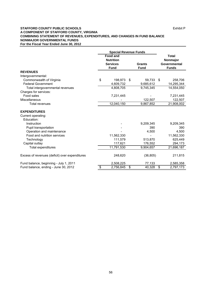## **STAFFORD COUNTY PUBLIC SCHOOLS** Exhibit P **A COMPONENT OF STAFFORD COUNTY, VIRGINIA COMBINING STATEMENT OF REVENUES, EXPENDITURES, AND CHANGES IN FUND BALANCE NONMAJOR GOVERNMENTAL FUNDS For the Fiscal Year Ended June 30, 2012**

|                                                | <b>Special Revenue Funds</b>                                                                   |            |    |           |                                                                 |            |
|------------------------------------------------|------------------------------------------------------------------------------------------------|------------|----|-----------|-----------------------------------------------------------------|------------|
|                                                | Food and<br><b>Nutrition</b><br><b>Services</b><br><b>Grants</b><br><b>Fund</b><br><b>Fund</b> |            |    |           | <b>Total</b><br><b>Nonmajor</b><br>Governmental<br><b>Funds</b> |            |
|                                                |                                                                                                |            |    |           |                                                                 |            |
| <b>REVENUES</b>                                |                                                                                                |            |    |           |                                                                 |            |
| Intergovernmental:                             |                                                                                                |            |    |           |                                                                 |            |
| Commonwealth of Virginia                       | \$                                                                                             | 198,973    | \$ | 59,733    | \$                                                              | 258,706    |
| <b>Federal Government</b>                      |                                                                                                | 4,609,732  |    | 9,685,612 |                                                                 | 14,295,344 |
| Total intergovernmental revenues               |                                                                                                | 4,808,705  |    | 9,745,345 |                                                                 | 14,554,050 |
| Charges for services:                          |                                                                                                |            |    |           |                                                                 |            |
| Food sales                                     |                                                                                                | 7,231,445  |    |           |                                                                 | 7,231,445  |
| Miscellaneous                                  |                                                                                                |            |    | 122.507   |                                                                 | 122,507    |
| Total revenues                                 |                                                                                                | 12,040,150 |    | 9,867,852 |                                                                 | 21,908,002 |
| <b>EXPENDITURES</b>                            |                                                                                                |            |    |           |                                                                 |            |
| Current operating:                             |                                                                                                |            |    |           |                                                                 |            |
| Education:                                     |                                                                                                |            |    |           |                                                                 |            |
| Instruction                                    |                                                                                                |            |    | 9,209,345 |                                                                 | 9,209,345  |
| Pupil transportation                           |                                                                                                |            |    | 390       |                                                                 | 390        |
| Operation and maintenance                      |                                                                                                |            |    | 4,500     |                                                                 | 4,500      |
| Food and nutrition services                    |                                                                                                | 11,562,330 |    |           |                                                                 | 11,562,330 |
| Technology                                     |                                                                                                | 111,579    |    | 513,870   |                                                                 | 625,449    |
| Capital outlay                                 |                                                                                                | 117,621    |    | 176,552   |                                                                 | 294,173    |
| Total expenditures                             |                                                                                                | 11,791,530 |    | 9,904,657 |                                                                 | 21,696,187 |
| Excess of revenues (deficit) over expenditures |                                                                                                | 248,620    |    | (36, 805) |                                                                 | 211,815    |
| Fund balance, beginning - July 1, 2011         |                                                                                                | 2,508,225  |    | 77,133    |                                                                 | 2,585,358  |
| Fund balance, ending - June 30, 2012           | \$                                                                                             | 2,756,845  | \$ | 40,328    | \$                                                              | 2,797,173  |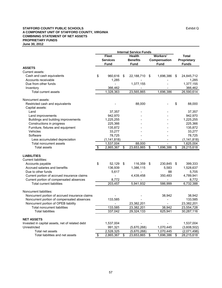#### **STAFFORD COUNTY PUBLIC SCHOOLS** Exhibit Q **A COMPONENT UNIT OF STAFFORD COUNTY, VIRGINIA COMBINING STATEMENT OF NET ASSETS PROPRIETARY FUNDS June 30, 2012**

|                                                 | <b>Internal Service Funds</b> |                                                |                                                 |             |    |                                         |                                             |
|-------------------------------------------------|-------------------------------|------------------------------------------------|-------------------------------------------------|-------------|----|-----------------------------------------|---------------------------------------------|
|                                                 |                               | <b>Fleet</b><br><b>Services</b><br><b>Fund</b> | <b>Health</b><br><b>Benefits</b><br><b>Fund</b> |             |    | Workers'<br>Compensation<br><b>Fund</b> | <b>Total</b><br>Proprietary<br><b>Funds</b> |
| <b>ASSETS</b>                                   |                               |                                                |                                                 |             |    |                                         |                                             |
| Current assets:                                 |                               |                                                |                                                 |             |    |                                         |                                             |
| Cash and cash equivalents                       | \$                            | 960,616                                        | \$                                              | 22,188,710  | S  | 1,696,386                               | \$<br>24,845,712                            |
| Accounts receivable                             |                               | 1,285                                          |                                                 |             |    |                                         | 1,285                                       |
| Due from other funds                            |                               |                                                |                                                 | 1,377,155   |    |                                         | 1,377,155                                   |
| Inventory                                       |                               | 366,462                                        |                                                 |             |    |                                         | 366,462                                     |
| Total current assets                            |                               | 1,328,363                                      |                                                 | 23,565,865  |    | 1,696,386                               | 26,590,614                                  |
| Noncurrent assets:                              |                               |                                                |                                                 |             |    |                                         |                                             |
| Restricted cash and equivalents                 |                               |                                                |                                                 | 88,000      |    |                                         | \$<br>88,000                                |
| Capital assets:                                 |                               |                                                |                                                 |             |    |                                         |                                             |
| Land                                            |                               | 37,357                                         |                                                 |             |    |                                         | 37,357                                      |
| Land improvements                               |                               | 942,970                                        |                                                 |             |    |                                         | 942,970                                     |
| Buildings and building improvements             |                               | 1,225,255                                      |                                                 |             |    |                                         | 1,225,255                                   |
| Constructions in progress                       |                               | 225,366                                        |                                                 |             |    |                                         | 225,366                                     |
| Furniture, fixtures and equipment               |                               | 135,872                                        |                                                 |             |    |                                         | 135,872                                     |
| Vehicles                                        |                               | 33,277                                         |                                                 |             |    |                                         | 33,277                                      |
| Software                                        |                               | 78,725                                         |                                                 |             |    |                                         | 78,725                                      |
| Less accumulated depreciation                   |                               | (1, 141, 818)                                  |                                                 |             |    | $\blacksquare$                          | (1, 141, 818)                               |
| Total noncurrent assets                         |                               | 1,537,004                                      |                                                 | 88,000      |    | $\blacksquare$                          | 1,625,004                                   |
| <b>Total assets</b>                             | \$                            | 2,865,367                                      | \$                                              | 23,653,865  | \$ | 1,696,386                               | \$<br>28,215,618                            |
| <b>LIABILITIES</b>                              |                               |                                                |                                                 |             |    |                                         |                                             |
| <b>Current liabilities:</b>                     |                               |                                                |                                                 |             |    |                                         |                                             |
| Accounts payable                                | \$                            | 52,129                                         | \$                                              | 116,359     | \$ | 230,845                                 | \$<br>399,333                               |
| Accrued salaries and benefits                   |                               | 136,939                                        |                                                 | 1,386,115   |    | 5,583                                   | 1,528,637                                   |
| Due to other funds                              |                               | 5,617                                          |                                                 |             |    | 88                                      | 5,705                                       |
| Current portion of accrued insurance claims     |                               | $\blacksquare$                                 |                                                 | 4,439,458   |    | 350,483                                 | 4,789,941                                   |
| Current portion of compensated absences         |                               | 8,772                                          |                                                 |             |    | $\overline{a}$                          | 8,772                                       |
| <b>Total current liabilities</b>                |                               | 203,457                                        |                                                 | 5,941,932   |    | 586,999                                 | 6,732,388                                   |
| Noncurrent liabilities:                         |                               |                                                |                                                 |             |    |                                         |                                             |
| Noncurrent portion of accrued insurance claims  |                               |                                                |                                                 |             |    | 38,942                                  | 38,942                                      |
| Noncurrent portion of compensated absences      |                               | 133,585                                        |                                                 |             |    |                                         | 133,585                                     |
| Noncurrent portion of OPEB liability            |                               |                                                |                                                 | 23,382,201  |    |                                         | 23,382,201                                  |
| <b>Total noncurrent liabilities</b>             |                               | 133,585                                        |                                                 | 23,382,201  |    | 38,942                                  | 23,554,728                                  |
| <b>Total liabilities</b>                        |                               | 337,042                                        |                                                 | 29,324,133  |    | 625,941                                 | 30,287,116                                  |
| <b>NET ASSETS</b>                               |                               |                                                |                                                 |             |    |                                         |                                             |
| Invested in capital assets, net of related debt |                               | 1,537,004                                      |                                                 |             |    |                                         | 1,537,004                                   |
| Unrestricted                                    |                               | 991,321                                        |                                                 | (5,670,268) |    | 1,070,445                               | (3,608,502)                                 |
| Total net assets                                |                               | 2,528,325                                      |                                                 | (5,670,268) |    | 1,070,445                               | (2,071,498)                                 |
| Total liabilities and net assets                | \$                            | 2,865,367                                      | \$                                              | 23,653,865  | \$ | 1,696,386                               | \$<br>28,215,618                            |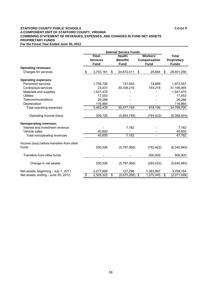#### **STAFFORD COUNTY PUBLIC SCHOOLS** Exhibit R **A COMPONENT UNIT OF STAFFORD COUNTY, VIRGINIA COMBINING STATEMENT OF REVENUES, EXPENSES, AND CHANGES IN FUND NET ASSETS PROPRIETARY FUNDS For the Fiscal Year Ended June 30, 2012**

|                                           |    | <b>Internal Service Funds</b>                  |    |                                                 |    |                                         |                                             |             |
|-------------------------------------------|----|------------------------------------------------|----|-------------------------------------------------|----|-----------------------------------------|---------------------------------------------|-------------|
|                                           |    | <b>Fleet</b><br><b>Services</b><br><b>Fund</b> |    | <b>Health</b><br><b>Benefits</b><br><b>Fund</b> |    | Workers'<br>Compensation<br><b>Fund</b> | <b>Total</b><br>Proprietary<br><b>Funds</b> |             |
| <b>Operating revenues:</b>                |    |                                                |    |                                                 |    |                                         |                                             |             |
| Charges for services                      | \$ | 3,703,161                                      | \$ | 24,672,411                                      | \$ | 25,684                                  | \$                                          | 28,401,256  |
| <b>Operating expenses:</b>                |    |                                                |    |                                                 |    |                                         |                                             |             |
| Personnel services                        |    | 1,759,726                                      |    | 137,943                                         |    | 74,888                                  |                                             | 1,972,557   |
| Contractual services                      |    | 23,031                                         |    | 30,339,216                                      |    | 744,218                                 |                                             | 31,106,465  |
| Materials and supplies                    |    | 1,547,475                                      |    |                                                 |    |                                         |                                             | 1,547,475   |
| <b>Utilities</b>                          |    | 17,053                                         |    |                                                 |    |                                         |                                             | 17,053      |
| Telecommunications                        |    | 29,286                                         |    |                                                 |    |                                         |                                             | 29,286      |
| Depreciation                              |    | 116,864                                        |    |                                                 |    |                                         |                                             | 116,864     |
| Total operating expenses                  |    | 3,493,435                                      |    | 30,477,159                                      |    | 819,106                                 |                                             | 34,789,700  |
| Operating income (loss)                   |    | 209,726                                        |    | (5,804,748)                                     |    | (793, 422)                              |                                             | (6,388,444) |
| <b>Nonoperating revenues:</b>             |    |                                                |    |                                                 |    |                                         |                                             |             |
| Interest and investment revenue           |    |                                                |    | 7,182                                           |    |                                         |                                             | 7,182       |
| Vehicle sales                             |    | 40,600                                         |    |                                                 |    |                                         |                                             | 40,600      |
| Total nonoperating revenues               |    | 40,600                                         |    | 7,182                                           |    |                                         |                                             | 47,782      |
| Income (loss) before transfers from other |    |                                                |    |                                                 |    |                                         |                                             |             |
| funds                                     |    | 250,326                                        |    | (5,797,566)                                     |    | (793, 422)                              |                                             | (6,340,662) |
| Transfers from other funds                |    |                                                |    |                                                 |    | 500,000                                 |                                             | 500,000     |
| Change in net assets                      |    | 250,326                                        |    | (5,797,566)                                     |    | (293, 422)                              |                                             | (5,840,662) |
| Net assets, beginning - July 1, 2011      |    | 2,277,999                                      |    | 127,298                                         |    | 1,363,867                               |                                             | 3,769,164   |
| Net assets, ending - June 30, 2012        | \$ | 2,528,325                                      | \$ | (5,670,268)                                     | \$ | 1,070,445                               | \$                                          | (2,071,498) |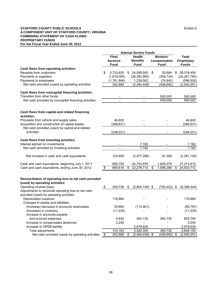#### **STAFFORD COUNTY PUBLIC SCHOOLS** Exhibit S **A COMPONENT UNIT OF STAFFORD COUNTY, VIRGINIA COMBINING STATEMENT OF CASH FLOWS PROPRIETARY FUNDS For the Fiscal Year Ended June 30, 2012**

|                                                                                | <b>Internal Service Funds</b> |                                 |    |                                  |    |                                        |                             |
|--------------------------------------------------------------------------------|-------------------------------|---------------------------------|----|----------------------------------|----|----------------------------------------|-----------------------------|
|                                                                                |                               | <b>Fleet</b><br><b>Services</b> |    | <b>Health</b><br><b>Benefits</b> |    | <b>Workers'</b><br><b>Compensation</b> | <b>Total</b><br>Proprietary |
|                                                                                |                               | Fund                            |    | Fund                             |    | <b>Fund</b>                            | <b>Funds</b>                |
| Cash flows from operating activities:                                          |                               |                                 |    |                                  |    |                                        |                             |
| Receipts from customers                                                        | \$                            | 3,733,825                       |    | \$ 24,558,950                    | \$ | 25,684                                 | \$ 28,318,459               |
| Payments to suppliers                                                          |                               | (1,619,090)                     |    | (28, 282, 960)                   |    | (359, 734)                             | (30, 261, 784)              |
| Payments to employees                                                          |                               | (1,761,846)                     |    | 1,239,562                        |    | (74, 642)                              | (596, 926)                  |
| Net cash provided (used) by operating activities                               |                               | 352,889                         |    | (2,484,448)                      |    | (408,692)                              | (2,540,251)                 |
| Cash flows from noncapital financing activities:                               |                               |                                 |    |                                  |    |                                        |                             |
| Transfers from other funds                                                     |                               | $\sim$                          |    | $\blacksquare$                   |    | 500,000                                | 500,000                     |
| Net cash provided by noncapital financing activities                           |                               |                                 |    |                                  |    | 500,000                                | 500,000                     |
| Cash flows from capital and related financing                                  |                               |                                 |    |                                  |    |                                        |                             |
| activities:                                                                    |                               |                                 |    |                                  |    |                                        |                             |
| Proceeds from vehicle and supply sales                                         |                               | 40,600                          |    |                                  |    |                                        | 40,600                      |
| Acquisition and construction of capital assets                                 |                               | (288, 631)                      |    |                                  |    |                                        | (288, 631)                  |
| Net cash provided (used) by capital and related                                |                               |                                 |    |                                  |    |                                        |                             |
| activities                                                                     |                               | (248, 031)                      |    |                                  |    |                                        | (248, 031)                  |
| Cash flows from investing activities:                                          |                               |                                 |    |                                  |    |                                        |                             |
| Interest earned on investments                                                 |                               |                                 |    | 7,182                            |    |                                        | 7,182                       |
| Net cash provided by investing activities                                      |                               |                                 |    | 7,182                            |    | $\overline{a}$                         | 7,182                       |
| Net increase in cash and cash equivalents                                      |                               | 104,858                         |    | (2,477,266)                      |    | 91,308                                 | (2, 281, 100)               |
| Cash and cash equivalents, beginning July 1, 2011                              |                               | 855,758                         |    | 24,753,976                       |    | 1,605,078                              | 27,214,812                  |
| Cash and cash equivalents, ending June 30, 2012                                | \$                            | 960,616                         | \$ | 22,276,710                       | \$ | 1,696,386                              | \$<br>24,933,712            |
| Reconciliation of operating loss to net cash provided                          |                               |                                 |    |                                  |    |                                        |                             |
| (used) by operating activities:                                                |                               |                                 |    |                                  |    |                                        |                             |
| Operating income (loss)<br>Adjustments to reconcile operating loss to net cash | \$                            | 209,726                         | \$ | $(5,804,748)$ \$                 |    | $(793, 422)$ \$                        | (6,388,444)                 |
| provided (used) by operating activities:                                       |                               |                                 |    |                                  |    |                                        |                             |
| Depreciation expense                                                           |                               | 116,864                         |    |                                  |    |                                        | 116,864                     |
| Changes in assets and liabilities:                                             |                               |                                 |    |                                  |    |                                        |                             |
| (Increase) decrease in accounts receivables                                    |                               | 30.664                          |    | (113, 461)                       |    |                                        | (82, 797)                   |
| (Increase) in inventory                                                        |                               |                                 |    |                                  |    |                                        |                             |
| Increase in accounts payable                                                   |                               | (11, 535)                       |    |                                  |    |                                        | (11, 535)                   |
| and accrued expenses                                                           |                               |                                 |    |                                  |    |                                        | 843,795                     |
| Increase in compensated absences                                               |                               | 4,930<br>2,240                  |    | 454,135                          |    | 384,730                                | 2,240                       |
| Increase in OPEB liability                                                     |                               |                                 |    | 2,979,626                        |    |                                        | 2,979,626                   |
| Total adjustments                                                              |                               | 143,163                         |    | 3,320,300                        |    | 384,730                                | 3,848,193                   |
| Net cash provided (used) by operating activities                               | \$                            | 352,889                         | \$ | (2,484,448)                      | \$ | (408, 692)                             | \$<br>(2, 540, 251)         |
|                                                                                |                               |                                 |    |                                  |    |                                        |                             |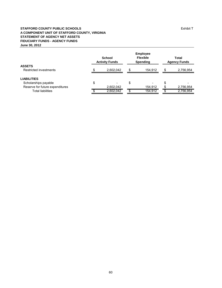#### **STAFFORD COUNTY PUBLIC SCHOOLS** Exhibit T **A COMPONENT UNIT OF STAFFORD COUNTY, VIRGINIA STATEMENT OF AGENCY NET ASSETS FIDUCIARY FUNDS - AGENCY FUNDS June 30, 2012**

|                                         | <b>School</b><br><b>Activity Funds</b> |    | <b>Employee</b><br><b>Flexible</b><br><b>Spending</b> | Total<br><b>Agency Funds</b> |           |  |
|-----------------------------------------|----------------------------------------|----|-------------------------------------------------------|------------------------------|-----------|--|
| <b>ASSETS</b><br>Restricted investments | \$<br>2,602,042                        | S  | 154.912                                               | S                            | 2,756,954 |  |
| <b>LIABILITIES</b>                      |                                        |    |                                                       |                              |           |  |
| Scholarships payable                    | \$                                     | \$ |                                                       | S                            |           |  |
| Reserve for future expenditures         | 2,602,042                              |    | 154,912                                               |                              | 2,756,954 |  |
| Total liabilities                       | 2,602,042                              |    | 154,912                                               |                              | 2,756,954 |  |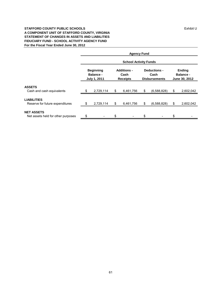#### **STAFFORD COUNTY PUBLIC SCHOOLS** Exhibit U **A COMPONENT UNIT OF STAFFORD COUNTY, VIRGINIA STATEMENT OF CHANGES IN ASSETS AND LIABILITIES FIDUCIARY FUND - SCHOOL ACTIVITY AGENCY FUND For the Fiscal Year Ended June 30, 2012**

|                                                         |                                                      |   | <b>Agency Fund</b>                            |    |                                                     |    |                                             |
|---------------------------------------------------------|------------------------------------------------------|---|-----------------------------------------------|----|-----------------------------------------------------|----|---------------------------------------------|
|                                                         |                                                      |   | <b>School Activity Funds</b>                  |    |                                                     |    |                                             |
|                                                         | <b>Beginning</b><br>Balance -<br><b>July 1, 2011</b> |   | <b>Additions -</b><br>Cash<br><b>Receipts</b> |    | <b>Deductions -</b><br>Cash<br><b>Disbursements</b> |    | <b>Ending</b><br>Balance -<br>June 30, 2012 |
| <b>ASSETS</b><br>Cash and cash equivalents              | \$<br>2,729,114                                      | S | 6,461,756                                     | \$ | (6,588,828)                                         | \$ | 2,602,042                                   |
| <b>LIABILITIES</b><br>Reserve for future expenditures   | 2,729,114                                            | S | 6,461,756                                     | \$ | (6,588,828)                                         | \$ | 2,602,042                                   |
| <b>NET ASSETS</b><br>Net assets held for other purposes |                                                      |   |                                               |    |                                                     |    |                                             |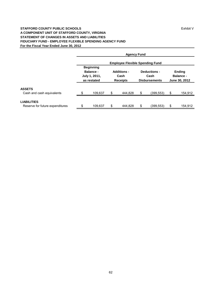#### **STAFFORD COUNTY PUBLIC SCHOOLS** Exhibit V **A COMPONENT UNIT OF STAFFORD COUNTY, VIRGINIA STATEMENT OF CHANGES IN ASSETS AND LIABILITIES FIDUCIARY FUND - EMPLOYEE FLEXIBLE SPENDING AGENCY FUND For the Fiscal Year Ended June 30, 2012**

|                                                       |                                                               |    | <b>Agency Fund</b>                            |    |                                                     |    |                                             |  |
|-------------------------------------------------------|---------------------------------------------------------------|----|-----------------------------------------------|----|-----------------------------------------------------|----|---------------------------------------------|--|
|                                                       |                                                               |    | <b>Employee Flexible Spending Fund</b>        |    |                                                     |    |                                             |  |
|                                                       | <b>Beginning</b><br>Balance -<br>July 1, 2011,<br>as restated |    | <b>Additions -</b><br>Cash<br><b>Receipts</b> |    | <b>Deductions -</b><br>Cash<br><b>Disbursements</b> |    | <b>Ending</b><br>Balance -<br>June 30, 2012 |  |
| <b>ASSETS</b>                                         |                                                               |    |                                               |    |                                                     |    |                                             |  |
| Cash and cash equivalents                             | \$<br>109,637                                                 | \$ | 444,828                                       | \$ | (399.553)                                           | \$ | 154,912                                     |  |
| <b>LIABILITIES</b><br>Reserve for future expenditures | \$<br>109.637                                                 | \$ | 444.828                                       | \$ | (399,553)                                           | \$ | 154,912                                     |  |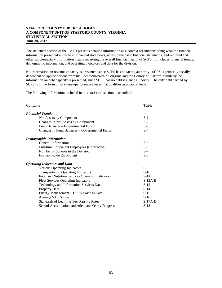#### **STAFFORD COUNTY PUBLIC SCHOOLS A COMPONENT UNIT OF STAFFORD COUNTY, VIRGINIA STATISTICAL SECTION June 30, 2012**

The statistical section of the CAFR presents detailed information as a context for understanding what the financial information presented in the basic financial statements, notes to the basic financial statements, and required and other supplementary information means regarding the overall financial health of SCPS. It includes financial trends, demographic information, and operating indicators and data for the division.

No information on revenue capacity is presented, since SCPS has no taxing authority. SCPS is primarily fiscally dependent on appropriations from the Commonwealth of Virginia and the County of Stafford. Similarly, no information on debt capacity is presented, since SCPS has no debt issuance authority. The only debt carried by SCPS is in the form of an energy-performance lease that qualifies as a capital lease.

The following information included in this statistical section is unaudited.

| <b>Contents</b>                                   | <b>Table</b> |
|---------------------------------------------------|--------------|
| <b>Financial Trends</b>                           |              |
| Net Assets by Component                           | $S-1$        |
| Changes in Net Assets by Component                | $S-2$        |
| Fund Balances - Governmental Funds                | $S-3$        |
| Changes in Fund Balances – Governmental Funds     | $S-4$        |
| <b>Demographic Information</b>                    |              |
| General Information                               | $S-5$        |
| Full-time Equivalent Employees (Contracted)       | $S-6$        |
| Number of Schools in the Division                 | $S-7$        |
| Division-wide Enrollment                          | $S-8$        |
| <b>Operating Indicators and Data</b>              |              |
| Various Operating Indicators                      | $S-9$        |
| <b>Transportation Operating Indicators</b>        | $S-10$       |
| Food and Nutrition Services Operating Indicators  | $S-11$       |
| <b>Fleet Services Operating Indicators</b>        | $S-12A-B$    |
| Technology and Information Services Data          | $S-13$       |
| <b>Property Data</b>                              | $S-14$       |
| Energy Management – Utility Savings Data          | $S-15$       |
| <b>Average SAT Scores</b>                         | $S-16$       |
| <b>Standards of Learning Test Passing Rates</b>   | $S-17A-D$    |
| School Accreditation and Adequate Yearly Progress | $S-18$       |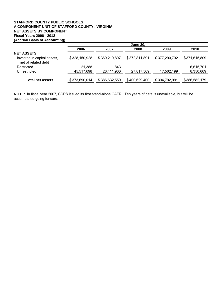### **STAFFORD COUNTY PUBLIC SCHOOLS A COMPONENT UNIT OF STAFFORD COUNTY , VIRGINIA NET ASSETS BY COMPONENT Fiscal Years 2006 - 2012 (Accrual Basis of Accounting)**

|                                                    |               |               | <b>June 30.</b> |               |               |
|----------------------------------------------------|---------------|---------------|-----------------|---------------|---------------|
|                                                    | 2006          | 2007          | 2008            | 2009          | 2010          |
| <b>NET ASSETS:</b>                                 |               |               |                 |               |               |
| Invested in capital assets,<br>net of related debt | \$328,150,928 | \$360,219,807 | \$372,811,891   | \$377,290,792 | \$371,615,809 |
| Restricted                                         | 21,388        | 843           |                 |               | 6,615,701     |
| Unrestricted                                       | 45,517,698    | 26,411,900    | 27,817,509      | 17,502,199    | 8,350,669     |
| <b>Total net assets</b>                            | \$373,690,014 | \$386,632,550 | \$400,629,400   | \$394,792,991 | \$386,582,179 |

**NOTE**: In fiscal year 2007, SCPS issued its first stand-alone CAFR. Ten years of data is unavailable, but will be accumulated going forward.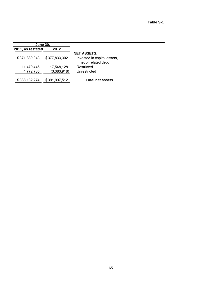**Table S-1**

| <b>June 30.</b>   |               |                                                    |
|-------------------|---------------|----------------------------------------------------|
| 2011, as restated | 2012          |                                                    |
|                   |               | <b>NET ASSETS:</b>                                 |
| \$371,880,043     | \$377,833,302 | Invested in capital assets,<br>net of related debt |
| 11,479,446        | 17,548,128    | Restricted                                         |
| 4,772,785         | (3,383,918)   | Unrestricted                                       |
| \$388,132,274     | \$391,997,512 | <b>Total net assets</b>                            |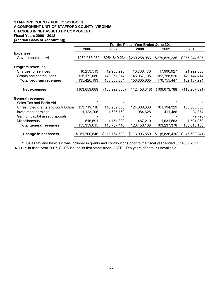### **STAFFORD COUNTY PUBLIC SCHOOLS A COMPONENT UNIT OF STAFFORD COUNTY, VIRGINIA CHANGES IN NET ASSETS BY COMPONENT Fiscal Years 2006 - 2012 (Accrual Basis of Accounting)**

|                                      | For the Fiscal Year Ended June 30, |                  |                  |                  |                   |  |  |  |  |
|--------------------------------------|------------------------------------|------------------|------------------|------------------|-------------------|--|--|--|--|
|                                      | 2006                               | 2007             | 2008             | 2009             | 2010              |  |  |  |  |
| <b>Expenses</b>                      |                                    |                  |                  |                  |                   |  |  |  |  |
| Governmental activities              | \$239,085,262                      | \$254,849,234    | \$269,258,983    | \$279,829,235    | \$275,344,685     |  |  |  |  |
| Program revenues                     |                                    |                  |                  |                  |                   |  |  |  |  |
| Charges for services                 | 10,253,513                         | 12,905,290       | 10,738,470       | 17,996,927       | 21,992,880        |  |  |  |  |
| Grants and contributions             | 125,172,680                        | 140,951,314      | 146,067,195      | 152,758,520      | 140,144,414       |  |  |  |  |
| <b>Total program revenues</b>        | 135,426,193                        | 153,856,604      | 156,805,665      | 170,755,447      | 162, 137, 294     |  |  |  |  |
| Net expenses                         | (103,659,069)                      | (100,992,630)    | (112, 453, 318)  | (109,073,788)    | (113,207,391)     |  |  |  |  |
| <b>General revenues</b>              |                                    |                  |                  |                  |                   |  |  |  |  |
| Sales Tax and Basic Aid              |                                    |                  |                  |                  |                   |  |  |  |  |
| Unrestricted grants and contribution | 153,719,718                        | 110,969,860      | 124,008,330      | 101,194,329      | 103,808,533       |  |  |  |  |
| Investment earnings                  | 1,123,206                          | 1,635,750        | 954,628          | 411,486          | 24,374            |  |  |  |  |
| Gain on capital asset disposals      |                                    |                  |                  |                  | (9,726)           |  |  |  |  |
| Miscellaneous                        | 516,691                            | 1,151,800        | 1,487,210        | 1,631,563        | 1,791,969         |  |  |  |  |
| <b>Total general revenues</b>        | 155,359,615                        | 113,757,410      | 126,450,168      | 103,237,378      | 105,615,150       |  |  |  |  |
| Change in net assets                 | \$51,700,546                       | 12,764,780<br>S. | 13,996,850<br>S. | (5,836,410)<br>S | (7,592,241)<br>\$ |  |  |  |  |

 **\***: Sales tax and basic aid was included in grants and contributions prior to the fiscal year ended June 30, 2011. **NOTE**: In fiscal year 2007, SCPS issued its first stand-alone CAFR. Ten years of data is unavailable,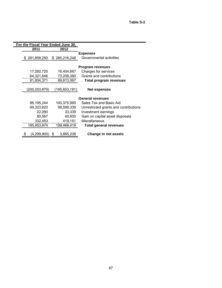## **Table S-2**

| For the Fiscal Year Ended June 30, |                 |                                       |
|------------------------------------|-----------------|---------------------------------------|
| 2011                               | 2012            |                                       |
|                                    |                 | <b>Expenses</b>                       |
| \$281,858,250                      | \$285,216,248   | Governmental activities               |
|                                    |                 |                                       |
|                                    |                 | Program revenues                      |
| 17,282,725                         | 16,404,687      | Charges for services                  |
| 64,321,646                         | 73,208,380      | Grants and contributions              |
| 81,604,371                         | 89,613,067      | <b>Total program revenues</b>         |
|                                    |                 |                                       |
| (200,253,879)                      | (195,603,181)   | <b>Net expenses</b>                   |
|                                    |                 |                                       |
|                                    |                 | <b>General revenues</b>               |
| 96,195,244                         | 100,375,990     | Sales Tax and Basic Aid               |
| 99,323,620                         | 98,599,339      | Unrestricted grants and contributions |
| 22,090                             | 33,339          | Investment earnings                   |
| 80,567                             | 40,600          | Gain on capital asset disposals       |
| 332,453                            | 419,151         | Miscellaneous                         |
| 195,953,974                        | 199,468,419     | <b>Total general revenues</b>         |
|                                    |                 |                                       |
| (4,299,905)<br>\$                  | 3,865,238<br>S. | <b>Change in net assets</b>           |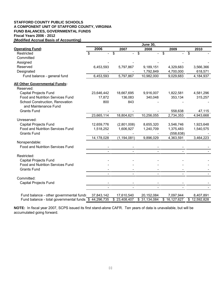### **STAFFORD COUNTY PUBLIC SCHOOLS A COMPONENT UNIT OF STAFFORD COUNTY, VIRGINIA FUND BALANCES, GOVERNMENTAL FUNDS Fiscal Years 2006 - 2012 (Modified Accrual Basis of Accounting)**

|                                                         |            |                   | <b>June 30,</b> |              |              |
|---------------------------------------------------------|------------|-------------------|-----------------|--------------|--------------|
| <b>Operating Fund:</b>                                  | 2006       | $\overline{2007}$ | 2008            | 2009         | 2010         |
| Restricted                                              | \$         | \$                | \$              | \$           | \$           |
| Committed                                               |            |                   |                 |              |              |
| Assigned                                                |            |                   |                 |              |              |
| Reserved                                                | 6,453,593  | 5,797,867         | 9,189,151       | 4,329,683    | 3,566,366    |
| Designated                                              |            |                   | 1,792,849       | 4,700,000    | 618,571      |
| Fund balance - general fund                             | 6,453,593  | 5,797,867         | 10,982,000      | 9,029,683    | 4,184,937    |
| <b>All Other Governmental Funds:</b>                    |            |                   |                 |              |              |
| Reserved:                                               |            |                   |                 |              |              |
| <b>Capital Projects Fund</b>                            | 23,646,442 | 18,667,695        | 9,916,007       | 1,822,581    | 4,581,296    |
| Food and Nutrition Services Fund                        | 17,872     | 136,083           | 340,048         | 353,134      | 315,257      |
| School Construction, Renovation<br>and Maintenance Fund | 800        | 843               |                 |              |              |
| <b>Grants Fund</b>                                      |            |                   |                 | 558,638      | 47,115       |
|                                                         | 23,665,114 | 18,804,621        | 10,256,055      | 2,734,353    | 4,943,668    |
| Unreserved:                                             |            |                   |                 |              |              |
| <b>Capital Projects Fund</b>                            | 12,659,776 | (2,801,008)       | 8,655,320       | 3,546,746    | 1,923,648    |
| Food and Nutrition Services Fund                        | 1,518,252  | 1,606,927         | 1,240,709       | 1,375,483    | 1,540,575    |
| <b>Grants Fund</b>                                      |            |                   |                 | (558, 638)   |              |
|                                                         | 14,178,028 | (1, 194, 081)     | 9,896,029       | 4,363,591    | 3,464,223    |
| Nonspendable:                                           |            |                   |                 |              |              |
| Food and Nutrition Services Fund                        |            |                   |                 |              |              |
| Restricted:                                             |            |                   |                 |              |              |
| <b>Capital Projects Fund</b>                            |            |                   |                 |              |              |
| Food and Nutrition Services Fund                        |            |                   |                 |              |              |
| <b>Grants Fund</b>                                      |            |                   |                 |              |              |
| Committed:                                              |            |                   |                 |              |              |
| Capital Projects Fund                                   |            |                   |                 |              |              |
|                                                         |            |                   |                 |              |              |
| Fund balance - other governmental funds                 | 37,843,142 | 17,610,540        | 20,152,084      | 7,097,944    | 8,407,891    |
| Fund balance - total governmental funds \$ 44,296,735   |            | \$23,408,407      | \$31,134,084    | \$16,127,627 | \$12,592,828 |

**NOTE:** In fiscal year 2007, SCPS issued its first stand-alone CAFR. Ten years of data is unavailable, but will be accumulated going forward.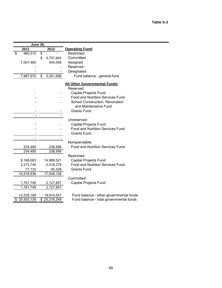| June 30,         |    |              |                                         |
|------------------|----|--------------|-----------------------------------------|
| 2011             |    | 2012         | <b>Operating Fund:</b>                  |
| \$<br>960,510    | \$ |              | Restricted                              |
|                  | \$ | 4,757,640    | Committed                               |
| 7,007,460        |    | 544,058      | Assigned                                |
|                  |    |              | Reserved                                |
|                  |    |              | Designated                              |
| 7,967,970        | \$ | 5,301,698    | Fund balance - general fund             |
|                  |    |              | <b>All Other Governmental Funds:</b>    |
|                  |    |              | Reserved:                               |
|                  |    |              | <b>Capital Projects Fund</b>            |
|                  |    |              | <b>Food and Nutrition Services Fund</b> |
|                  |    |              | School Construction, Renovation         |
|                  |    |              | and Maintenance Fund                    |
|                  |    |              | <b>Grants Fund</b>                      |
|                  |    |              |                                         |
|                  |    |              | Unreserved:                             |
|                  |    |              | <b>Capital Projects Fund</b>            |
|                  |    |              | Food and Nutrition Services Fund        |
|                  |    |              | <b>Grants Fund</b>                      |
|                  |    |              |                                         |
|                  |    |              | Nonspendable:                           |
| 234,485          |    | 238,566      | Food and Nutrition Services Fund        |
| 234,485          |    | 238,566      |                                         |
|                  |    |              | Restricted:                             |
| 8,168,063        |    | 14,989,521   | <b>Capital Projects Fund</b>            |
| 2,273,740        |    | 2,518,279    | <b>Food and Nutrition Services Fund</b> |
| 77,133           |    | 40,328       | <b>Grants Fund</b>                      |
| 10,518,936       |    | 17,548,128   |                                         |
|                  |    |              | Committed:                              |
| 1,781,748        |    | 2,127,857    | Capital Projects Fund                   |
| 1,781,748        |    | 2,127,857    |                                         |
|                  |    |              |                                         |
| 12,535,169       |    | 19,914,551   | Fund balance - other governmental funds |
| \$<br>20,503,139 |    | \$25,216,249 | Fund balance - total governmental funds |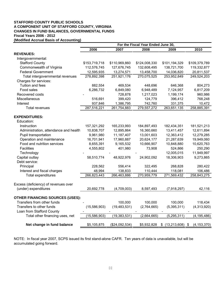#### **STAFFORD COUNTY PUBLIC SCHOOLS A COMPONENT UNIT OF STAFFORD COUNTY, VIRGINIA CHANGES IN FUND BALANCES, GOVERNMENTAL FUNDS Fiscal Years 2006 - 2012 (Modified Accrual Basis of Accounting)**

|                                        | For the Fiscal Year Ended June 30, |                |               |                      |                     |
|----------------------------------------|------------------------------------|----------------|---------------|----------------------|---------------------|
|                                        | 2006                               | 2007           | 2008          | 2009                 | 2010                |
| <b>REVENUES:</b>                       |                                    |                |               |                      |                     |
| Intergovernmental:                     |                                    |                |               |                      |                     |
| <b>Stafford County</b>                 | \$153,719,718                      | \$110,969,860  | \$124,008,330 | \$101,194,329        | \$109,379,789       |
| Commonwealth of Virginia               | 112,576,745                        | 127,676,745    | 132,608,495   | 138,721,700          | 119,332,877         |
| <b>Federal Government</b>              | 12,595,935                         | 13,274,571     | 13,458,700    | 14,036,820           | 20,811,537          |
| Total intergovernmental revenues       | 278,892,398                        | 251,921,176    | 270,075,525   | 253,952,849          | 249,524,203         |
| Charges for services:                  |                                    |                |               |                      |                     |
| Tuition and fees                       | 882,554                            | 469,534        | 448,696       | 646,368              | 804,273             |
| Food sales                             | 6,286,732                          | 6,849,080      | 6,948,489     | 7,124,957            | 6,817,209           |
| Recovered costs                        |                                    | 728,878        | 1,217,023     | 1,199,174            | 960,986             |
| Miscellaneous                          | 516,691                            | 399,420        | 124,779       | 396,412              | 768,248             |
| Interest                               | 937,846                            | 1,386,795      | 742,760       | 331,375              | 10,472              |
| <b>Total revenues</b>                  | 287,516,221                        | 261,754,883    | 279,557,272   | 263,651,135          | 258,885,391         |
|                                        |                                    |                |               |                      |                     |
| <b>EXPENDITURES:</b>                   |                                    |                |               |                      |                     |
| Education:                             |                                    | 165,233,993    |               |                      |                     |
| Instruction                            | 157,321,292                        |                | 184,897,493   | 182,434,351          | 181,521,213         |
| Administration, attendance and health  | 10,838,707                         | 12,895,864     | 16,360,660    | 13,411,457           | 12,611,894          |
| Pupil transportation                   | 9,961,980                          | 11,187,407     | 13,001,603    | 12,363,412           | 12,279,285          |
| Operation and maintenance              | 16,701,941                         | 17,960,887     | 20,624,177    | 21,287,639           | 19,949,060          |
| Food and nutrition services            | 8,655,391                          | 9,165,532      | 10,666,907    | 10,848,880           | 10,620,763          |
| <b>Facilities</b>                      | 4,555,802                          | 401,980        | 73,908        | 524,866              | 250,290             |
| Technology                             |                                    |                |               | 12,005,015           | 11,949,997          |
| Capital outlay                         | 58,510,774                         | 48,922,976     | 24,902,092    | 18,306,903           | 9,273,865           |
| Debt service:                          |                                    |                |               |                      |                     |
| Principal                              | 228,562                            | 556,414        | 322,495       | 268,828              | 280,422             |
| Interest and fiscal charges            | 48,994                             | 138,833        | 110,444       | 118,081              | 106,486             |
| <b>Total expenditures</b>              | 266,823,443                        | 266,463,886    | 270,959,779   | 271,569,432          | 258,843,275         |
| Excess (deficiency) of revenues over   |                                    |                |               |                      |                     |
| (under) expenditures                   | 20,692,778                         | (4,709,003)    | 8,597,493     | (7,918,297)          | 42,116              |
|                                        |                                    |                |               |                      |                     |
| <b>OTHER FINANCING SOURCES (USES):</b> |                                    |                |               |                      |                     |
| Transfers from other funds             |                                    | 100,000        | 100,000       | 100,000              | 118,434             |
| Transfers to other funds               | (15,586,903)                       | (19, 483, 531) | (2,764,665)   | (5,395,311)          | (4,313,920)         |
| Loan from Stafford County              |                                    |                |               |                      |                     |
| Total other financing uses, net        | (15,586,903)                       | (19, 383, 531) | (2,664,665)   | (5, 295, 311)        | (4, 195, 486)       |
| Net change in fund balance             | \$5,105,875                        | (\$24,092,534) | \$5,932,828   | (13, 213, 608)<br>\$ | (4, 153, 370)<br>\$ |

NOTE: In fiscal year 2007, SCPS issued its first stand-alone CAFR. Ten years of data is unavailable, but will be accumulated going forward.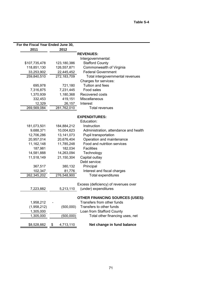| For the Fiscal Year Ended June 30, |                 |                                        |
|------------------------------------|-----------------|----------------------------------------|
| 2011                               | 2012            |                                        |
|                                    |                 | <b>REVENUES:</b>                       |
|                                    |                 | Intergovernmental:                     |
| \$107,735,478                      | 123,180,386     | <b>Stafford County</b>                 |
| 118,851,130                        | 126,557,871     | Commonwealth of Virginia               |
| 33,253,902                         | 22,445,452      | <b>Federal Government</b>              |
| 259,840,510                        | 272,183,709     | Total intergovernmental revenues       |
|                                    |                 | Charges for services:                  |
| 695,978                            | 721,180         | Tuition and fees                       |
| 7,316,875                          | 7,231,445       | Food sales                             |
| 1,370,939                          | 1,180,368       | Recovered costs                        |
| 332,453                            | 419,151         | Miscellaneous                          |
| 12,329                             | 26,157          | Interest                               |
| 269,569,084                        | 281,762,010     | <b>Total revenues</b>                  |
|                                    |                 | <b>EXPENDITURES:</b>                   |
|                                    |                 | Education:                             |
| 181,073,501                        | 184,884,212     | Instruction                            |
| 9,688,371                          | 10,004,623      | Administration, attendance and health  |
| 12,706,286                         | 13,141,073      | Pupil transportation                   |
| 20,957,014                         | 20,676,404      | Operation and maintenance              |
| 11,162,148                         | 11,785,248      | Food and nutrition services            |
| 187,981                            | 182,034         | <b>Facilities</b>                      |
| 14,581,888                         | 14,263,094      | Technology                             |
| 11,518,149                         | 21,150,304      | Capital outlay                         |
|                                    |                 | Debt service:                          |
| 367,517                            | 380,132         | Principal                              |
| 102,347                            | 81,776          | Interest and fiscal charges            |
| 262,345,202                        | 276,548,900     | <b>Total expenditures</b>              |
|                                    |                 | Excess (deficiency) of revenues over   |
| 7,223,882                          | 5,213,110       | (under) expenditures                   |
|                                    |                 |                                        |
|                                    |                 | <b>OTHER FINANCING SOURCES (USES):</b> |
| 1,958,212                          |                 | Transfers from other funds             |
| (1,958,212)                        | (500,000)       | Transfers to other funds               |
| 1,305,000                          |                 | Loan from Stafford County              |
| 1,305,000                          | (500,000)       | Total other financing uses, net        |
| \$8,528,882                        | \$<br>4,713,110 | Net change in fund balance             |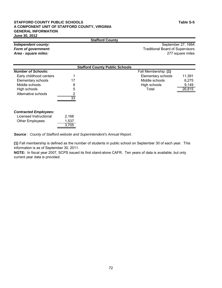#### **STAFFORD COUNTY PUBLIC SCHOOLS Table S-5 A COMPONENT UNIT OF STAFFORD COUNTY, VIRGINIA GENERAL INFORMATION June 30, 2012**

#### **Stafford County**

| Independent county:        | September 27, 1664                      |
|----------------------------|-----------------------------------------|
| <b>Form of government:</b> | <b>Traditional Board of Supervisors</b> |
| Area - square miles:       | 277 square miles                        |
|                            |                                         |

|                              |       | <b>Stafford County Public Schools</b> |
|------------------------------|-------|---------------------------------------|
| <b>Number of Schools:</b>    |       | Fall Membership: (1)                  |
| Early childhood centers      |       | Elementary schools<br>11,391          |
| Elementary schools           | 17    | Middle schools<br>6,275               |
| Middle schools               | 8     | 9,149<br>High schools                 |
| High schools                 | 5     | 26,815<br>Total                       |
| Alternative schools          | ⌒     |                                       |
|                              | 33    |                                       |
|                              |       |                                       |
| <b>Contracted Employees:</b> |       |                                       |
| Licensed Instructional       | 2,168 |                                       |
| <b>Other Employees</b>       | 1,537 |                                       |
|                              | 3,705 |                                       |

*Source : County of Stafford website and Superintendent's Annual Report.*

**(1)** Fall membership is defined as the number of students in public school on September 30 of each year. This information is as of September 30, 2011.

**NOTE:** In fiscal year 2007, SCPS issued its first stand-alone CAFR. Ten years of data is available, but only current year data is provided.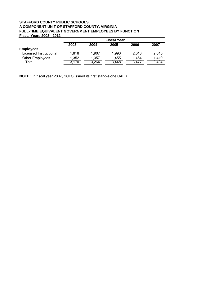#### **STAFFORD COUNTY PUBLIC SCHOOLS A COMPONENT UNIT OF STAFFORD COUNTY, VIRGINIA FULL-TIME EQUIVALENT GOVERNMENT EMPLOYEES BY FUNCTION Fiscal Years 2003 - 2012**

|                        | <b>Fiscal Year</b> |       |       |       |       |  |  |  |
|------------------------|--------------------|-------|-------|-------|-------|--|--|--|
|                        | 2003               | 2004  | 2005  | 2006  | 2007  |  |  |  |
| <b>Employees:</b>      |                    |       |       |       |       |  |  |  |
| Licensed Instructional | 1.818              | 1.907 | 1.993 | 2.013 | 2.015 |  |  |  |
| <b>Other Employees</b> | 1.352              | 1.357 | 1.455 | 1.464 | 1.419 |  |  |  |
| Total                  | .170               | 3,264 | 3.448 | 3.477 | 3,434 |  |  |  |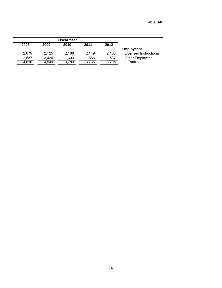**Table S-6**

|       |       | <b>Fiscal Year</b> |       |       |                        |
|-------|-------|--------------------|-------|-------|------------------------|
| 2008  | 2009  | 2010               | 2011  | 2012  |                        |
|       |       |                    |       |       | <b>Employees:</b>      |
| 2,079 | 2.125 | 2,186              | 2.149 | 2.168 | Licensed Instructional |
| 2.537 | 2.424 | 1.603              | 1.586 | 1,537 | <b>Other Employees</b> |
| 4,616 | 4.549 | 3,789              | 3,735 | 3,705 | Total                  |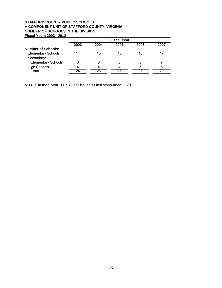### **STAFFORD COUNTY PUBLIC SCHOOLS A COMPONENT UNIT OF STAFFORD COUNTY, VIRGINIA NUMBER OF SCHOOLS IN THE DIVISION Fiscal Years 2003 - 2012**

|                           |      | <b>Fiscal Year</b> |      |      |      |  |  |  |
|---------------------------|------|--------------------|------|------|------|--|--|--|
|                           | 2003 | 2004               | 2005 | 2006 | 2007 |  |  |  |
| <b>Number of Schools:</b> |      |                    |      |      |      |  |  |  |
| <b>Elementary Schools</b> | 14   | 15                 | 15   | 16   | 17   |  |  |  |
| Secondary/                |      |                    |      |      |      |  |  |  |
| <b>Elementary Schools</b> |      | 6                  | 6    |      |      |  |  |  |
| <b>High Schools</b>       |      |                    | 4    | 5    | 5    |  |  |  |
| Total                     | 24   | 25                 | 25   | っっ   | 29   |  |  |  |
|                           |      |                    |      |      |      |  |  |  |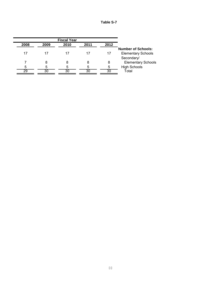**Table S-7**

|      |      | <b>Fiscal Year</b> |      |      |                           |
|------|------|--------------------|------|------|---------------------------|
| 2008 | 2009 | 2010               | 2011 | 2012 |                           |
|      |      |                    |      |      | <b>Number of Schools:</b> |
| 17   | 17   | 17                 | 17   | 17   | <b>Elementary Schools</b> |
|      |      |                    |      |      | Secondary/                |
|      |      | 8                  |      | 8    | <b>Elementary Schools</b> |
| 5    | 5    | 5                  | 5    | 5    | <b>High Schools</b>       |
| 29   | 30   | 30                 | 30   | 30   | Total                     |
|      |      |                    |      |      |                           |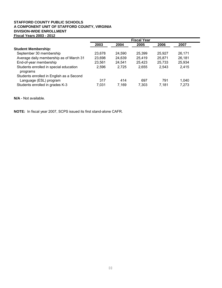### **STAFFORD COUNTY PUBLIC SCHOOLS A COMPONENT UNIT OF STAFFORD COUNTY, VIRGINIA DIVISION-WIDE ENROLLMENT Fiscal Years 2003 - 2012**

|                                                    | <b>Fiscal Year</b> |        |        |        |        |
|----------------------------------------------------|--------------------|--------|--------|--------|--------|
|                                                    | 2003               | 2004   | 2005   | 2006   | 2007   |
| <b>Student Membership:</b>                         |                    |        |        |        |        |
| September 30 membership                            | 23.678             | 24.590 | 25,399 | 25.927 | 26,171 |
| Average daily membership as of March 31            | 23,698             | 24.639 | 25,419 | 25.871 | 26,181 |
| End-of-year membership                             | 23.561             | 24.541 | 25.423 | 25.733 | 25.934 |
| Students enrolled in special education<br>programs | 2.596              | 2.725  | 2.655  | 2.543  | 2,415  |
| Students enrolled in English as a Second           |                    |        |        |        |        |
| Language (ESL) program                             | 317                | 414    | 697    | 791    | 1.040  |
| Students enrolled in grades K-3                    | 7,031              | 7.169  | 7.303  | 7.181  | 7,273  |

#### **N/A** - Not available.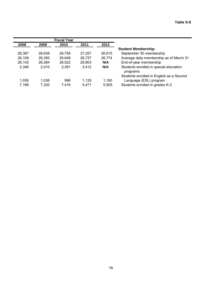| <b>Student Membership:</b>               |
|------------------------------------------|
| September 30 membership                  |
| Average daily membership as of March 31  |
| End-of-year membership                   |
| Students enrolled in special education   |
| programs                                 |
| Students enrolled in English as a Second |
| Language (ESL) program                   |
| Students enrolled in grades K-3          |
|                                          |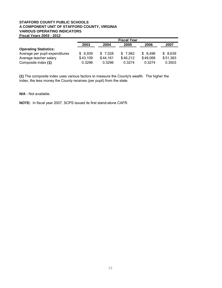### **STAFFORD COUNTY PUBLIC SCHOOLS A COMPONENT UNIT OF STAFFORD COUNTY, VIRGINIA VARIOUS OPERATING INDICATORS Fiscal Years 2003 - 2012**

|                                | <b>Fiscal Year</b> |          |          |          |          |  |
|--------------------------------|--------------------|----------|----------|----------|----------|--|
|                                | 2003               | 2004     | 2005     | 2006     | 2007     |  |
| <b>Operating Statistics:</b>   |                    |          |          |          |          |  |
| Average per pupil expenditures | \$6,939            | \$7.028  | \$ 7.562 | \$ 8.496 | \$ 8.639 |  |
| Average teacher salary         | \$43,109           | \$44,161 | \$46.212 | \$49.068 | \$51,383 |  |
| Composite index (1)            | 0.3296             | 0.3296   | 0.3274   | 0.3274   | 0.3503   |  |

**(1)** The composite index uses various factors to measure the County's wealth. The higher the index, the less money the County receives (per pupil) from the state.

**N/A** - Not available.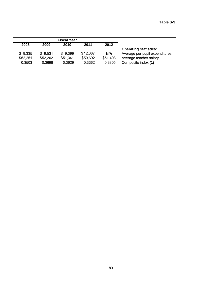**Table S-9**

|          |          | <b>Fiscal Year</b> |          |          |                                |
|----------|----------|--------------------|----------|----------|--------------------------------|
| 2008     | 2009     | 2010               | 2011     | 2012     |                                |
|          |          |                    |          |          | <b>Operating Statistics:</b>   |
| \$9,335  | \$9.531  | \$9.399            | \$12.387 | N/A      | Average per pupil expenditures |
| \$52,251 | \$52,202 | \$51.341           | \$50.692 | \$51.498 | Average teacher salary         |
| 0.3503   | 0.3698   | 0.3629             | 0.3362   | 0.3305   | Composite index (1)            |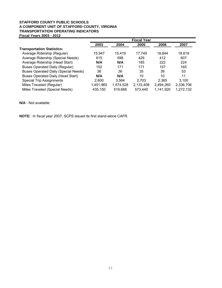### **STAFFORD COUNTY PUBLIC SCHOOLS A COMPONENT UNIT OF STAFFORD COUNTY, VIRGINIA TRANSPORTATION OPERATING INDICATORS Fiscal Years 2003 - 2012**

|                                             | <b>Fiscal Year</b> |           |           |           |           |
|---------------------------------------------|--------------------|-----------|-----------|-----------|-----------|
|                                             | 2003               | 2004      | 2005      | 2006      | 2007      |
| <b>Transportation Statistics:</b>           |                    |           |           |           |           |
| Average Ridership (Regular)                 | 15,947             | 15.419    | 17.749    | 18.844    | 18,619    |
| Average Ridership (Special Needs)           | 615                | 598       | 429       | 412       | 607       |
| Average Ridership (Head Start)              | N/A                | N/A       | 185       | 222       | 224       |
| <b>Buses Operated Daily (Regular)</b>       | 152                | 171       | 171       | 157       | 165       |
| <b>Buses Operated Daily (Special Needs)</b> | 38                 | 36        | 35        | 39        | 53        |
| <b>Buses Operated Daily (Head Start)</b>    | N/A                | N/A       | 10        | 10        | 11        |
| <b>Special Trip Assignments</b>             | 2.600              | 3.564     | 2,703     | 2,365     | 3.100     |
| Miles Traveled (Regular)                    | 1,451,965          | 1,574,528 | 2,133,408 | 2,494,260 | 2,336,706 |
| Miles Traveled (Special Needs)              | 435.150            | 519,668   | 573.440   | 1,141,920 | 1,272,132 |

**N/A** - Not available.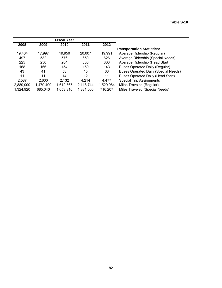|           |           | <b>Fiscal Year</b> |           |           |                                             |
|-----------|-----------|--------------------|-----------|-----------|---------------------------------------------|
| 2008      | 2009      | 2010               | 2011      | 2012      |                                             |
|           |           |                    |           |           | <b>Transportation Statistics:</b>           |
| 19,404    | 17,997    | 19,950             | 20,007    | 19,991    | Average Ridership (Regular)                 |
| 497       | 532       | 576                | 650       | 626       | Average Ridership (Special Needs)           |
| 225       | 250       | 284                | 300       | 300       | Average Ridership (Head Start)              |
| 168       | 166       | 154                | 159       | 143       | <b>Buses Operated Daily (Regular)</b>       |
| 43        | 41        | 53                 | 45        | 63        | <b>Buses Operated Daily (Special Needs)</b> |
| 11        | 11        | 14                 | 12        | 11        | <b>Buses Operated Daily (Head Start)</b>    |
| 2.587     | 2,600     | 2,132              | 4,214     | 4.477     | <b>Special Trip Assignments</b>             |
| 2,889,000 | 1,479,400 | 1,612,567          | 2,118,744 | 1,529,964 | Miles Traveled (Regular)                    |
| 1,324,920 | 685,040   | 1,053,310          | 1,331,000 | 716,207   | Miles Traveled (Special Needs)              |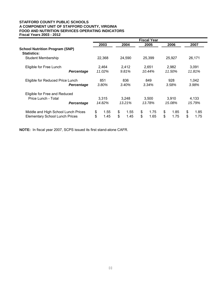#### **STAFFORD COUNTY PUBLIC SCHOOLS A COMPONENT UNIT OF STAFFORD COUNTY, VIRGINIA FOOD AND NUTRITION SERVICES OPERATING INDICATORS Fiscal Years 2003 - 2012**

|                                                             |            |            | <b>Fiscal Year</b> |                |        |            |
|-------------------------------------------------------------|------------|------------|--------------------|----------------|--------|------------|
|                                                             | 2003       | 2004       | 2005               |                | 2006   | 2007       |
| <b>School Nutrition Program (SNP)</b><br><b>Statistics:</b> |            |            |                    |                |        |            |
| <b>Student Membership</b>                                   | 22,368     | 24,590     | 25,399             |                | 25,927 | 26,171     |
| Eligible for Free Lunch                                     | 2.464      | 2.412      | 2,651              |                | 2.982  | 3.091      |
| Percentage                                                  | 11.02%     | 9.81%      | 10.44%             |                | 11.50% | 11.81%     |
| Eligible for Reduced Price Lunch                            | 851        | 836        | 849                |                | 928    | 1,042      |
| <b>Percentage</b>                                           | 3.80%      | 3.40%      | 3.34%              |                | 3.58%  | 3.98%      |
| Eligible for Free and Reduced                               |            |            |                    |                |        |            |
| Price Lunch - Total                                         | 3,315      | 3,248      | 3.500              |                | 3.910  | 4.133      |
| <b>Percentage</b>                                           | 14.82%     | 13.21%     | 13.78%             |                | 15.08% | 15.79%     |
| Middle and High School Lunch Prices                         | \$<br>1.55 | \$<br>1.55 | \$<br>1.75         | \$             | 1.85   | \$<br>1.85 |
| <b>Elementary School Lunch Prices</b>                       | \$<br>1.45 | \$<br>1.45 | \$<br>1.65         | $\mathfrak{S}$ | 1.75   | \$<br>1.75 |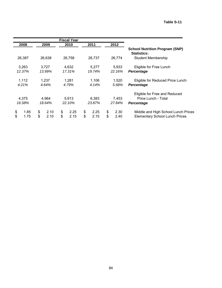|            |            | <b>Fiscal Year</b> |            |            |                                                             |
|------------|------------|--------------------|------------|------------|-------------------------------------------------------------|
| 2008       | 2009       | 2010               | 2011       | 2012       |                                                             |
|            |            |                    |            |            | <b>School Nutrition Program (SNP)</b><br><b>Statistics:</b> |
| 26,387     | 26,638     | 26,758             | 26,737     | 26,774     | Student Membership                                          |
| 3.263      | 3.727      | 4,632              | 5,277      | 5.933      | Eligible for Free Lunch                                     |
| 12.37%     | 13.99%     | 17.31%             | 19.74%     | 22.16%     | Percentage                                                  |
| 1,112      | 1,237      | 1,281              | 1,106      | 1,520      | Eligible for Reduced Price Lunch                            |
| 4.21%      | 4.64%      | 4.79%              | 4.14%      | 5.68%      | <b>Percentage</b>                                           |
|            |            |                    |            |            | Eligible for Free and Reduced                               |
| 4,375      | 4.964      | 5,913              | 6,383      | 7.453      | Price Lunch - Total                                         |
| 16.58%     | 18.64%     | 22.10%             | 23.87%     | 27.84%     | <b>Percentage</b>                                           |
| \$<br>1.85 | \$<br>2.10 | \$<br>2.25         | \$<br>2.25 | \$<br>2.30 | Middle and High School Lunch Prices                         |
| \$<br>1.75 | \$<br>2.10 | \$<br>2.15         | \$<br>2.15 | \$<br>2.40 | <b>Elementary School Lunch Prices</b>                       |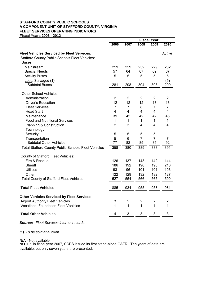### **STAFFORD COUNTY PUBLIC SCHOOLS A COMPONENT UNIT OF STAFFORD COUNTY, VIRGINIA FLEET SERVICES OPERATING INDICATORS Fiscal Years 2006 - 2012**

|                                                            |                |                |                | <b>Fiscal Year</b> |                |
|------------------------------------------------------------|----------------|----------------|----------------|--------------------|----------------|
|                                                            | 2006           | 2007           | 2008           | 2009               | 2010           |
|                                                            |                |                |                |                    |                |
| <b>Fleet Vehicles Serviced by Fleet Services:</b>          |                |                |                |                    | Active         |
| <b>Stafford County Public Schools Fleet Vehicles:</b>      |                |                |                |                    |                |
| Buses:                                                     |                |                |                |                    |                |
| Mainstream                                                 | 219            | 229            | 232            | 229                | 232            |
| <b>Special Needs</b>                                       | 57             | 64             | 67             | 69                 | 67             |
| <b>Activity Buses</b>                                      | 5              | 5              | 5              | 5                  | 5              |
| Less: Salvaged (1)                                         |                |                |                |                    | (5)            |
| <b>Subtotal Buses</b>                                      | 281            | 298            | 304            | 303                | 299            |
| <b>Other School Vehicles:</b>                              |                |                |                |                    |                |
| Administration                                             | $\overline{2}$ | $\overline{2}$ | $\overline{2}$ | $\overline{2}$     | 2              |
| <b>Driver's Education</b>                                  | 12             | 12             | 12             | 13                 | 13             |
| <b>Fleet Services</b>                                      | $\overline{7}$ | 7              | 8              | 7                  | 7              |
| <b>Head Start</b>                                          | 4              | 4              | 4              | 4                  | 4              |
| Maintenance                                                | 39             | 42             | 42             | 42                 | 46             |
| <b>Food and Nutritional Services</b>                       | 1              | $\mathbf{1}$   | $\mathbf{1}$   | $\mathbf{1}$       | 1              |
| Planning & Construction                                    | $\overline{2}$ | 3              | 4              | $\overline{4}$     | 4              |
| Technology                                                 |                |                |                |                    |                |
| Security                                                   | 5              | 5              | 5              | 5                  |                |
| Transportation                                             | 5              | 6              | $\overline{7}$ | $\overline{7}$     | 7              |
| <b>Subtotal Other Vehicles</b>                             | 77             | 82             | 85             | 85                 | 92             |
| <b>Total Stafford County Public Schools Fleet Vehicles</b> | 358            | 380            | 389            | 388                | 391            |
| County of Stafford Fleet Vehicles:                         |                |                |                |                    |                |
| Fire & Rescue                                              | 126            | 137            | 143            | 142                | 144            |
| Sheriff                                                    | 186            | 192            | 190            | 190                | 216            |
| <b>Utilities</b>                                           | 93             | 96             | 101            | 101                | 103            |
| Other                                                      | 122            | 129            | 132            | 132                | 127            |
| <b>Total County of Stafford Fleet Vehicles</b>             | 527            | 554            | 566            | 565                | 590            |
| <b>Total Fleet Vehicles</b>                                |                |                |                |                    |                |
|                                                            | 885            | 934            | 955            | 953                | 981            |
| <b>Other Vehicles Serviced by Fleet Services:</b>          |                |                |                |                    |                |
| <b>Airport Authority Fleet Vehicles</b>                    | 3              | $\overline{2}$ | $\overline{2}$ | $\overline{2}$     | $\overline{2}$ |
| <b>Vocational Foundation Fleet Vehicles</b>                | 1              | 1              | 1              | 1                  | 1              |
| <b>Total Other Vehicles</b>                                | 4              | 3              | 3              | 3                  | 3              |
|                                                            |                |                |                |                    |                |

*Source: Fleet Services internal records.*

*(1) To be sold at auction*

**N/A** - Not available.

**NOTE:** In fiscal year 2007, SCPS issued its first stand-alone CAFR. Ten years of data are available, but only seven years are presented.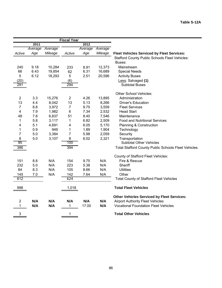|                |         |         | <b>Fiscal Year</b> |         |         |                                                            |
|----------------|---------|---------|--------------------|---------|---------|------------------------------------------------------------|
|                | 2011    |         |                    | 2012    |         |                                                            |
|                | Average | Average |                    | Average | Average |                                                            |
| Active         | Age     | Mileage | Active             | Age     | Mileage | <b>Fleet Vehicles Serviced by Fleet Services:</b>          |
|                |         |         |                    |         |         | <b>Stafford County Public Schools Fleet Vehicles:</b>      |
|                |         |         |                    |         |         | Buses:                                                     |
| 240            | 9.18    | 10,284  | 233                | 8.91    | 12,373  | Mainstream                                                 |
| 66             | 6.43    | 19,854  | 62                 | 6.31    | 16,689  | <b>Special Needs</b>                                       |
| 5              | 6.12    | 18,293  | 5                  | 2.51    | 20,596  | <b>Activity Buses</b>                                      |
| (20)           |         |         | (6)                |         |         | Less: Salvaged (1)                                         |
| 291            |         |         | 294                |         |         | <b>Subtotal Buses</b>                                      |
|                |         |         |                    |         |         |                                                            |
|                |         |         |                    |         |         | <b>Other School Vehicles:</b>                              |
| $\overline{2}$ | 3.3     | 15,276  | $\overline{2}$     | 4.26    | 13,895  | Administration                                             |
| 13             | 4.4     | 8,042   | 13                 | 5.13    | 8,266   | <b>Driver's Education</b>                                  |
| 7              | 8.8     | 3,972   | $\overline{7}$     | 9.75    | 3,559   | <b>Fleet Services</b>                                      |
| 4              | 7.9     | 1,982   | $\,6$              | 7.34    | 2,532   | <b>Head Start</b>                                          |
| 48             | 7.8     | 6,837   | 51                 | 8.40    | 7,546   | Maintenance                                                |
| 1              | 5.8     | 3,117   | 1                  | 6.82    | 2,509   | <b>Food and Nutritional Services</b>                       |
| 4              | 5.1     | 4,691   | 4                  | 6.05    | 5,170   | Planning & Construction                                    |
| 1              | 0.9     | 949     | 1                  | 1.89    | 1,904   | Technology                                                 |
| 7              | 5.0     | 3,384   | 7                  | 5.98    | 2,059   | Security                                                   |
| 8              | 5.0     | 3,107   | 8                  | 6.02    | 2,321   | Transportation                                             |
| 95             |         |         | 100                |         |         | <b>Subtotal Other Vehicles</b>                             |
| 386            |         |         | 394                |         |         | <b>Total Stafford County Public Schools Fleet Vehicles</b> |
|                |         |         |                    |         |         | County of Stafford Fleet Vehicles:                         |
| 151            | 8.8     | N/A     | 154                | 9.75    | N/A     | Fire & Rescue                                              |
| 232            | 5.0     | N/A     | 223                | 5.38    | N/A     | Sheriff                                                    |
| 84             | 8.3     | N/A     | 105                | 8.66    | N/A     | <b>Utilities</b>                                           |
| 145            | 7.0     | N/A     | 142                | 7.64    | N/A     | Other                                                      |
| 612            |         |         | 624                |         |         | <b>Total County of Stafford Fleet Vehicles</b>             |
|                |         |         |                    |         |         |                                                            |
| 998            |         |         | 1,018              |         |         | <b>Total Fleet Vehicles</b>                                |
|                |         |         |                    |         |         | <b>Other Vehicles Serviced by Fleet Services:</b>          |
| 2              | N/A     | N/A     | N/A                | N/A     | N/A     | <b>Airport Authority Fleet Vehicles</b>                    |
| 1              | N/A     | N/A     | 1                  | 17.00   | N/A     | <b>Vocational Foundation Fleet Vehicles</b>                |
|                |         |         |                    |         |         |                                                            |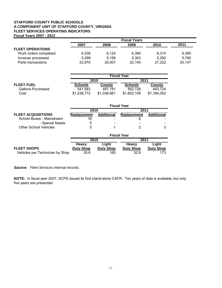# **STAFFORD COUNTY PUBLIC SCHOOLS A COMPONENT UNIT OF STAFFORD COUNTY, VIRGINIA FLEET SERVICES OPERATING INDICATORS**

| <b>Fiscal Years 2007 - 2012</b> |  |  |  |
|---------------------------------|--|--|--|
|                                 |  |  |  |

|                         |        | <b>Fiscal Years</b> |        |        |        |  |  |
|-------------------------|--------|---------------------|--------|--------|--------|--|--|
|                         | 2007   | 2008                | 2009   | 2010   | 2011   |  |  |
| <b>FLEET OPERATIONS</b> |        |                     |        |        |        |  |  |
| Work orders completed   | 6.038  | 6.124               | 6.394  | 6.314  | 6.390  |  |  |
| Invoices processed      | 5.299  | 5.156               | 5,303  | 5.292  | 5.780  |  |  |
| Parts transactions      | 23.970 | 25,007              | 22.140 | 27.222 | 20,147 |  |  |

|                   |                |             | <b>Fiscal Year</b> |             |
|-------------------|----------------|-------------|--------------------|-------------|
|                   |                | 2010        |                    | 2011        |
| <b>FLEET FUEL</b> | <b>Schools</b> | County      | Schools            | County      |
| Gallons Purchased | 541.583        | 487.191     | 562.728            | 443.724     |
| Cost              | \$1,236,772    | \$1.038.981 | \$1,602.158        | \$1.184.052 |

|                                 | <b>Fiscal Year</b> |                   |                    |                   |  |
|---------------------------------|--------------------|-------------------|--------------------|-------------------|--|
|                                 | 2010               |                   | 2011               |                   |  |
| <b>FLEET ACQUISITIONS</b>       | Replacement        | <b>Additional</b> | Replacement        | <b>Additional</b> |  |
| School Buses - Mainstream       | 16                 |                   | 6                  |                   |  |
| - Special Needs                 | 5                  |                   |                    |                   |  |
| <b>Other School Vehicles</b>    | 2                  |                   | 2                  | 3                 |  |
|                                 |                    |                   | <b>Fiscal Year</b> |                   |  |
|                                 | 2010               |                   | 2011               |                   |  |
|                                 | Heavy              | Light             | Heavy              | Light             |  |
| <b>FLEET SHOPS</b>              | <b>Duty Shop</b>   | <b>Duty Shop</b>  | <b>Duty Shop</b>   | <b>Duty Shop</b>  |  |
| Vehicles per Technician by Shop | 35.6               | 160               | 32.9               | 173               |  |

*Source: Fleet Services internal records.*

**NOTE:** In fiscal year 2007, SCPS issued its first stand-alone CAFR. Ten years of data is available, but only five years are presented.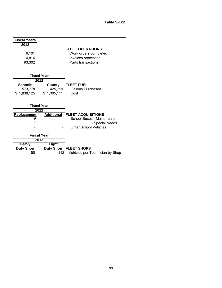**Table S-12B**

| <b>Fiscal Years</b> |                    |                                 |
|---------------------|--------------------|---------------------------------|
| 2012                |                    |                                 |
|                     |                    | <b>FLEET OPERATIONS</b>         |
| 6,101               |                    | Work orders completed           |
| 4,814               |                    | Invoices processed              |
| 93,302              |                    | Parts transactions              |
|                     |                    |                                 |
|                     |                    |                                 |
|                     | <b>Fiscal Year</b> |                                 |
|                     | 2012               |                                 |
| <b>Schools</b>      | <b>County</b>      | <b>FLEET FUEL</b>               |
| 573,778             | 425,719            | <b>Gallons Purchased</b>        |
| 1,838,125<br>S.     | \$1,305,111        | Cost                            |
|                     |                    |                                 |
|                     |                    |                                 |
|                     | <b>Fiscal Year</b> |                                 |
|                     | 2012               |                                 |
| <b>Replacement</b>  | <b>Additional</b>  | <b>FLEET ACQUISITIONS</b>       |
| 6                   |                    | School Buses - Mainstream       |
| $\overline{2}$      |                    | - Special Needs                 |
|                     |                    | <b>Other School Vehicles</b>    |
|                     |                    |                                 |
|                     | <b>Fiscal Year</b> |                                 |
|                     | 2012               |                                 |
| <b>Heavy</b>        | Light              |                                 |
| <b>Duty Shop</b>    | <b>Duty Shop</b>   | <b>FLEET SHOPS</b>              |
| 50                  | 112                | Vehicles per Technician by Shop |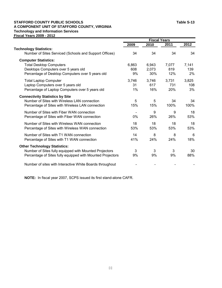### **STAFFORD COUNTY PUBLIC SCHOOLS Table S-13 A COMPONENT UNIT OF STAFFORD COUNTY, VIRGINIA Technology and Information Services Fiscal Years 2009 - 2012**

|                                                            | <b>Fiscal Years</b> |       |       |       |
|------------------------------------------------------------|---------------------|-------|-------|-------|
|                                                            | 2009                | 2010  | 2011  | 2012  |
| <b>Technology Statistics:</b>                              |                     |       |       |       |
| Number of Sites Serviced (Schools and Support Offices)     | 34                  | 34    | 34    | 34    |
| <b>Computer Statistics:</b>                                |                     |       |       |       |
| <b>Total Desktop Computers</b>                             | 6,863               | 6,943 | 7,077 | 7,141 |
| Desktops Computers over 5 years old                        | 608                 | 2,073 | 819   | 139   |
| Percentage of Desktop Computers over 5 years old           | 9%                  | 30%   | 12%   | $2\%$ |
| <b>Total Laptop Computer</b>                               | 3,746               | 3,746 | 3,731 | 3,825 |
| Laptop Computers over 5 years old                          | 31                  | 617   | 731   | 108   |
| Percentage of Laptop Computers over 5 years old            | $1\%$               | 16%   | 20%   | 3%    |
| <b>Connectivity Statistics by Site</b>                     |                     |       |       |       |
| Number of Sites with Wireless LAN connection               | 5                   | 5     | 34    | 34    |
| Percentage of Sites with Wireless LAN connection           | 15%                 | 15%   | 100%  | 100%  |
| Number of Sites with Fiber WAN connection                  |                     | 9     | 9     | 18    |
| Percentage of Sites with Fiber WAN connection              | 0%                  | 26%   | 26%   | 53%   |
| Number of Sites with Wireless WAN connection               | 18                  | 18    | 18    | 18    |
| Percentage of Sites with Wireless WAN connection           | 53%                 | 53%   | 53%   | 53%   |
| Number of Sites with T1 WAN connection                     | 14                  | 8     | 8     | 6     |
| Percentage of Sites with T1 WAN connection                 | 41%                 | 24%   | 24%   | 18%   |
| <b>Other Technology Statistics:</b>                        |                     |       |       |       |
| Number of Sites fully equipped with Mounted Projectors     | 3                   | 3     | 3     | 30    |
| Percentage of Sites fully equipped with Mounted Projectors | 9%                  | 9%    | 9%    | 88%   |
| Number of sites with Interactive White Boards throughout   |                     |       |       |       |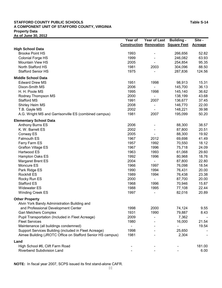### **STAFFORD COUNTY PUBLIC SCHOOLS Table S-14 A COMPONENT UNIT OF STAFFORD COUNTY, VIRGINIA Property Data As of June 30, 2012**

|                                                            | Year of                                    | Year of Last             | <b>Building -</b> | Site -         |
|------------------------------------------------------------|--------------------------------------------|--------------------------|-------------------|----------------|
|                                                            | <b>Construction Renovation Square Feet</b> |                          |                   | <b>Acreage</b> |
| <b>High School Data</b>                                    |                                            |                          |                   |                |
| <b>Brooke Point HS</b>                                     | 1993                                       | $\overline{\phantom{a}}$ | 266,656           | 52.82          |
| <b>Colonial Forge HS</b>                                   | 1999                                       |                          | 246,082           | 63.93          |
| Mountain View HS                                           | 2005                                       |                          | 254,854           | 95.35          |
| North Stafford HS                                          | 1981                                       | 2003                     | 304,096           | 88.50          |
| <b>Stafford Senior HS</b>                                  | 1975                                       | $\overline{\phantom{a}}$ | 287,836           | 124.56         |
| <b>Middle School Data</b>                                  |                                            |                          |                   |                |
| <b>Edward Drew MS</b>                                      | 1951                                       | 1998                     | 98,913            | 15.31          |
| Dixon-Smith MS                                             | 2006                                       | $\blacksquare$           | 145,700           | 36.13          |
| H. H. Poole MS                                             | 1995                                       | 1998                     | 145,140           | 36.62          |
| Rodney Thompson MS                                         | 2000                                       |                          | 138,199           | 43.68          |
| <b>Stafford MS</b>                                         | 1991                                       | 2007                     | 136,677           | 37.45          |
| Shirley Heim MS                                            | 2008                                       | $\overline{\phantom{a}}$ | 146,770           | 22.00          |
| T.B. Gayle MS                                              | 2002                                       |                          | 148,221           | 39.98          |
| A.G. Wright MS and Garrisonville ES (combined campus)      | 1981                                       | 2007                     | 195,099           | 50.20          |
| <b>Elementary School Data</b>                              |                                            |                          |                   |                |
| Anthony Burns ES                                           | 2006                                       |                          | 88,300            | 38.57          |
| K. W. Barrett ES                                           | 2002                                       |                          | 87,800            | 20.51          |
| Conway ES                                                  | 2005                                       | $\blacksquare$           | 88,300            | 19.92          |
| <b>Falmouth ES</b>                                         | 1967                                       | 2012                     | 69,698            | 41.49          |
| Ferry Farm ES                                              | 1957                                       | 1992                     | 70,550            | 18.12          |
| <b>Grafton Village ES</b>                                  | 1967                                       | 1996                     | 75,718            | 24.09          |
| Hartwood ES                                                | 1963                                       | 1993                     | 61,068            | 29.60          |
| Hampton Oaks ES                                            | 1992                                       | 1996                     | 80,968            | 18.76          |
| Margaret Brent ES                                          | 2004                                       | $\blacksquare$           | 87,800            | 22.80          |
| Moncure ES                                                 | 1966                                       | 1997                     |                   | 18.54          |
|                                                            | 1990                                       |                          | 76,098<br>76,431  | 20.00          |
| Park Ridge ES<br><b>Rockhill ES</b>                        | 1989                                       | 1994                     |                   |                |
|                                                            | 2000                                       | 1994                     | 76,438            | 23.38          |
| Rocky Run ES                                               |                                            | $\overline{\phantom{a}}$ | 87,700            | 20.00          |
| <b>Stafford ES</b>                                         | 1968                                       | 1996                     | 70,946            | 15.87          |
| Widewater ES                                               | 1988                                       | 1995                     | 77,108            | 22.44          |
| <b>Winding Creek ES</b>                                    | 1997                                       | $\overline{\phantom{a}}$ | 82,016            | 20.89          |
| <b>Other Property</b>                                      |                                            |                          |                   |                |
| Alvin York Bandy Administration Building and               |                                            |                          |                   |                |
| and Professional Development Center                        | 1998                                       | 2000                     | 74,124            | 9.55           |
| <b>Gari Melchers Complex</b>                               | 1931                                       | 1990                     | 79,887            | 8.43           |
| Pupil Transportation (Included in Fleet Acreage)           | 2009                                       |                          | 7,362             |                |
| <b>Fleet Services</b>                                      | 1980                                       |                          | 16,000            | 21.54          |
| Maintenance (all buildings condemned)                      | $\blacksquare$                             |                          | $\blacksquare$    | 19.54          |
| Support Services Building (included in Fleet Acreage)      | 1998                                       |                          | 25,650            |                |
| Aimee Building (JROTC Office on Stafford Senior HS campus) | 1981                                       |                          | 2,304             |                |
| Land                                                       |                                            |                          |                   |                |
| High School #6, Clift Farm Road                            |                                            |                          |                   | 181.00         |
| Riverbend Subdivision Land                                 |                                            |                          |                   | 6.00           |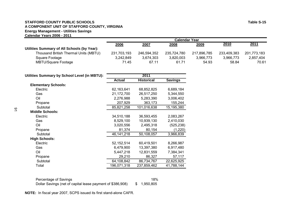### **STAFFORD COUNTY PUBLIC SCHOOLS Table S-15 A COMPONENT UNIT OF STAFFORD COUNTY, VIRGINIA Energy Management - Utilities Savings Calendar Years 2006 - 2011**

|                                             | <b>Calendar Year</b> |             |             |             |             |             |  |
|---------------------------------------------|----------------------|-------------|-------------|-------------|-------------|-------------|--|
|                                             | 2006                 | 2007        | 2008        | 2009        | <u>2010</u> | <u>2011</u> |  |
| Utilities Summary of All Schools (by Year): |                      |             |             |             |             |             |  |
| Thousand British Thermal Units (MBTU)       | 231,703,193          | 246,594,352 | 235,724,780 | 217,896,785 | 233,409,383 | 201,773,183 |  |
| Square Footage                              | 3,242,849            | 3,674,303   | 3,820,003   | 3.966.773   | 3.966.773   | 2,857,404   |  |
| MBTU/Square Footage                         | 71.45                | 67.11       | 61.71       | 54.93       | 58.84       | 70.61       |  |

| Utilities Summary by School Level (in MBTU): | 2011          |                   |                |  |  |  |
|----------------------------------------------|---------------|-------------------|----------------|--|--|--|
|                                              | <b>Actual</b> | <b>Historical</b> | <b>Savings</b> |  |  |  |
| <b>Elementary Schools:</b>                   |               |                   |                |  |  |  |
| Electric                                     | 62,163,641    | 68,852,825        | 6,689,184      |  |  |  |
| Gas                                          | 21,172,700    | 26,517,250        | 5,344,550      |  |  |  |
| Oil                                          | 2,276,988     | 5,283,390         | 3,006,402      |  |  |  |
| Propane                                      | 207,929       | 363,173           | 155,244        |  |  |  |
| Subtotal                                     | 85,821,258    | 101,016,638       | 15,195,380     |  |  |  |
| <b>Middle Schools:</b>                       |               |                   |                |  |  |  |
| Electric                                     | 34,510,188    | 36,593,455        | 2,083,267      |  |  |  |
| Gas                                          | 8,529,100     | 10,939,130        | 2,410,030      |  |  |  |
| Oil                                          | 3,020,556     | 2,495,318         | (525, 238)     |  |  |  |
| Propane                                      | 81,374        | 80,154            | (1,220)        |  |  |  |
| Subtotal                                     | 46,141,218    | 50,108,057        | 3,966,839      |  |  |  |
| <b>High Schools:</b>                         |               |                   |                |  |  |  |
| Electric                                     | 52, 152, 514  | 60,419,501        | 8,266,987      |  |  |  |
| Gas                                          | 6,479,900     | 13,397,380        | 6,917,480      |  |  |  |
| Oil                                          | 5,447,218     | 12,831,559        | 7,384,341      |  |  |  |
| Propane                                      | 29,210        | 86,327            | 57,117         |  |  |  |
| Subtotal                                     | 64,108,842    | 86,734,767        | 22,625,925     |  |  |  |
| Total                                        | 196,071,318   | 237.859.462       | 41,788,144     |  |  |  |

| Percentage of Savings                                      | 18%         |
|------------------------------------------------------------|-------------|
| Dollar Savings (net of capital lease payment of \$386,908) | \$1,950,805 |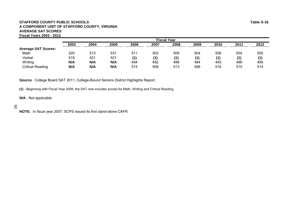#### **STAFFORD COUNTY PUBLIC SCHOOLS Table S-16 A COMPONENT UNIT OF STAFFORD COUNTY, VIRGINIA AVERAGE SAT SCORES Fiscal Years 2003 - 2012**

|                            | Fiscal Year |      |      |                 |      |      |      |      |      |      |
|----------------------------|-------------|------|------|-----------------|------|------|------|------|------|------|
|                            | 2003        | 2004 | 2005 | 2006            | 2007 | 2008 | 2009 | 2010 | 2011 | 2012 |
| <b>Average SAT Scores:</b> |             |      |      |                 |      |      |      |      |      |      |
| Math                       | 520         | 513  | 531  | 51 <sup>′</sup> | 502  | 509  | 504  | 509  | 504  | 505  |
| Verbal                     | 519         | 521  | 521  | (1)             |      | (1)  | (1)  | (1)  | (1)  | (1)  |
| Writing                    | N/A         | N/A  | N/A  | 494             | 482  | 488  | 484  | 493  | 486  | 489  |
| <b>Critical Reading</b>    | N/A         | N/A  | N/A  | 514             | 508  | 513  | 506  | 516  | 510  | 514  |

**Source**: College Board SAT 2011, College-Bound Seniors District Highlights Report.

**(1)** - Beginning with Fiscal Year 2006, the SAT now includes scores for Math, Writing and Critical Reading.

**N/A** - Not applicable.

# 92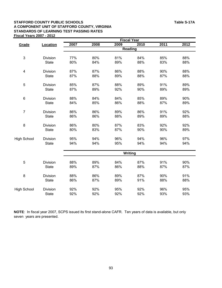### **STAFFORD COUNTY PUBLIC SCHOOLS Table S-17A STANDARDS OF LEARNING TEST PASSING RATES Fiscal Years 2007 - 2012 A COMPONENT UNIT OF STAFFORD COUNTY, VIRGINIA**

|                           |              |      |      |      | <b>Fiscal Year</b> |      |      |
|---------------------------|--------------|------|------|------|--------------------|------|------|
| Grade                     | Location     | 2007 | 2008 | 2009 | 2010               | 2011 | 2012 |
|                           |              |      |      |      | Reading            |      |      |
| $\ensuremath{\mathsf{3}}$ | Division     | 77%  | 80%  | 81%  | 84%                | 85%  | 88%  |
|                           | <b>State</b> | 80%  | 84%  | 89%  | 88%                | 83%  | 88%  |
| 4                         | Division     | 87%  | 87%  | 86%  | 88%                | 90%  | 88%  |
|                           | <b>State</b> | 87%  | 88%  | 89%  | 88%                | 87%  | 88%  |
| 5                         | Division     | 85%  | 87%  | 88%  | 89%                | 91%  | 89%  |
|                           | <b>State</b> | 87%  | 89%  | 92%  | 90%                | 89%  | 89%  |
| 6                         | Division     | 88%  | 84%  | 84%  | 85%                | 89%  | 90%  |
|                           | <b>State</b> | 84%  | 85%  | 86%  | 88%                | 87%  | 89%  |
| $\overline{7}$            | Division     | 86%  | 86%  | 89%  | 86%                | 91%  | 92%  |
|                           | <b>State</b> | 86%  | 86%  | 88%  | 89%                | 89%  | 88%  |
| 8                         | Division     | 86%  | 80%  | 87%  | 83%                | 92%  | 92%  |
|                           | <b>State</b> | 80%  | 83%  | 87%  | 90%                | 90%  | 89%  |
| <b>High School</b>        | Division     | 95%  | 94%  | 96%  | 94%                | 96%  | 97%  |
|                           | <b>State</b> | 94%  | 94%  | 95%  | 94%                | 94%  | 94%  |
|                           |              |      |      |      | Writing            |      |      |
| 5                         | Division     | 88%  | 89%  | 84%  | 87%                | 91%  | 90%  |
|                           | <b>State</b> | 89%  | 87%  | 86%  | 88%                | 87%  | 87%  |
| 8                         | Division     | 88%  | 86%  | 89%  | 87%                | 90%  | 91%  |
|                           | <b>State</b> | 86%  | 87%  | 89%  | 91%                | 88%  | 88%  |
| <b>High School</b>        | Division     | 92%  | 92%  | 95%  | 92%                | 96%  | 95%  |
|                           | <b>State</b> | 92%  | 92%  | 92%  | 92%                | 93%  | 93%  |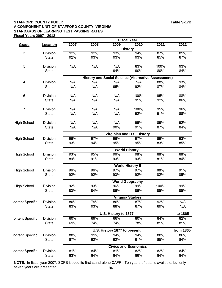# **STAFFORD COUNTY PUBLIC TABLE SETS TABLE S-17B STANDARDS OF LEARNING TEST PASSING RATES Fiscal Years 2007 - 2012 A COMPONENT UNIT OF STAFFORD COUNTY, VIRGINIA**

|                    |              |                            |                                                            |                              | <b>Fiscal Year</b>          |      |           |  |  |  |  |
|--------------------|--------------|----------------------------|------------------------------------------------------------|------------------------------|-----------------------------|------|-----------|--|--|--|--|
| Grade              | Location     | 2007                       | 2008                                                       | 2009                         | 2010                        | 2011 | 2012      |  |  |  |  |
|                    |              |                            |                                                            |                              | <b>History</b>              |      |           |  |  |  |  |
| $\mathfrak{B}$     | Division     | 92%                        | 92%                                                        | 93%                          | 94%                         | 87%  | 89%       |  |  |  |  |
|                    | <b>State</b> | 92%                        | 93%                                                        | 93%                          | 93%                         | 85%  | 87%       |  |  |  |  |
| 5                  | Division     | N/A                        | N/A                                                        | N/A                          | 83%                         | 100% | 93%       |  |  |  |  |
|                    | <b>State</b> |                            |                                                            | 94%                          | 90%                         | 80%  | 84%       |  |  |  |  |
|                    |              |                            | <b>History and Social Science (Alternative Assessment)</b> |                              |                             |      |           |  |  |  |  |
| 4                  | Division     | N/A                        | N/A                                                        | N/A                          | N/A                         | 88%  | 93%       |  |  |  |  |
|                    | <b>State</b> | N/A                        | N/A                                                        | 95%                          | 92%                         | 87%  | 84%       |  |  |  |  |
| 6                  | Division     | N/A                        | N/A                                                        | N/A                          | 100%                        | 95%  | 88%       |  |  |  |  |
|                    | <b>State</b> | N/A                        | N/A                                                        | N/A                          | 91%                         | 92%  | 86%       |  |  |  |  |
| $\overline{7}$     | Division     | N/A                        | N/A                                                        | N/A                          | 100%                        | 95%  | 96%       |  |  |  |  |
|                    | <b>State</b> | N/A                        | N/A                                                        | N/A                          | 92%                         | 91%  | 88%       |  |  |  |  |
| <b>High School</b> | Division     | N/A                        | N/A                                                        | N/A                          | 95%                         | 89%  | 92%       |  |  |  |  |
|                    | <b>State</b> | N/A                        | N/A                                                        | 90%                          | 91%                         | 87%  | 84%       |  |  |  |  |
|                    |              | Virginian and U.S. History |                                                            |                              |                             |      |           |  |  |  |  |
| <b>High School</b> | Division     | 96%                        | 97%                                                        | 96%                          | 97%                         | 89%  | 93%       |  |  |  |  |
|                    | <b>State</b> | 93%                        | 94%                                                        | 95%                          | 95%                         | 83%  | 85%       |  |  |  |  |
|                    |              |                            |                                                            |                              | <b>World History I</b>      |      |           |  |  |  |  |
| <b>High School</b> | Division     | 93%                        | 95%                                                        | 96%                          | 98%                         | 88%  | 88%       |  |  |  |  |
|                    | <b>State</b> | 89%                        | 91%                                                        | 93%                          | 93%                         | 81%  | 84%       |  |  |  |  |
|                    |              |                            |                                                            |                              | <b>World History II</b>     |      |           |  |  |  |  |
| <b>High School</b> | Division     | 96%                        | 96%                                                        | 97%                          | 97%                         | 88%  | 91%       |  |  |  |  |
|                    | <b>State</b> | 92%                        | 92%                                                        | 93%                          | 92%                         | 82%  | 85%       |  |  |  |  |
|                    |              |                            |                                                            |                              | <b>World Geography</b>      |      |           |  |  |  |  |
| <b>High School</b> | Division     | 92%                        | 93%                                                        | 96%                          | 99%                         | 100% | 99%       |  |  |  |  |
|                    | <b>State</b> | 83%                        | 84%                                                        | 86%                          | 86%                         | 85%  | 85%       |  |  |  |  |
|                    |              |                            |                                                            |                              | <b>Virginia Studies</b>     |      |           |  |  |  |  |
| ontent Specific    | Division     | 80%                        | 79%                                                        | 86%                          | 87%                         | 92%  | N/A       |  |  |  |  |
|                    | <b>State</b> | 83%                        | 93%                                                        | 88%                          | 87%                         | 89%  | N/A       |  |  |  |  |
|                    |              |                            |                                                            | U.S. History to 1877         |                             |      | to 1865   |  |  |  |  |
| ontent Specific    | Division     | 60%                        | 69%                                                        | 66%                          | 80%                         | 84%  | 82%       |  |  |  |  |
|                    | <b>State</b> | 69%                        | 74%                                                        | 74%                          | 78%                         | 81%  | 81%       |  |  |  |  |
|                    |              |                            |                                                            | U.S. History 1877 to present |                             |      | from 1865 |  |  |  |  |
| ontent Specific    | Division     | 88%                        | 91%                                                        | 94%                          | 94%                         | 88%  | 86%       |  |  |  |  |
|                    | <b>State</b> | 87%                        | 92%                                                        | 92%                          | 91%                         | 85%  | 84%       |  |  |  |  |
|                    |              |                            |                                                            |                              | <b>Civics and Economics</b> |      |           |  |  |  |  |
| ontent Specific    | Division     | 81%                        | 84%                                                        | 81%                          | 82%                         | 82%  | 84%       |  |  |  |  |
|                    | <b>State</b> | 83%                        | 84%                                                        | 84%                          | 86%                         | 84%  | 84%       |  |  |  |  |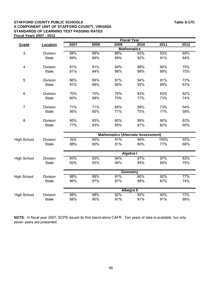# **STAFFORD COUNTY PUBLIC SCHOOLS Table S-17C A COMPONENT UNIT OF STAFFORD COUNTY, VIRGINIA STANDARDS OF LEARNING TEST PASSING RATES Fiscal Years 2007 - 2012**

|                    |              |      |      |      | <b>Fiscal Year</b>                        |      |      |
|--------------------|--------------|------|------|------|-------------------------------------------|------|------|
| Grade              | Location     | 2007 | 2008 | 2009 | 2010                                      | 2011 | 2012 |
|                    |              |      |      |      | <b>Mathematics</b>                        |      |      |
| $\mathfrak{B}$     | Division     | 88%  | 88%  | 88%  | 93%                                       | 93%  | 69%  |
|                    | <b>State</b> | 89%  | 89%  | 89%  | 92%                                       | 91%  | 64%  |
| 4                  | Division     | 81%  | 81%  | 84%  | 88%                                       | 90%  | 75%  |
|                    | <b>State</b> | 81%  | 84%  | 86%  | 88%                                       | 89%  | 70%  |
| 5                  | Division     | 86%  | 86%  | 87%  | 94%                                       | 91%  | 72%  |
|                    | <b>State</b> | 87%  | 88%  | 90%  | 92%                                       | 89%  | 67%  |
| 6                  | Division     | 70%  | 70%  | 76%  | 83%                                       | 83%  | 82%  |
|                    | <b>State</b> | 60%  | 68%  | 73%  | 77%                                       | 73%  | 74%  |
| $\overline{7}$     | Division     | 71%  | 71%  | 66%  | 68%                                       | 73%  | 54%  |
|                    | <b>State</b> | 56%  | 65%  | 71%  | 75%                                       | 77%  | 58%  |
| 8                  | Division     | 85%  | 85%  | 90%  | 89%                                       | 90%  | 83%  |
|                    | <b>State</b> | 77%  | 83%  | 85%  | 87%                                       | 82%  | 60%  |
|                    |              |      |      |      | <b>Mathematics (Alternate Assessment)</b> |      |      |
| <b>High School</b> | Division     | N/A  | 85%  | 91%  | 95%                                       | 100% | 92%  |
|                    | <b>State</b> | 88%  | 80%  | 81%  | 80%                                       | 77%  | 68%  |
|                    |              |      |      |      | Algebra I                                 |      |      |
| <b>High School</b> | Division     | 93%  | 93%  | 94%  | 97%                                       | 97%  | 83%  |
|                    | <b>State</b> | 92%  | 93%  | 94%  | 94%                                       | 94%  | 75%  |
|                    |              |      |      |      | <b>Geometry</b>                           |      |      |
| <b>High School</b> | Division     | 88%  | 88%  | 91%  | 90%                                       | 92%  | 77%  |
|                    | <b>State</b> | 86%  | 87%  | 87%  | 88%                                       | 87%  | 74%  |
|                    |              |      |      |      | <b>Albegra II</b>                         |      |      |
| <b>High School</b> | Division     | 88%  | 88%  | 92%  | 92%                                       | 92%  | 72%  |
|                    | <b>State</b> | 88%  | 90%  | 91%  | 91%                                       | 91%  | 69%  |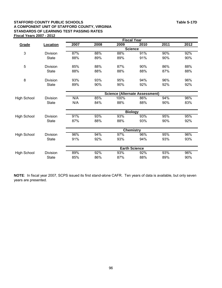### **STAFFORD COUNTY PUBLIC SCHOOLS Table S-17D A COMPONENT UNIT OF STAFFORD COUNTY, VIRGINIA Fiscal Years 2007 - 2012 STANDARDS OF LEARNING TEST PASSING RATES**

|                           |                 |      |                |                                       | <b>Fiscal Year</b>   |      |      |  |  |  |
|---------------------------|-----------------|------|----------------|---------------------------------------|----------------------|------|------|--|--|--|
| Grade                     | Location        | 2007 | 2008           | 2009                                  | 2010                 | 2011 | 2012 |  |  |  |
|                           |                 |      | <b>Science</b> |                                       |                      |      |      |  |  |  |
| $\ensuremath{\mathsf{3}}$ | Division        | 87%  | 88%            | 88%                                   | 91%                  | 90%  | 92%  |  |  |  |
|                           | <b>State</b>    | 88%  | 89%            | 89%                                   | 91%                  | 90%  | 90%  |  |  |  |
| 5                         | Division        | 85%  | 88%            | 87%                                   | 90%                  | 86%  | 88%  |  |  |  |
|                           | <b>State</b>    | 88%  | 88%            | 88%                                   | 88%                  | 87%  | 88%  |  |  |  |
| 8                         | <b>Division</b> | 93%  | 93%            | 95%                                   | 94%                  | 96%  | 96%  |  |  |  |
|                           | <b>State</b>    | 89%  | 90%            | 90%                                   | 92%                  | 92%  | 92%  |  |  |  |
|                           |                 |      |                | <b>Science (Alternate Assessment)</b> |                      |      |      |  |  |  |
| <b>High School</b>        | <b>Division</b> | N/A  | 85%            | 100%                                  | 86%                  | 94%  | 96%  |  |  |  |
|                           | <b>State</b>    | N/A  | 84%            | 88%                                   | 88%                  | 90%  | 83%  |  |  |  |
|                           |                 |      |                |                                       | <b>Biology</b>       |      |      |  |  |  |
| <b>High School</b>        | Division        | 91%  | 93%            | 93%                                   | 93%                  | 95%  | 95%  |  |  |  |
|                           | <b>State</b>    | 87%  | 88%            | 88%                                   | 93%                  | 90%  | 92%  |  |  |  |
|                           |                 |      |                |                                       | <b>Chemistry</b>     |      |      |  |  |  |
| <b>High School</b>        | Division        | 96%  | 94%            | 97%                                   | 96%                  | 95%  | 96%  |  |  |  |
|                           | <b>State</b>    | 91%  | 92%            | 93%                                   | 94%                  | 93%  | 93%  |  |  |  |
|                           |                 |      |                |                                       | <b>Earth Science</b> |      |      |  |  |  |
| <b>High School</b>        | <b>Division</b> | 89%  | 92%            | 93%                                   | 92%                  | 93%  | 96%  |  |  |  |
|                           | <b>State</b>    | 85%  | 86%            | 87%                                   | 88%                  | 89%  | 90%  |  |  |  |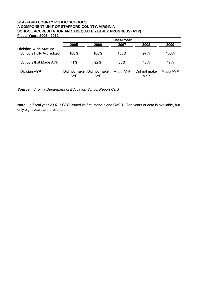#### **STAFFORD COUNTY PUBLIC SCHOOLS SCHOOL ACCREDITATION AND ADEQUATE YEARLY PROGRESS (AYP) Fiscal Years 2005 - 2012 A COMPONENT UNIT OF STAFFORD COUNTY, VIRGINIA**

|                                                                 |            |                                  | <b>Fiscal Year</b> |                     |          |
|-----------------------------------------------------------------|------------|----------------------------------|--------------------|---------------------|----------|
|                                                                 | 2005       | 2006                             | 2007               | 2008                | 2009     |
| <b>Division-wide Status:</b><br><b>Schools Fully Accredited</b> | 100%       | 100%                             | $100\%$            | 97%                 | 100%     |
| Schools that Made AYP                                           | <b>71%</b> | 92%                              | 63%                | 48%                 | 47%      |
| Division AYP                                                    | AYP        | Did not make Did not make<br>AYP | Made AYP           | Did not make<br>AYP | Made AYP |

*Source: Virginia Department of Education School Report Card.*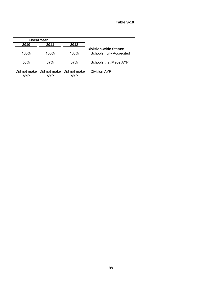**Table S-18**

|      | <b>Fiscal Year</b>                     |      |                                                          |
|------|----------------------------------------|------|----------------------------------------------------------|
| 2010 | 2011                                   | 2012 |                                                          |
| 100% | $100\%$                                | 100% | Division-wide Status:<br><b>Schools Fully Accredited</b> |
| 53%  | 37%                                    | 37%  | Schools that Made AYP                                    |
| AYP  | Did not make Did not make Did not make | AYP  | Division AYP                                             |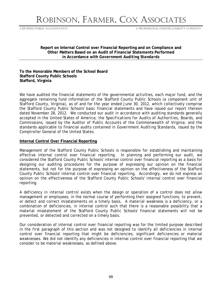ROBINSON, FARMER, COX ASSOCIATES

CERTIFIED PUBLIC ACCOUNTANTS A PROFESSIONAL LIMITED LIABILITY COMPANY

# **Report on Internal Control over Financial Reporting and on Compliance and Other Matters Based on an Audit of Financial Statements Performed in Accordance with** *Government Auditing Standards*

**To the Honorable Members of the School Board Stafford County Public Schools Stafford, Virginia**

We have audited the financial statements of the governmental activities, each major fund, and the aggregate remaining fund information of the Stafford County Public Schools (a component unit of Stafford County, Virginia), as of and for the year ended June 30, 2012, which collectively comprise the Stafford County Public Schools' basic financial statements and have issued our report thereon dated November 28, 2012. We conducted our audit in accordance with auditing standards generally accepted in the United States of America; the *Specifications for Audits of Authorities, Boards, and Commissions,* issued by the Auditor of Public Accounts of the Commonwealth of Virginia; and the standards applicable to financial audits contained in *Government Auditing Standards*, issued by the Comptroller General of the United States.

### **Internal Control Over Financial Reporting**

Management of the Stafford County Public Schools is responsible for establishing and maintaining effective internal control over financial reporting. In planning and performing our audit, we considered the Stafford County Public Schools' internal control over financial reporting as a basis for designing our auditing procedures for the purpose of expressing our opinion on the financial statements, but not for the purpose of expressing an opinion on the effectiveness of the Stafford County Public Schools' internal control over financial reporting. Accordingly, we do not express an opinion on the effectiveness of the Stafford County Public Schools' internal control over financial reporting.

A *deficiency in internal control* exists when the design or operation of a control does not allow management or employees, in the normal course of performing their assigned functions, to prevent, or detect and correct misstatements on a timely basis. A *material weakness* is a deficiency, or a combination of deficiencies, in internal control such that there is a reasonable possibility that a material misstatement of the Stafford County Public Schools' financial statements will not be prevented, or detected and corrected on a timely basis.

Our consideration of internal control over financial reporting was for the limited purpose described in the first paragraph of this section and was not designed to identify all deficiencies in internal control over financial reporting that might be deficiencies, significant deficiencies or material weaknesses. We did not identify any deficiencies in internal control over financial reporting that we consider to be material weaknesses, as defined above.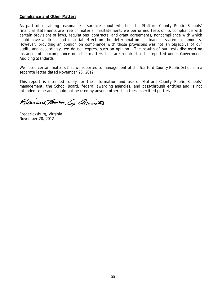# **Compliance and Other Matters**

As part of obtaining reasonable assurance about whether the Stafford County Public Schools' financial statements are free of material misstatement, we performed tests of its compliance with certain provisions of laws, regulations, contracts, and grant agreements, noncompliance with which could have a direct and material effect on the determination of financial statement amounts. However, providing an opinion on compliance with those provisions was not an objective of our audit, and accordingly, we do not express such an opinion. The results of our tests disclosed no instances of noncompliance or other matters that are required to be reported under *Government Auditing Standards*.

We noted certain matters that we reported to management of the Stafford County Public Schools in a separate letter dated November 28, 2012.

This report is intended solely for the information and use of Stafford County Public Schools' management, the School Board, federal awarding agencies, and pass-through entities and is not intended to be and should not be used by anyone other than these specified parties.

Rolenson, Tammen, Cox associates

Fredericksburg, Virginia November 28, 2012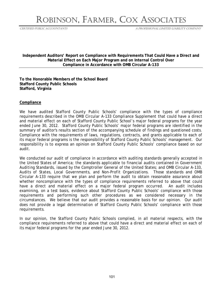ROBINSON, FARMER, COX ASSOCIATES

CERTIFIED PUBLIC ACCOUNTANTS A PROFESSIONAL LIMITED LIABILITY COMPANY

# **Independent Auditors' Report on Compliance with Requirements That Could Have a Direct and Material Effect on Each Major Program and on Internal Control Over Compliance in Accordance with OMB Circular A-133**

**To the Honorable Members of the School Board Stafford County Public Schools Stafford, Virginia** 

### **Compliance**

We have audited Stafford County Public Schools' compliance with the types of compliance requirements described in the *OMB Circular A-133 Compliance Supplement* that could have a direct and material effect on each of Stafford County Public School's major federal programs for the year ended June 30, 2012. Stafford County Public Schools' major federal programs are identified in the summary of auditor's results section of the accompanying schedule of findings and questioned costs. Compliance with the requirements of laws, regulations, contracts, and grants applicable to each of its major federal programs is the responsibility of Stafford County Public Schools' management. Our responsibility is to express an opinion on Stafford County Public Schools' compliance based on our audit.

We conducted our audit of compliance in accordance with auditing standards generally accepted in the United States of America; the standards applicable to financial audits contained in *Government Auditing Standards,* issued by the Comptroller General of the United States; and OMB Circular A-133, *Audits of States, Local Governments, and Non-Profit Organizations.* Those standards and OMB Circular A-133 require that we plan and perform the audit to obtain reasonable assurance about whether noncompliance with the types of compliance requirements referred to above that could have a direct and material effect on a major federal program occurred. An audit includes examining, on a test basis, evidence about Stafford County Public Schools' compliance with those requirements and performing such other procedures as we considered necessary in the circumstances. We believe that our audit provides a reasonable basis for our opinion. Our audit does not provide a legal determination of Stafford County Public Schools' compliance with those requirements.

In our opinion, the Stafford County Public Schools complied, in all material respects, with the compliance requirements referred to above that could have a direct and material effect on each of its major federal programs for the year ended June 30, 2012.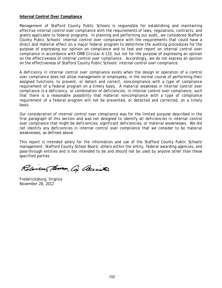# **Internal Control Over Compliance**

Management of Stafford County Public Schools is responsible for establishing and maintaining effective internal control over compliance with the requirements of laws, regulations, contracts, and grants applicable to federal programs. In planning and performing our audit, we considered Stafford County Public Schools' internal control over compliance with the requirements that could have a direct and material effect on a major federal program to determine the auditing procedures for the purpose of expressing our opinion on compliance and to test and report on internal control over compliance in accordance with OMB Circular A-133, but not for the purpose of expressing an opinion on the effectiveness of internal control over compliance. Accordingly, we do not express an opinion on the effectiveness of Stafford County Public Schools' internal control over compliance.

A *deficiency in internal control over compliance* exists when the design or operation of a control over compliance does not allow management or employees, in the normal course of performing their assigned functions, to prevent, or detect and correct, noncompliance with a type of compliance requirement of a federal program on a timely basis. A *material weakness in internal control over compliance* is a deficiency, or combination of deficiencies, in internal control over compliance, such that there is a reasonable possibility that material noncompliance with a type of compliance requirement of a federal program will not be prevented, or detected and corrected, on a timely basis.

Our consideration of internal control over compliance was for the limited purpose described in the first paragraph of this section and was not designed to identify all deficiencies in internal control over compliance that might be deficiencies, significant deficiencies, or material weaknesses. We did not identify any deficiencies in internal control over compliance that we consider to be material weaknesses, as defined above.

This report is intended solely for the information and use of the Stafford County Public Schools' management, Stafford County School Board, others within the entity, federal awarding agencies, and pass-through entities and is not intended to be and should not be used by anyone other than these specified parties.

Rolenson Tamen, Cox associates

Fredericksburg, Virginia November 28, 2012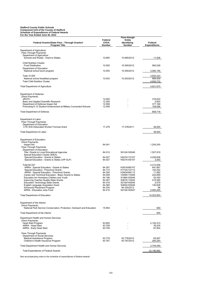#### **Stafford County Public Schools Schedule of Expenditures of Federal Awards For the Year Ended June 30, 2012 Component Unit of the County of Stafford**

| Federal Grantor/State Pass - Through Grantor/<br><b>Program Title</b>                                                                                                                                                                                                                                                                                                                                                                                                                                    | Federal<br><b>CFDA</b><br><b>Number</b>                                                          | Pass-though<br>Entity<br>Identifying<br><b>Number</b>                                                                                              | Federal<br><b>Expenditures</b>                                                                                   |
|----------------------------------------------------------------------------------------------------------------------------------------------------------------------------------------------------------------------------------------------------------------------------------------------------------------------------------------------------------------------------------------------------------------------------------------------------------------------------------------------------------|--------------------------------------------------------------------------------------------------|----------------------------------------------------------------------------------------------------------------------------------------------------|------------------------------------------------------------------------------------------------------------------|
| Department of Agriculture:                                                                                                                                                                                                                                                                                                                                                                                                                                                                               |                                                                                                  |                                                                                                                                                    |                                                                                                                  |
| Pass Through Payments:<br>Department of Agriculture:<br>Schools and Roads - Grant to States                                                                                                                                                                                                                                                                                                                                                                                                              | 10.665                                                                                           | 10.665/2012                                                                                                                                        | 11,938                                                                                                           |
| <b>Child Nutrition Cluster:</b><br><b>Food Distribution</b>                                                                                                                                                                                                                                                                                                                                                                                                                                              | 10.555                                                                                           | 10.555/2012                                                                                                                                        | 560,028                                                                                                          |
| Department of Education:<br>National school lunch program                                                                                                                                                                                                                                                                                                                                                                                                                                                | 10.555                                                                                           | 10.555/2012                                                                                                                                        | 3,060,195                                                                                                        |
| Total 10.555<br>National school breakfast program<br><b>Total Child Nutrition Cluster</b>                                                                                                                                                                                                                                                                                                                                                                                                                | 10.553                                                                                           | 10.553/2012                                                                                                                                        | 3,620,223<br>989,509<br>4,609,732                                                                                |
| <b>Total Department of Agriculture</b>                                                                                                                                                                                                                                                                                                                                                                                                                                                                   |                                                                                                  |                                                                                                                                                    | 4,621,670                                                                                                        |
| Department of Defense:<br>Direct Payments:<br><b>JROTC</b><br>Basic and Applied Scientific Research<br>Department of Defense Impact Aid<br>Promoting K-12 Student Achievement at Military Connected Schools                                                                                                                                                                                                                                                                                              | 12.000<br>12.300<br>12.558<br>12.556                                                             |                                                                                                                                                    | 316,633<br>5,820<br>377,169<br>109,096                                                                           |
| <b>Total Department of Defense</b>                                                                                                                                                                                                                                                                                                                                                                                                                                                                       |                                                                                                  |                                                                                                                                                    | 808,718                                                                                                          |
| Department of Labor<br>Pass Through Payments:<br>Department of Education:<br>CTE WIA Dislocated Worker Formula Grant<br><b>Total Department of Labor</b>                                                                                                                                                                                                                                                                                                                                                 | 17.278                                                                                           | 17.278/2011                                                                                                                                        | 38,000<br>38,000                                                                                                 |
| Department of Education:<br>Direct Payments:<br>Impact Aid<br>Pass Through Payments:<br>Department of Education:<br>Title I Grants to Local Educational Agencies                                                                                                                                                                                                                                                                                                                                         | 84.041<br>84.010                                                                                 | S010A100046                                                                                                                                        | 1,254,245                                                                                                        |
| Special Education Cluster (IDEA):<br>Special Education - Grants to States<br>Special Education - Grants to States (VIP SLP)                                                                                                                                                                                                                                                                                                                                                                              | 84.027<br>84.027                                                                                 | H027A110107<br>H027A100107                                                                                                                         | 1,527,919<br>4,209,836<br>3,000                                                                                  |
| Total 84.027<br>ARRA - Special Education - Grants to States<br>Special Education - Preschool Grants<br>ARRA - Special Education - Preschool Grants<br>Career and Technical Education - Basic Grants to States<br>Education for Homeless Children and Youth<br>Improving Teacher Quality State Grants<br><b>Education Technology State Grants</b><br><b>English Language Acquisition Grant</b><br><b>Advanced Placement Program</b><br>ARRA - Education Jobs Fund<br><b>Total Department of Education</b> | 84.391<br>84.173<br>84.392<br>84.048<br>84.196<br>84.367<br>84.318<br>84.365<br>84.330<br>84.410 | H391A090107<br>H173A110112<br>H392A090112<br>V048A110046<br>S196A100048<br>S367A110044<br>S318X100046<br>S365A100046<br>84.330/2012<br>S410A100047 | 4,212,836<br>491,667<br>102,252<br>11,582<br>222,859<br>52,430<br>419,385<br>2,579<br>140,838<br>96<br>5,585,265 |
| Department of the Interior:<br>Direct Payments:                                                                                                                                                                                                                                                                                                                                                                                                                                                          |                                                                                                  |                                                                                                                                                    | 14,023,953                                                                                                       |
| National Park Service Conservation, Protection, Outreach and Education                                                                                                                                                                                                                                                                                                                                                                                                                                   | 15.954                                                                                           |                                                                                                                                                    | 500                                                                                                              |
| Total Department of the Interior                                                                                                                                                                                                                                                                                                                                                                                                                                                                         |                                                                                                  |                                                                                                                                                    | 500                                                                                                              |
| Department Health and Human Services:<br><b>Direct Payments:</b><br><b>Head Start Program</b><br>ARRA - Head Start<br>ARRA - Early Head Start                                                                                                                                                                                                                                                                                                                                                            | 93.600<br>93.708<br>93.709                                                                       |                                                                                                                                                    | 2,183,410<br>76.535<br>87,904                                                                                    |
| Pass Through Payments:<br>Department of Social Services:<br>Medical Assistance Program<br>Children's Health Insurance Program                                                                                                                                                                                                                                                                                                                                                                            | 93.778<br>93.767                                                                                 | 93.778/2012<br>93.767/2012                                                                                                                         | 65,907<br>290,293                                                                                                |
| <b>Total Department Health and Human Services</b>                                                                                                                                                                                                                                                                                                                                                                                                                                                        |                                                                                                  |                                                                                                                                                    | 2,704,049                                                                                                        |
| <b>Total Expenditures of Federal Awards</b>                                                                                                                                                                                                                                                                                                                                                                                                                                                              |                                                                                                  |                                                                                                                                                    | 22,196,890                                                                                                       |

See accompanying notes to the schedule of expenditures of federal awards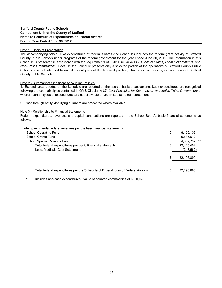#### **Stafford County Public Schools Component Unit of the County of Stafford Notes to Schedule of Expenditures of Federal Awards For the Year Ended June 30, 2012**

#### Note 1 - Basis of Presentation

The accompanying schedule of expenditures of federal awards (the Schedule) includes the federal grant activity of Stafford County Public Schools under programs of the federal government for the year ended June 30, 2012. The information in this Schedule is presented in accordance with the requirements of OMB Circular A-133, *Audits of States, Local Governments, and Non-Profit Organizations.* Because the Schedule presents only a selected portion of the operations of Stafford County Public Schools, it is not intended to and does not present the financial position, changes in net assets, or cash flows of Stafford County Public Schools.

#### Note 2 - Summary of Significant Accounting Policies

1. Expenditures reported on the Schedule are reported on the accrual basis of accounting. Such expenditures are recognized following the cost principles contained in OMB Circular A-87, *Cost Principles for State, Local, and Indian Tribal Governments,* wherein certain types of expenditures are not allowable or are limited as to reimbursement.

2. Pass-through entity identifying numbers are presented where available.

#### Note 3 - Relationship to Financial Statements

Federal expenditures, revenues and capital contributions are reported in the School Board's basic financial statements as follows:

Intergovernmental federal revenues per the basic financial statements:

| School Operating Fund                                                         | \$<br>8.150.108  |
|-------------------------------------------------------------------------------|------------------|
| School Grants Fund                                                            | 9,685,612        |
| School Special Revenue Fund                                                   | 4,609,732 **     |
| Total federal expenditures per basic financial statements                     | \$<br>22,445,452 |
| Less: Medicaid Cost Settlement                                                | (248,562)        |
|                                                                               | 22,196,890       |
| Total federal expenditures per the Schedule of Expenditures of Federal Awards | \$<br>22,196,890 |

\*\* Includes non-cash expenditures - value of donated commodities of \$560,028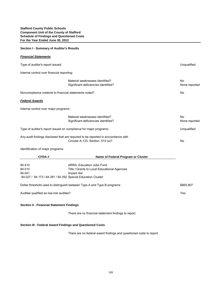#### **Section I - Summary of Auditor's Results**

| <b>Financial Statements</b>                                                               |                                                                                                                        |                     |  |  |
|-------------------------------------------------------------------------------------------|------------------------------------------------------------------------------------------------------------------------|---------------------|--|--|
| Type of auditor's report issued:                                                          |                                                                                                                        | Unqualified         |  |  |
| Internal control over financial reporting:                                                |                                                                                                                        |                     |  |  |
|                                                                                           | Material weaknesses identified?<br>Significant deficiencies identified?                                                | No<br>None reported |  |  |
| Noncompliance material to financial statements noted?                                     |                                                                                                                        | No                  |  |  |
| <b>Federal Awards</b>                                                                     |                                                                                                                        |                     |  |  |
| Internal control over major programs:                                                     |                                                                                                                        |                     |  |  |
|                                                                                           | Material weaknesses identified?<br>Significant deficiencies identified?                                                | No<br>None reported |  |  |
| Type of auditor's report issued on compliance for major programs:                         |                                                                                                                        |                     |  |  |
|                                                                                           | Any audit findings disclosed that are required to be reported in acccordance with<br>Circular A-133, Section .510 (a)? | No                  |  |  |
| Identification of major programs:                                                         |                                                                                                                        |                     |  |  |
| CFDA#                                                                                     | Name of Federal Program or Cluster                                                                                     |                     |  |  |
| 84.410<br>84.010<br>84.041<br>84.027 / 84.173 / 84.391 / 84.392 Special Education Cluster | <b>ARRA-</b> Education Jobs Fund<br>Title I Grants to Local Educational Agencies<br>Impact Aid                         |                     |  |  |
|                                                                                           | Dollar threshold used to distinguish between Type A and Type B programs                                                | \$665,907           |  |  |
| Auditee qualified as low-risk auditee?                                                    |                                                                                                                        | Yes                 |  |  |
|                                                                                           |                                                                                                                        |                     |  |  |

#### **Section II - Financial Statement Findings**

There are no financial statement findings to report.

#### **Section III - Federal Award Findings and Questioned Costs**

There are no federal award findings and questioned costs to report.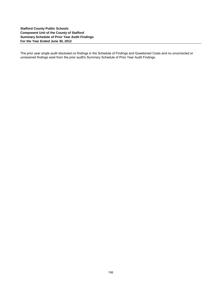The prior year single audit disclosed no findings in the Schedule of Findings and Questioned Costs and no uncorrected or unresolved findings exist from the prior audit's Summary Schedule of Prior Year Audit Findings.